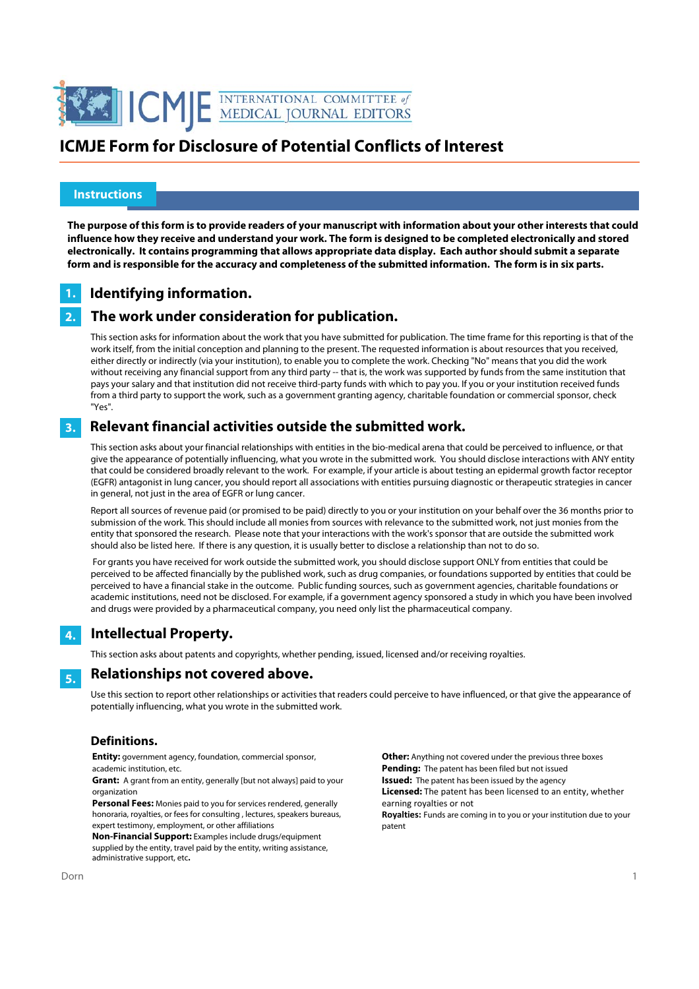

### **Instructions**

**2.**

**The purpose of this form is to provide readers of your manuscript with information about your other interests that could influence how they receive and understand your work. The form is designed to be completed electronically and stored electronically. It contains programming that allows appropriate data display. Each author should submit a separate form and is responsible for the accuracy and completeness of the submitted information. The form is in six parts.** 

#### **Identifying information. 1.**

### **The work under consideration for publication.**

This section asks for information about the work that you have submitted for publication. The time frame for this reporting is that of the work itself, from the initial conception and planning to the present. The requested information is about resources that you received, either directly or indirectly (via your institution), to enable you to complete the work. Checking "No" means that you did the work without receiving any financial support from any third party -- that is, the work was supported by funds from the same institution that pays your salary and that institution did not receive third-party funds with which to pay you. If you or your institution received funds from a third party to support the work, such as a government granting agency, charitable foundation or commercial sponsor, check "Yes".

#### **Relevant financial activities outside the submitted work. 3.**

This section asks about your financial relationships with entities in the bio-medical arena that could be perceived to influence, or that give the appearance of potentially influencing, what you wrote in the submitted work. You should disclose interactions with ANY entity that could be considered broadly relevant to the work. For example, if your article is about testing an epidermal growth factor receptor (EGFR) antagonist in lung cancer, you should report all associations with entities pursuing diagnostic or therapeutic strategies in cancer in general, not just in the area of EGFR or lung cancer.

Report all sources of revenue paid (or promised to be paid) directly to you or your institution on your behalf over the 36 months prior to submission of the work. This should include all monies from sources with relevance to the submitted work, not just monies from the entity that sponsored the research. Please note that your interactions with the work's sponsor that are outside the submitted work should also be listed here. If there is any question, it is usually better to disclose a relationship than not to do so.

 For grants you have received for work outside the submitted work, you should disclose support ONLY from entities that could be perceived to be affected financially by the published work, such as drug companies, or foundations supported by entities that could be perceived to have a financial stake in the outcome. Public funding sources, such as government agencies, charitable foundations or academic institutions, need not be disclosed. For example, if a government agency sponsored a study in which you have been involved and drugs were provided by a pharmaceutical company, you need only list the pharmaceutical company.

### **Intellectual Property.**

This section asks about patents and copyrights, whether pending, issued, licensed and/or receiving royalties.

### **Relationships not covered above.**

Use this section to report other relationships or activities that readers could perceive to have influenced, or that give the appearance of potentially influencing, what you wrote in the submitted work.

### **Definitions.**

**Entity:** government agency, foundation, commercial sponsor, academic institution, etc.

**Grant:** A grant from an entity, generally [but not always] paid to your organization

**Personal Fees:** Monies paid to you for services rendered, generally honoraria, royalties, or fees for consulting , lectures, speakers bureaus, expert testimony, employment, or other affiliations

**Non-Financial Support:** Examples include drugs/equipment supplied by the entity, travel paid by the entity, writing assistance, administrative support, etc**.**

**Other:** Anything not covered under the previous three boxes **Pending:** The patent has been filed but not issued **Issued:** The patent has been issued by the agency **Licensed:** The patent has been licensed to an entity, whether earning royalties or not **Royalties:** Funds are coming in to you or your institution due to your patent

**4.**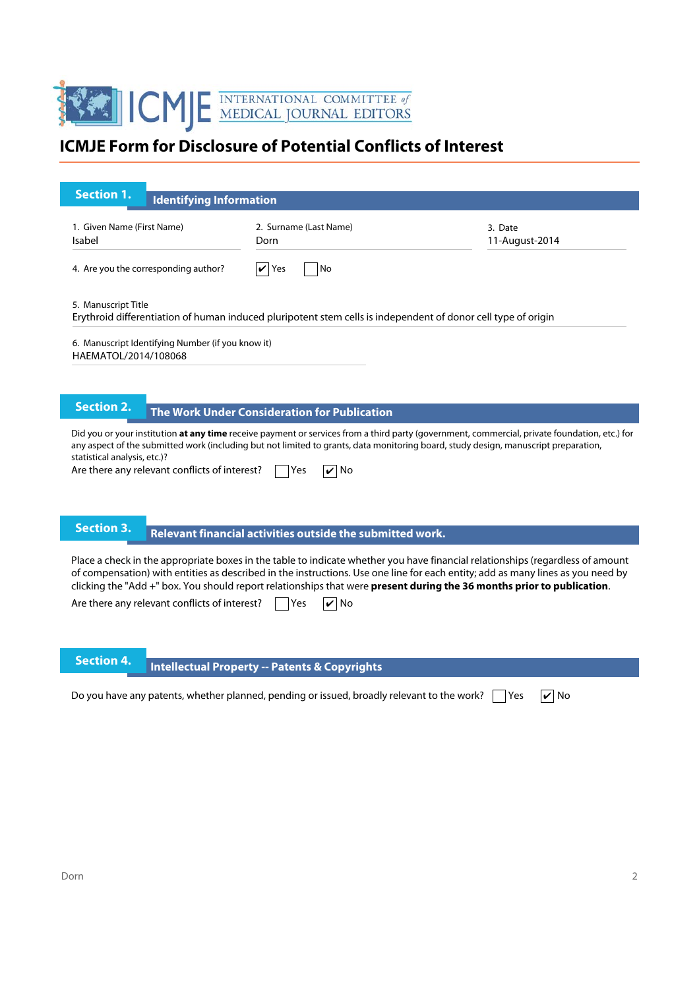

| <b>Section 1.</b>                                                                                                                                                                                                                                                                                                                                                                                                                                                                                                           |                                                                                                               | <b>Identifying Information</b> |    |  |                           |  |  |
|-----------------------------------------------------------------------------------------------------------------------------------------------------------------------------------------------------------------------------------------------------------------------------------------------------------------------------------------------------------------------------------------------------------------------------------------------------------------------------------------------------------------------------|---------------------------------------------------------------------------------------------------------------|--------------------------------|----|--|---------------------------|--|--|
| 1. Given Name (First Name)<br>Isabel                                                                                                                                                                                                                                                                                                                                                                                                                                                                                        |                                                                                                               | 2. Surname (Last Name)<br>Dorn |    |  | 3. Date<br>11-August-2014 |  |  |
| 4. Are you the corresponding author?                                                                                                                                                                                                                                                                                                                                                                                                                                                                                        |                                                                                                               | $V$ Yes                        | No |  |                           |  |  |
| 5. Manuscript Title                                                                                                                                                                                                                                                                                                                                                                                                                                                                                                         | Erythroid differentiation of human induced pluripotent stem cells is independent of donor cell type of origin |                                |    |  |                           |  |  |
| HAEMATOL/2014/108068                                                                                                                                                                                                                                                                                                                                                                                                                                                                                                        | 6. Manuscript Identifying Number (if you know it)                                                             |                                |    |  |                           |  |  |
|                                                                                                                                                                                                                                                                                                                                                                                                                                                                                                                             |                                                                                                               |                                |    |  |                           |  |  |
| <b>Section 2.</b>                                                                                                                                                                                                                                                                                                                                                                                                                                                                                                           | The Work Under Consideration for Publication                                                                  |                                |    |  |                           |  |  |
| Did you or your institution at any time receive payment or services from a third party (government, commercial, private foundation, etc.) for<br>any aspect of the submitted work (including but not limited to grants, data monitoring board, study design, manuscript preparation,<br>statistical analysis, etc.)?<br>Are there any relevant conflicts of interest?<br>Yes<br>  No<br>$\boldsymbol{\nu}$                                                                                                                  |                                                                                                               |                                |    |  |                           |  |  |
|                                                                                                                                                                                                                                                                                                                                                                                                                                                                                                                             |                                                                                                               |                                |    |  |                           |  |  |
| <b>Section 3.</b>                                                                                                                                                                                                                                                                                                                                                                                                                                                                                                           |                                                                                                               |                                |    |  |                           |  |  |
| Relevant financial activities outside the submitted work.<br>Place a check in the appropriate boxes in the table to indicate whether you have financial relationships (regardless of amount<br>of compensation) with entities as described in the instructions. Use one line for each entity; add as many lines as you need by<br>clicking the "Add +" box. You should report relationships that were present during the 36 months prior to publication.<br>Are there any relevant conflicts of interest?<br>No<br>✓<br>Yes |                                                                                                               |                                |    |  |                           |  |  |
| <b>Section 4.</b>                                                                                                                                                                                                                                                                                                                                                                                                                                                                                                           | <b>Intellectual Property -- Patents &amp; Copyrights</b>                                                      |                                |    |  |                           |  |  |
|                                                                                                                                                                                                                                                                                                                                                                                                                                                                                                                             | Do you have any patents, whether planned, pending or issued, broadly relevant to the work?                    |                                |    |  | $\mathbf{v}$ No<br>Yes    |  |  |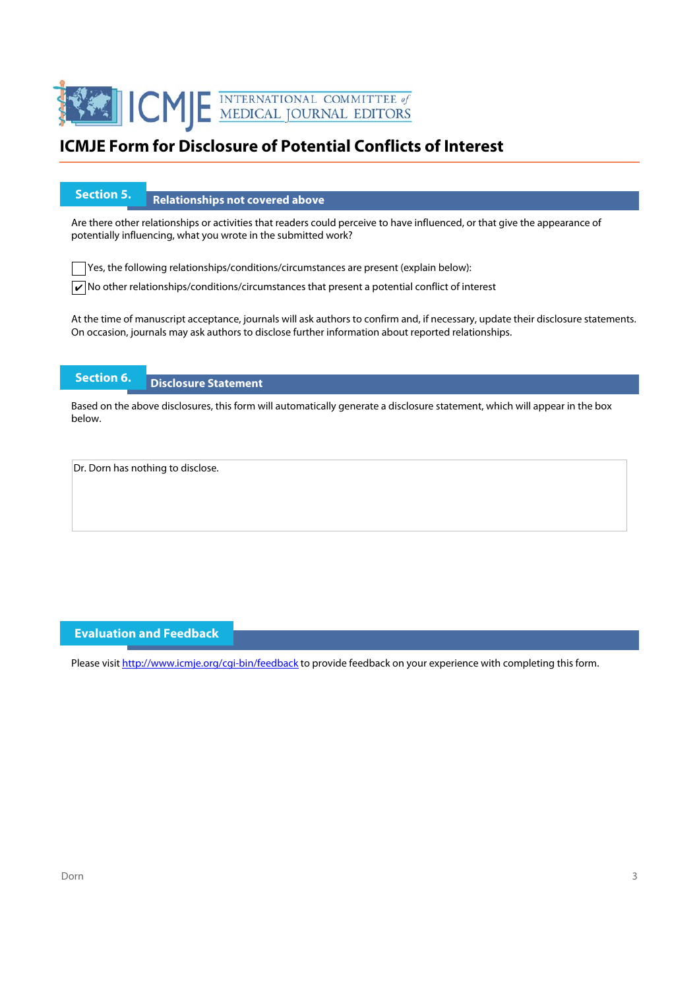

## **Section 5.** Relationships not covered above

Are there other relationships or activities that readers could perceive to have influenced, or that give the appearance of potentially influencing, what you wrote in the submitted work?

 $\Box$  Yes, the following relationships/conditions/circumstances are present (explain below):

 $\boxed{\mathbf{v}}$  No other relationships/conditions/circumstances that present a potential conflict of interest

At the time of manuscript acceptance, journals will ask authors to confirm and, if necessary, update their disclosure statements. On occasion, journals may ask authors to disclose further information about reported relationships.

## **Disclosure Statement Section 6.**

Based on the above disclosures, this form will automatically generate a disclosure statement, which will appear in the box below.

Dr. Dorn has nothing to disclose.

### **Evaluation and Feedback**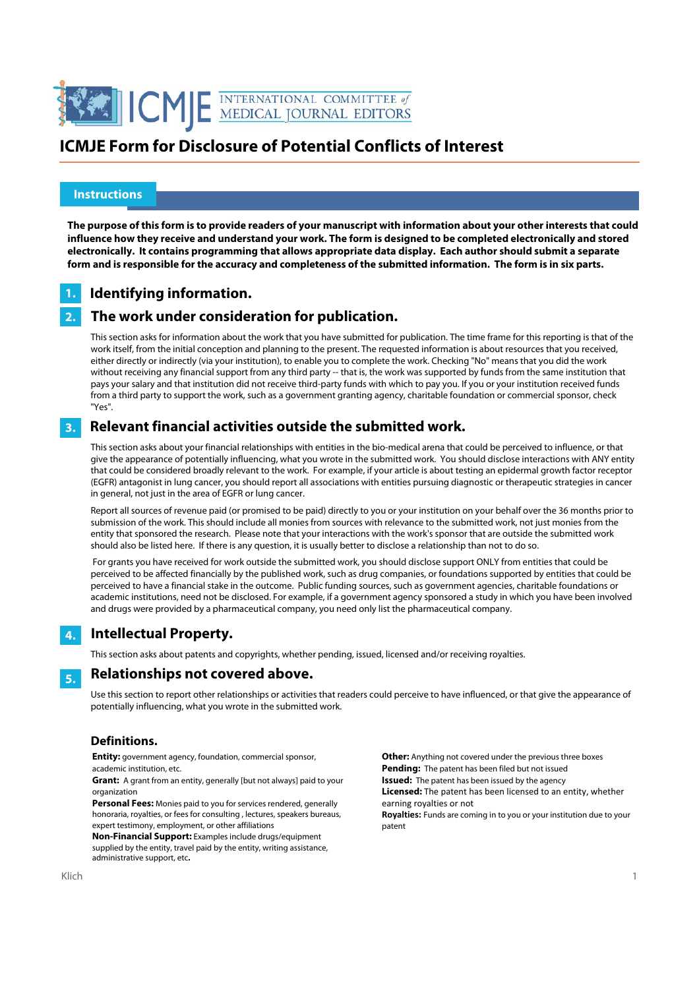

### **Instructions**

**2.**

**The purpose of this form is to provide readers of your manuscript with information about your other interests that could influence how they receive and understand your work. The form is designed to be completed electronically and stored electronically. It contains programming that allows appropriate data display. Each author should submit a separate form and is responsible for the accuracy and completeness of the submitted information. The form is in six parts.** 

#### **Identifying information. 1.**

### **The work under consideration for publication.**

This section asks for information about the work that you have submitted for publication. The time frame for this reporting is that of the work itself, from the initial conception and planning to the present. The requested information is about resources that you received, either directly or indirectly (via your institution), to enable you to complete the work. Checking "No" means that you did the work without receiving any financial support from any third party -- that is, the work was supported by funds from the same institution that pays your salary and that institution did not receive third-party funds with which to pay you. If you or your institution received funds from a third party to support the work, such as a government granting agency, charitable foundation or commercial sponsor, check "Yes".

#### **Relevant financial activities outside the submitted work. 3.**

This section asks about your financial relationships with entities in the bio-medical arena that could be perceived to influence, or that give the appearance of potentially influencing, what you wrote in the submitted work. You should disclose interactions with ANY entity that could be considered broadly relevant to the work. For example, if your article is about testing an epidermal growth factor receptor (EGFR) antagonist in lung cancer, you should report all associations with entities pursuing diagnostic or therapeutic strategies in cancer in general, not just in the area of EGFR or lung cancer.

Report all sources of revenue paid (or promised to be paid) directly to you or your institution on your behalf over the 36 months prior to submission of the work. This should include all monies from sources with relevance to the submitted work, not just monies from the entity that sponsored the research. Please note that your interactions with the work's sponsor that are outside the submitted work should also be listed here. If there is any question, it is usually better to disclose a relationship than not to do so.

 For grants you have received for work outside the submitted work, you should disclose support ONLY from entities that could be perceived to be affected financially by the published work, such as drug companies, or foundations supported by entities that could be perceived to have a financial stake in the outcome. Public funding sources, such as government agencies, charitable foundations or academic institutions, need not be disclosed. For example, if a government agency sponsored a study in which you have been involved and drugs were provided by a pharmaceutical company, you need only list the pharmaceutical company.

### **Intellectual Property.**

This section asks about patents and copyrights, whether pending, issued, licensed and/or receiving royalties.

### **Relationships not covered above.**

Use this section to report other relationships or activities that readers could perceive to have influenced, or that give the appearance of potentially influencing, what you wrote in the submitted work.

### **Definitions.**

**Entity:** government agency, foundation, commercial sponsor, academic institution, etc.

**Grant:** A grant from an entity, generally [but not always] paid to your organization

**Personal Fees:** Monies paid to you for services rendered, generally honoraria, royalties, or fees for consulting , lectures, speakers bureaus, expert testimony, employment, or other affiliations

**Non-Financial Support:** Examples include drugs/equipment supplied by the entity, travel paid by the entity, writing assistance, administrative support, etc**.**

**Other:** Anything not covered under the previous three boxes **Pending:** The patent has been filed but not issued **Issued:** The patent has been issued by the agency **Licensed:** The patent has been licensed to an entity, whether earning royalties or not **Royalties:** Funds are coming in to you or your institution due to your patent

**4.**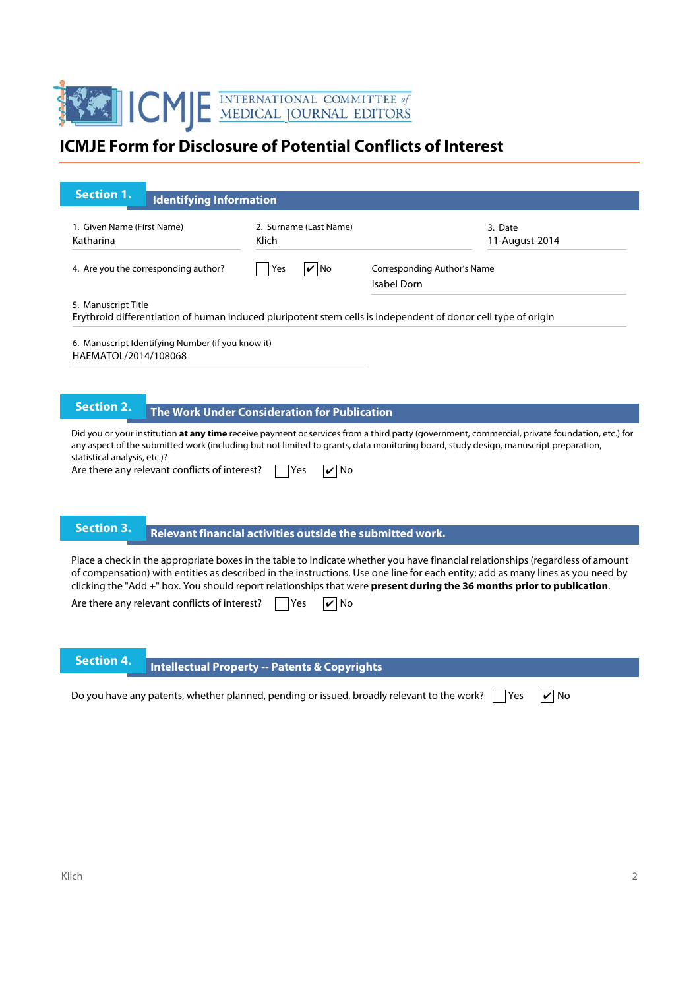

| <b>Section 1.</b>                                                                                                                                                                                                                                                                                                                                                                                                                                                | <b>Identifying Information</b>                                                                                                                                                                                                                                                                                       |                                                           |                                                                                            |                           |  |  |
|------------------------------------------------------------------------------------------------------------------------------------------------------------------------------------------------------------------------------------------------------------------------------------------------------------------------------------------------------------------------------------------------------------------------------------------------------------------|----------------------------------------------------------------------------------------------------------------------------------------------------------------------------------------------------------------------------------------------------------------------------------------------------------------------|-----------------------------------------------------------|--------------------------------------------------------------------------------------------|---------------------------|--|--|
| 1. Given Name (First Name)<br>Katharina                                                                                                                                                                                                                                                                                                                                                                                                                          |                                                                                                                                                                                                                                                                                                                      | 2. Surname (Last Name)<br>Klich                           |                                                                                            | 3. Date<br>11-August-2014 |  |  |
|                                                                                                                                                                                                                                                                                                                                                                                                                                                                  | 4. Are you the corresponding author?                                                                                                                                                                                                                                                                                 | $\mathbf{v}$ No<br>Yes                                    | Corresponding Author's Name<br><b>Isabel Dorn</b>                                          |                           |  |  |
| 5. Manuscript Title<br>Erythroid differentiation of human induced pluripotent stem cells is independent of donor cell type of origin                                                                                                                                                                                                                                                                                                                             |                                                                                                                                                                                                                                                                                                                      |                                                           |                                                                                            |                           |  |  |
| 6. Manuscript Identifying Number (if you know it)<br>HAEMATOL/2014/108068                                                                                                                                                                                                                                                                                                                                                                                        |                                                                                                                                                                                                                                                                                                                      |                                                           |                                                                                            |                           |  |  |
|                                                                                                                                                                                                                                                                                                                                                                                                                                                                  |                                                                                                                                                                                                                                                                                                                      |                                                           |                                                                                            |                           |  |  |
| <b>Section 2.</b>                                                                                                                                                                                                                                                                                                                                                                                                                                                |                                                                                                                                                                                                                                                                                                                      | <b>The Work Under Consideration for Publication</b>       |                                                                                            |                           |  |  |
| Are there any relevant conflicts of interest?                                                                                                                                                                                                                                                                                                                                                                                                                    | Did you or your institution at any time receive payment or services from a third party (government, commercial, private foundation, etc.) for<br>any aspect of the submitted work (including but not limited to grants, data monitoring board, study design, manuscript preparation,<br>statistical analysis, etc.)? |                                                           |                                                                                            |                           |  |  |
|                                                                                                                                                                                                                                                                                                                                                                                                                                                                  |                                                                                                                                                                                                                                                                                                                      | Yes<br>$\nu$ No                                           |                                                                                            |                           |  |  |
| <b>Section 3.</b>                                                                                                                                                                                                                                                                                                                                                                                                                                                |                                                                                                                                                                                                                                                                                                                      | Relevant financial activities outside the submitted work. |                                                                                            |                           |  |  |
| Place a check in the appropriate boxes in the table to indicate whether you have financial relationships (regardless of amount<br>of compensation) with entities as described in the instructions. Use one line for each entity; add as many lines as you need by<br>clicking the "Add +" box. You should report relationships that were present during the 36 months prior to publication.<br>Are there any relevant conflicts of interest?<br>l No<br>Yes<br>✓ |                                                                                                                                                                                                                                                                                                                      |                                                           |                                                                                            |                           |  |  |
|                                                                                                                                                                                                                                                                                                                                                                                                                                                                  |                                                                                                                                                                                                                                                                                                                      |                                                           |                                                                                            |                           |  |  |
| <b>Section 4.</b>                                                                                                                                                                                                                                                                                                                                                                                                                                                |                                                                                                                                                                                                                                                                                                                      | <b>Intellectual Property -- Patents &amp; Copyrights</b>  |                                                                                            |                           |  |  |
|                                                                                                                                                                                                                                                                                                                                                                                                                                                                  |                                                                                                                                                                                                                                                                                                                      |                                                           | Do you have any patents, whether planned, pending or issued, broadly relevant to the work? | Yes<br>$\mathbf{v}$ No    |  |  |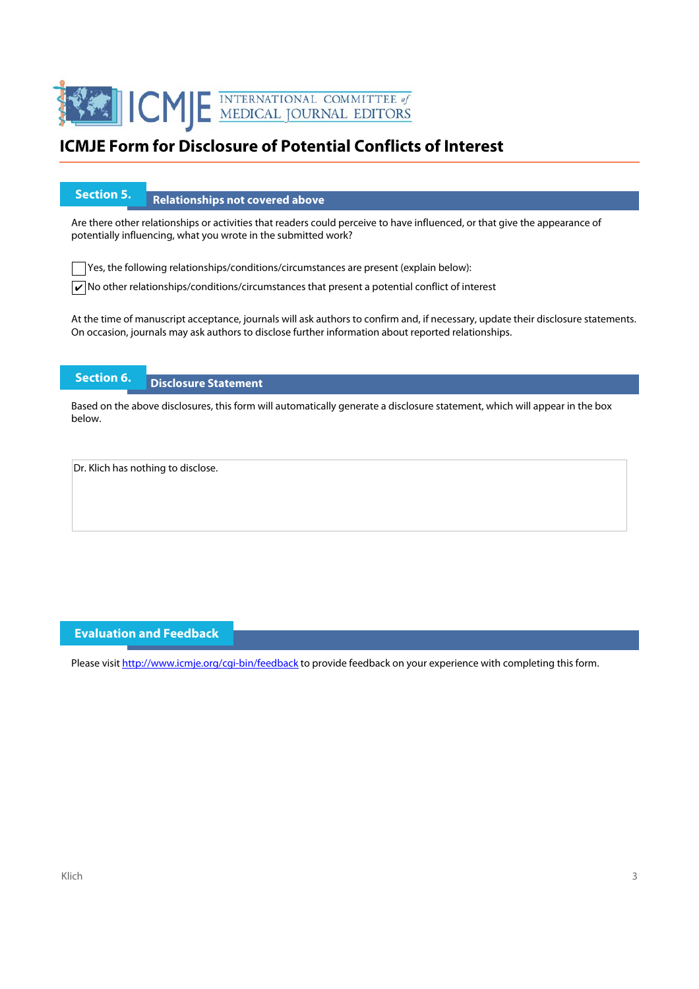

## **Section 5.** Relationships not covered above

Are there other relationships or activities that readers could perceive to have influenced, or that give the appearance of potentially influencing, what you wrote in the submitted work?

 $\Box$  Yes, the following relationships/conditions/circumstances are present (explain below):

 $\boxed{\mathbf{v}}$  No other relationships/conditions/circumstances that present a potential conflict of interest

At the time of manuscript acceptance, journals will ask authors to confirm and, if necessary, update their disclosure statements. On occasion, journals may ask authors to disclose further information about reported relationships.

## **Disclosure Statement Section 6.**

Based on the above disclosures, this form will automatically generate a disclosure statement, which will appear in the box below.

Dr. Klich has nothing to disclose.

### **Evaluation and Feedback**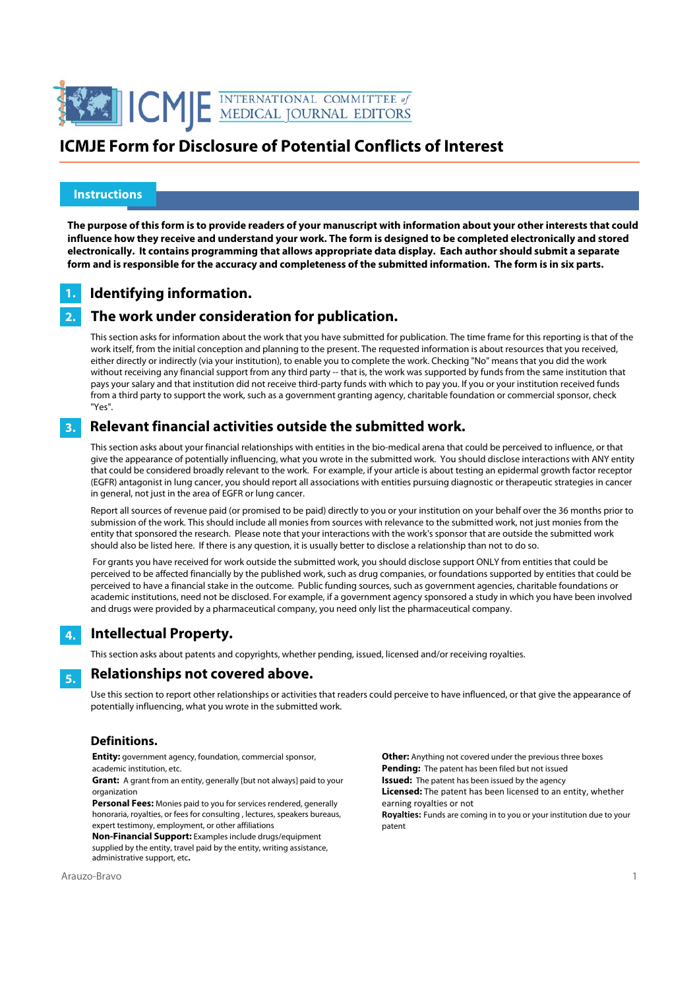

### **Instructions**

**2.**

**4.**

**5.**

**The purpose of this form is to provide readers of your manuscript with information about your other interests that could influence how they receive and understand your work. The form is designed to be completed electronically and stored electronically. It contains programming that allows appropriate data display. Each author should submit a separate form and is responsible for the accuracy and completeness of the submitted information. The form is in six parts.** 

#### **Identifying information. 1.**

### **The work under consideration for publication.**

This section asks for information about the work that you have submitted for publication. The time frame for this reporting is that of the work itself, from the initial conception and planning to the present. The requested information is about resources that you received, either directly or indirectly (via your institution), to enable you to complete the work. Checking "No" means that you did the work without receiving any financial support from any third party -- that is, the work was supported by funds from the same institution that pays your salary and that institution did not receive third-party funds with which to pay you. If you or your institution received funds from a third party to support the work, such as a government granting agency, charitable foundation or commercial sponsor, check "Yes".

#### **Relevant financial activities outside the submitted work. 3.**

This section asks about your financial relationships with entities in the bio-medical arena that could be perceived to influence, or that give the appearance of potentially influencing, what you wrote in the submitted work. You should disclose interactions with ANY entity that could be considered broadly relevant to the work. For example, if your article is about testing an epidermal growth factor receptor (EGFR) antagonist in lung cancer, you should report all associations with entities pursuing diagnostic or therapeutic strategies in cancer in general, not just in the area of EGFR or lung cancer.

Report all sources of revenue paid (or promised to be paid) directly to you or your institution on your behalf over the 36 months prior to submission of the work. This should include all monies from sources with relevance to the submitted work, not just monies from the entity that sponsored the research. Please note that your interactions with the work's sponsor that are outside the submitted work should also be listed here. If there is any question, it is usually better to disclose a relationship than not to do so.

 For grants you have received for work outside the submitted work, you should disclose support ONLY from entities that could be perceived to be affected financially by the published work, such as drug companies, or foundations supported by entities that could be perceived to have a financial stake in the outcome. Public funding sources, such as government agencies, charitable foundations or academic institutions, need not be disclosed. For example, if a government agency sponsored a study in which you have been involved and drugs were provided by a pharmaceutical company, you need only list the pharmaceutical company.

### **Intellectual Property.**

This section asks about patents and copyrights, whether pending, issued, licensed and/or receiving royalties.

### **Relationships not covered above.**

Use this section to report other relationships or activities that readers could perceive to have influenced, or that give the appearance of potentially influencing, what you wrote in the submitted work.

### **Definitions.**

**Entity:** government agency, foundation, commercial sponsor, academic institution, etc.

**Grant:** A grant from an entity, generally [but not always] paid to your organization

**Personal Fees:** Monies paid to you for services rendered, generally honoraria, royalties, or fees for consulting , lectures, speakers bureaus, expert testimony, employment, or other affiliations

**Non-Financial Support:** Examples include drugs/equipment supplied by the entity, travel paid by the entity, writing assistance, administrative support, etc**.**

**Other:** Anything not covered under the previous three boxes **Pending:** The patent has been filed but not issued **Issued:** The patent has been issued by the agency **Licensed:** The patent has been licensed to an entity, whether earning royalties or not **Royalties:** Funds are coming in to you or your institution due to your patent

Arauzo-Bravo 1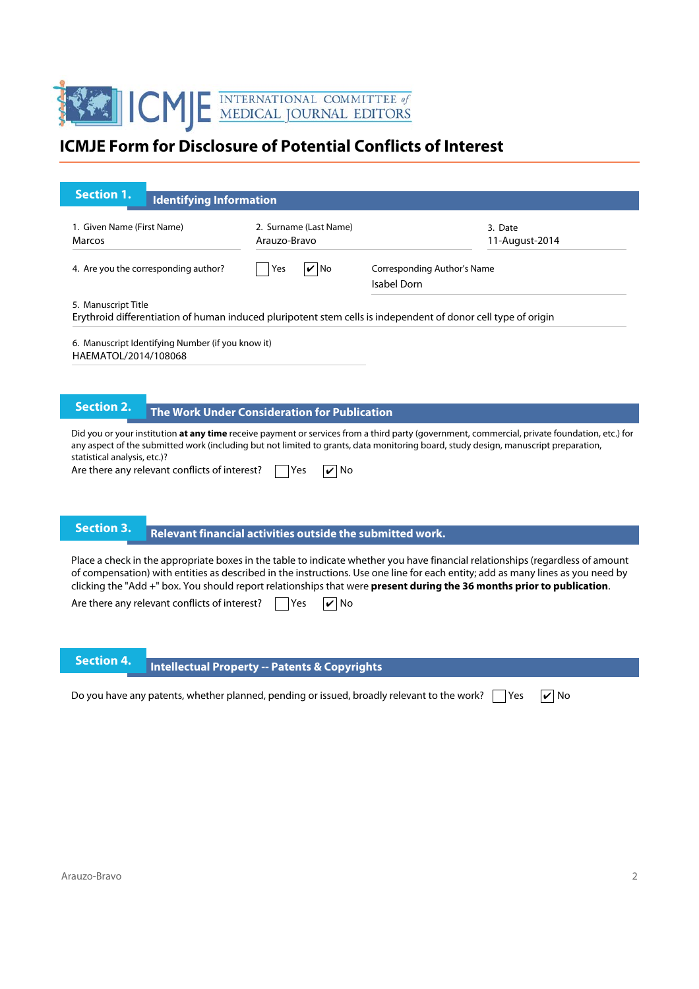

| <b>Section 1.</b>                                                                                                                                                                                                                                                                                                                                                                                                                                                           | <b>Identifying Information</b>                                                                                                                                                                                                                                                                                                                                                                  |                                                           |                                                                                            |                           |  |  |
|-----------------------------------------------------------------------------------------------------------------------------------------------------------------------------------------------------------------------------------------------------------------------------------------------------------------------------------------------------------------------------------------------------------------------------------------------------------------------------|-------------------------------------------------------------------------------------------------------------------------------------------------------------------------------------------------------------------------------------------------------------------------------------------------------------------------------------------------------------------------------------------------|-----------------------------------------------------------|--------------------------------------------------------------------------------------------|---------------------------|--|--|
| 1. Given Name (First Name)<br><b>Marcos</b>                                                                                                                                                                                                                                                                                                                                                                                                                                 |                                                                                                                                                                                                                                                                                                                                                                                                 | 2. Surname (Last Name)<br>Arauzo-Bravo                    |                                                                                            | 3. Date<br>11-August-2014 |  |  |
|                                                                                                                                                                                                                                                                                                                                                                                                                                                                             | 4. Are you the corresponding author?                                                                                                                                                                                                                                                                                                                                                            | V No<br>Yes                                               | Corresponding Author's Name<br><b>Isabel Dorn</b>                                          |                           |  |  |
| 5. Manuscript Title<br>Erythroid differentiation of human induced pluripotent stem cells is independent of donor cell type of origin                                                                                                                                                                                                                                                                                                                                        |                                                                                                                                                                                                                                                                                                                                                                                                 |                                                           |                                                                                            |                           |  |  |
| 6. Manuscript Identifying Number (if you know it)<br>HAEMATOL/2014/108068                                                                                                                                                                                                                                                                                                                                                                                                   |                                                                                                                                                                                                                                                                                                                                                                                                 |                                                           |                                                                                            |                           |  |  |
|                                                                                                                                                                                                                                                                                                                                                                                                                                                                             |                                                                                                                                                                                                                                                                                                                                                                                                 |                                                           |                                                                                            |                           |  |  |
| <b>Section 2.</b>                                                                                                                                                                                                                                                                                                                                                                                                                                                           |                                                                                                                                                                                                                                                                                                                                                                                                 | <b>The Work Under Consideration for Publication</b>       |                                                                                            |                           |  |  |
|                                                                                                                                                                                                                                                                                                                                                                                                                                                                             | Did you or your institution at any time receive payment or services from a third party (government, commercial, private foundation, etc.) for<br>any aspect of the submitted work (including but not limited to grants, data monitoring board, study design, manuscript preparation,<br>statistical analysis, etc.)?<br>Are there any relevant conflicts of interest?<br>Yes<br>$\mathbf{v}$ No |                                                           |                                                                                            |                           |  |  |
|                                                                                                                                                                                                                                                                                                                                                                                                                                                                             |                                                                                                                                                                                                                                                                                                                                                                                                 |                                                           |                                                                                            |                           |  |  |
| <b>Section 3.</b>                                                                                                                                                                                                                                                                                                                                                                                                                                                           |                                                                                                                                                                                                                                                                                                                                                                                                 | Relevant financial activities outside the submitted work. |                                                                                            |                           |  |  |
| Place a check in the appropriate boxes in the table to indicate whether you have financial relationships (regardless of amount<br>of compensation) with entities as described in the instructions. Use one line for each entity; add as many lines as you need by<br>clicking the "Add +" box. You should report relationships that were present during the 36 months prior to publication.<br>Are there any relevant conflicts of interest?<br>$\checkmark$<br>l No<br>Yes |                                                                                                                                                                                                                                                                                                                                                                                                 |                                                           |                                                                                            |                           |  |  |
|                                                                                                                                                                                                                                                                                                                                                                                                                                                                             |                                                                                                                                                                                                                                                                                                                                                                                                 |                                                           |                                                                                            |                           |  |  |
| <b>Section 4.</b>                                                                                                                                                                                                                                                                                                                                                                                                                                                           |                                                                                                                                                                                                                                                                                                                                                                                                 | <b>Intellectual Property -- Patents &amp; Copyrights</b>  |                                                                                            |                           |  |  |
|                                                                                                                                                                                                                                                                                                                                                                                                                                                                             |                                                                                                                                                                                                                                                                                                                                                                                                 |                                                           | Do you have any patents, whether planned, pending or issued, broadly relevant to the work? | Yes<br>$\mathbf{v}$ No    |  |  |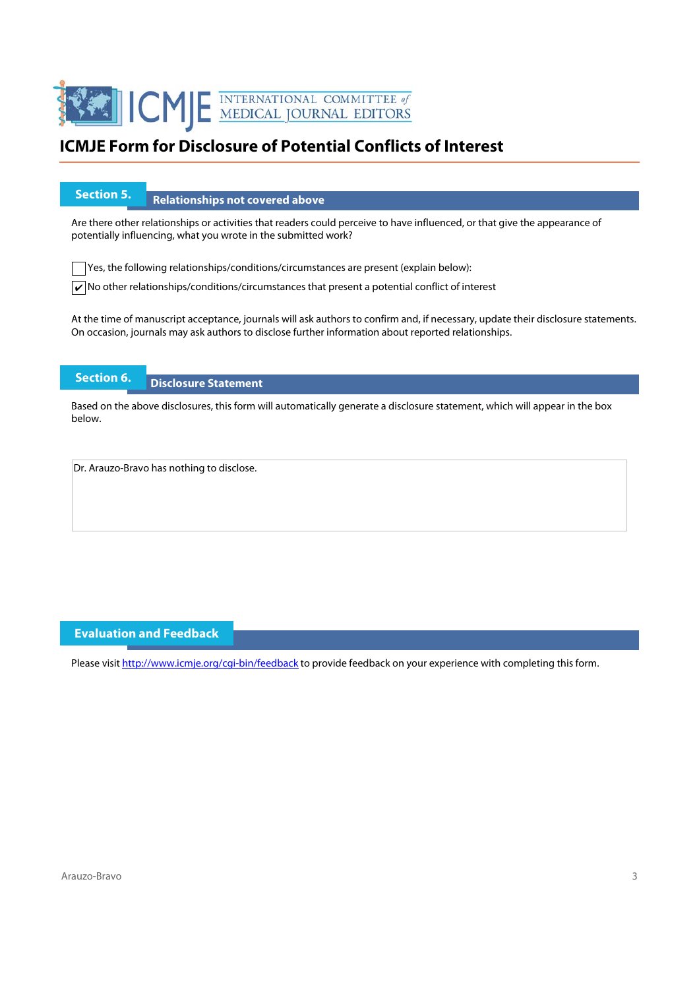

## **Section 5.** Relationships not covered above

Are there other relationships or activities that readers could perceive to have influenced, or that give the appearance of potentially influencing, what you wrote in the submitted work?

 $\Box$  Yes, the following relationships/conditions/circumstances are present (explain below):

 $\boxed{\mathbf{v}}$  No other relationships/conditions/circumstances that present a potential conflict of interest

At the time of manuscript acceptance, journals will ask authors to confirm and, if necessary, update their disclosure statements. On occasion, journals may ask authors to disclose further information about reported relationships.

## **Disclosure Statement Section 6.**

Based on the above disclosures, this form will automatically generate a disclosure statement, which will appear in the box below.

Dr. Arauzo-Bravo has nothing to disclose.

### **Evaluation and Feedback**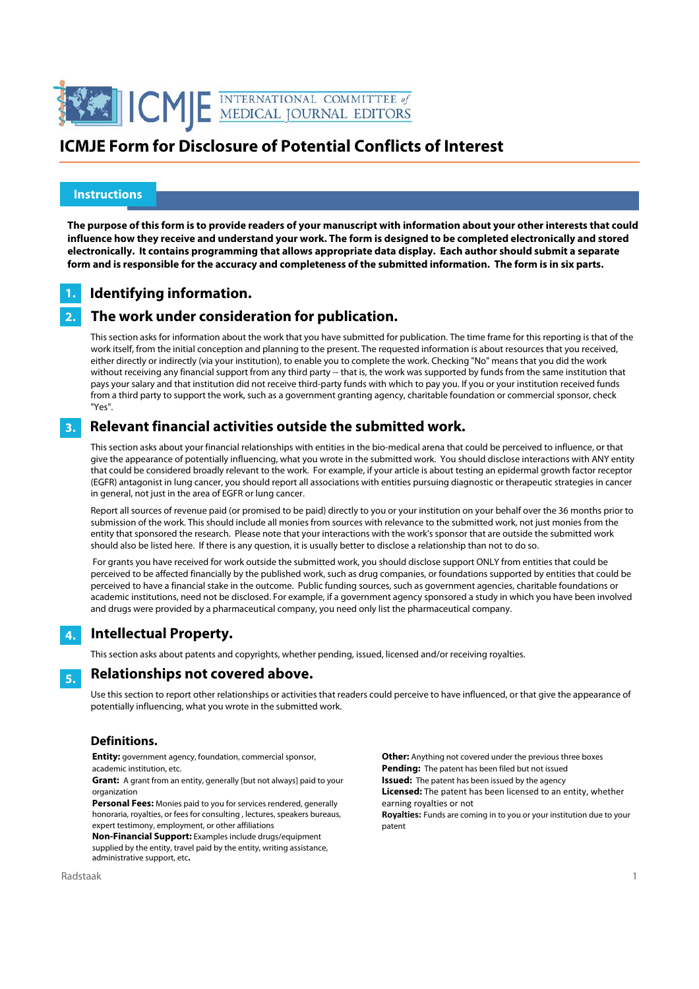

### **Instructions**

**2.**

**The purpose of this form is to provide readers of your manuscript with information about your other interests that could influence how they receive and understand your work. The form is designed to be completed electronically and stored electronically. It contains programming that allows appropriate data display. Each author should submit a separate form and is responsible for the accuracy and completeness of the submitted information. The form is in six parts.** 

#### **Identifying information. 1.**

### **The work under consideration for publication.**

This section asks for information about the work that you have submitted for publication. The time frame for this reporting is that of the work itself, from the initial conception and planning to the present. The requested information is about resources that you received, either directly or indirectly (via your institution), to enable you to complete the work. Checking "No" means that you did the work without receiving any financial support from any third party -- that is, the work was supported by funds from the same institution that pays your salary and that institution did not receive third-party funds with which to pay you. If you or your institution received funds from a third party to support the work, such as a government granting agency, charitable foundation or commercial sponsor, check "Yes".

#### **Relevant financial activities outside the submitted work. 3.**

This section asks about your financial relationships with entities in the bio-medical arena that could be perceived to influence, or that give the appearance of potentially influencing, what you wrote in the submitted work. You should disclose interactions with ANY entity that could be considered broadly relevant to the work. For example, if your article is about testing an epidermal growth factor receptor (EGFR) antagonist in lung cancer, you should report all associations with entities pursuing diagnostic or therapeutic strategies in cancer in general, not just in the area of EGFR or lung cancer.

Report all sources of revenue paid (or promised to be paid) directly to you or your institution on your behalf over the 36 months prior to submission of the work. This should include all monies from sources with relevance to the submitted work, not just monies from the entity that sponsored the research. Please note that your interactions with the work's sponsor that are outside the submitted work should also be listed here. If there is any question, it is usually better to disclose a relationship than not to do so.

 For grants you have received for work outside the submitted work, you should disclose support ONLY from entities that could be perceived to be affected financially by the published work, such as drug companies, or foundations supported by entities that could be perceived to have a financial stake in the outcome. Public funding sources, such as government agencies, charitable foundations or academic institutions, need not be disclosed. For example, if a government agency sponsored a study in which you have been involved and drugs were provided by a pharmaceutical company, you need only list the pharmaceutical company.

### **Intellectual Property.**

This section asks about patents and copyrights, whether pending, issued, licensed and/or receiving royalties.

### **Relationships not covered above.**

Use this section to report other relationships or activities that readers could perceive to have influenced, or that give the appearance of potentially influencing, what you wrote in the submitted work.

### **Definitions.**

**Entity:** government agency, foundation, commercial sponsor, academic institution, etc.

**Grant:** A grant from an entity, generally [but not always] paid to your organization

**Personal Fees:** Monies paid to you for services rendered, generally honoraria, royalties, or fees for consulting , lectures, speakers bureaus, expert testimony, employment, or other affiliations

**Non-Financial Support:** Examples include drugs/equipment supplied by the entity, travel paid by the entity, writing assistance, administrative support, etc**.**

**Other:** Anything not covered under the previous three boxes **Pending:** The patent has been filed but not issued **Issued:** The patent has been issued by the agency **Licensed:** The patent has been licensed to an entity, whether earning royalties or not **Royalties:** Funds are coming in to you or your institution due to your patent

Radstaak 1

**4.**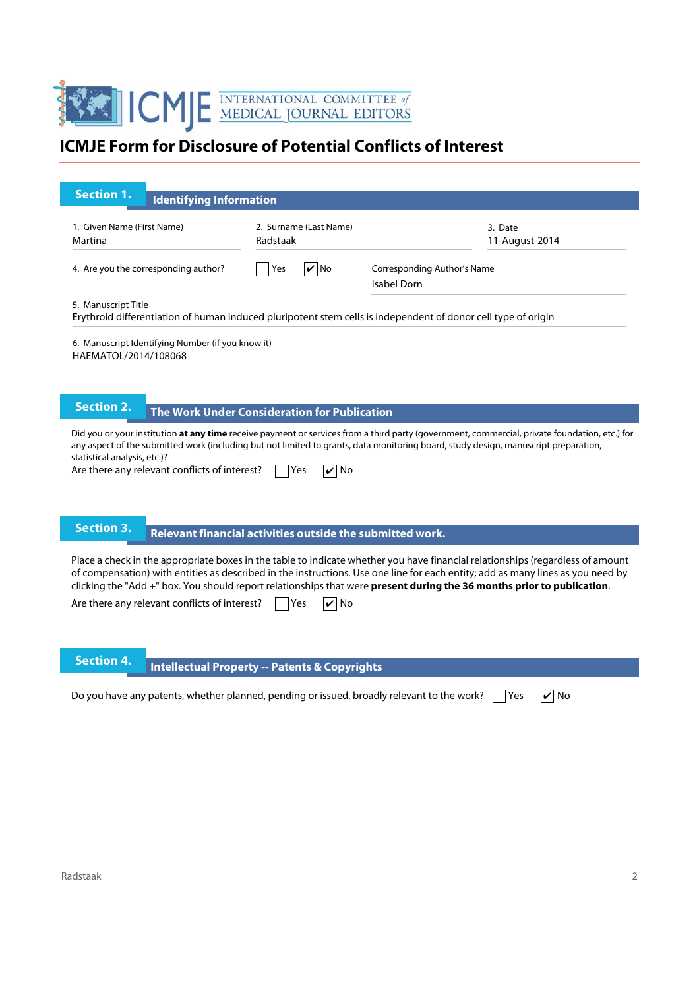

| <b>Section 1.</b>                                                                                                                                                                                                                                                                                                                                                                                                                                                | <b>Identifying Information</b>       |                                                           |                                                                                                                      |  |  |  |
|------------------------------------------------------------------------------------------------------------------------------------------------------------------------------------------------------------------------------------------------------------------------------------------------------------------------------------------------------------------------------------------------------------------------------------------------------------------|--------------------------------------|-----------------------------------------------------------|----------------------------------------------------------------------------------------------------------------------|--|--|--|
|                                                                                                                                                                                                                                                                                                                                                                                                                                                                  |                                      |                                                           |                                                                                                                      |  |  |  |
| 1. Given Name (First Name)<br>Martina                                                                                                                                                                                                                                                                                                                                                                                                                            |                                      | 2. Surname (Last Name)<br>Radstaak                        | 3. Date<br>11-August-2014                                                                                            |  |  |  |
|                                                                                                                                                                                                                                                                                                                                                                                                                                                                  | 4. Are you the corresponding author? | $\nu$  No<br>Yes                                          | Corresponding Author's Name<br><b>Isabel Dorn</b>                                                                    |  |  |  |
| 5. Manuscript Title<br>Erythroid differentiation of human induced pluripotent stem cells is independent of donor cell type of origin                                                                                                                                                                                                                                                                                                                             |                                      |                                                           |                                                                                                                      |  |  |  |
| 6. Manuscript Identifying Number (if you know it)<br>HAEMATOL/2014/108068                                                                                                                                                                                                                                                                                                                                                                                        |                                      |                                                           |                                                                                                                      |  |  |  |
|                                                                                                                                                                                                                                                                                                                                                                                                                                                                  |                                      |                                                           |                                                                                                                      |  |  |  |
| <b>Section 2.</b>                                                                                                                                                                                                                                                                                                                                                                                                                                                |                                      | The Work Under Consideration for Publication              |                                                                                                                      |  |  |  |
| Did you or your institution at any time receive payment or services from a third party (government, commercial, private foundation, etc.) for<br>any aspect of the submitted work (including but not limited to grants, data monitoring board, study design, manuscript preparation,<br>statistical analysis, etc.)?<br>Are there any relevant conflicts of interest?<br>$\mathbf{v}$ No<br>Yes                                                                  |                                      |                                                           |                                                                                                                      |  |  |  |
|                                                                                                                                                                                                                                                                                                                                                                                                                                                                  |                                      |                                                           |                                                                                                                      |  |  |  |
| <b>Section 3.</b>                                                                                                                                                                                                                                                                                                                                                                                                                                                |                                      | Relevant financial activities outside the submitted work. |                                                                                                                      |  |  |  |
| Place a check in the appropriate boxes in the table to indicate whether you have financial relationships (regardless of amount<br>of compensation) with entities as described in the instructions. Use one line for each entity; add as many lines as you need by<br>clicking the "Add +" box. You should report relationships that were present during the 36 months prior to publication.<br>Are there any relevant conflicts of interest?<br>✓<br>  No<br>Yes |                                      |                                                           |                                                                                                                      |  |  |  |
|                                                                                                                                                                                                                                                                                                                                                                                                                                                                  |                                      |                                                           |                                                                                                                      |  |  |  |
| <b>Section 4.</b>                                                                                                                                                                                                                                                                                                                                                                                                                                                |                                      | <b>Intellectual Property -- Patents &amp; Copyrights</b>  |                                                                                                                      |  |  |  |
|                                                                                                                                                                                                                                                                                                                                                                                                                                                                  |                                      |                                                           | Do you have any patents, whether planned, pending or issued, broadly relevant to the work?<br>Yes<br>$\mathbf{v}$ No |  |  |  |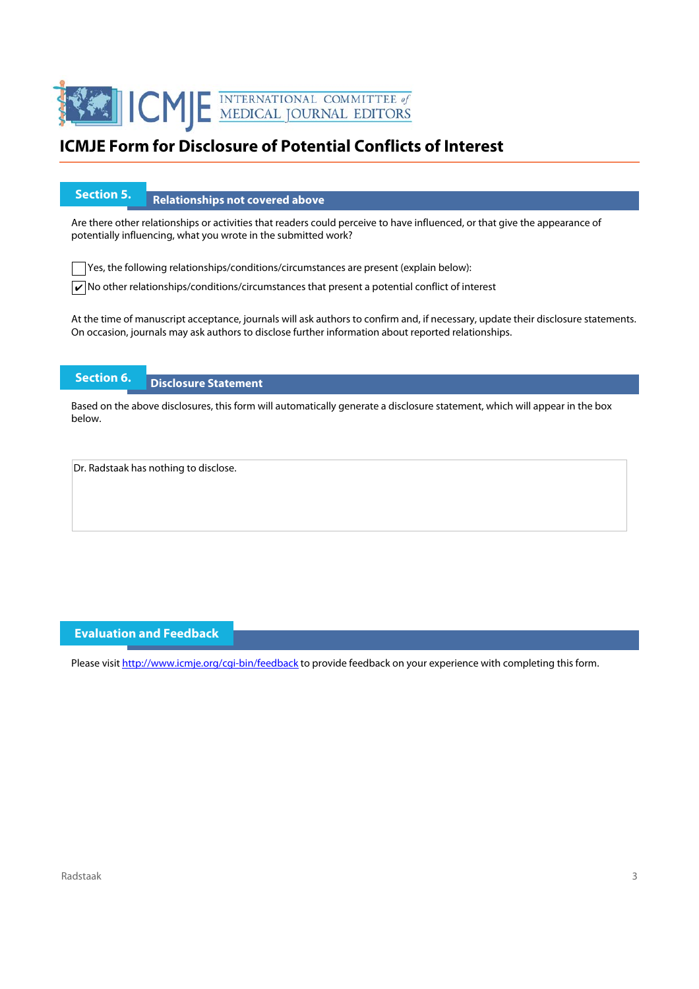

## **Section 5.** Relationships not covered above

Are there other relationships or activities that readers could perceive to have influenced, or that give the appearance of potentially influencing, what you wrote in the submitted work?

 $\Box$  Yes, the following relationships/conditions/circumstances are present (explain below):

 $\boxed{\mathbf{v}}$  No other relationships/conditions/circumstances that present a potential conflict of interest

At the time of manuscript acceptance, journals will ask authors to confirm and, if necessary, update their disclosure statements. On occasion, journals may ask authors to disclose further information about reported relationships.

## **Disclosure Statement Section 6.**

Based on the above disclosures, this form will automatically generate a disclosure statement, which will appear in the box below.

Dr. Radstaak has nothing to disclose.

### **Evaluation and Feedback**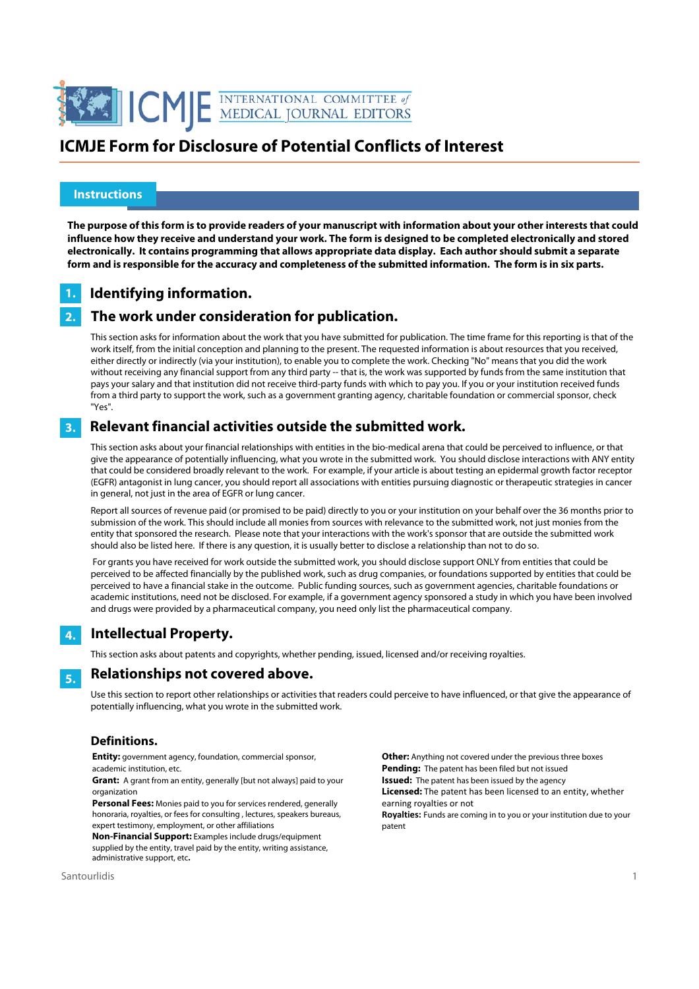

### **Instructions**

**2.**

**4.**

**5.**

**The purpose of this form is to provide readers of your manuscript with information about your other interests that could influence how they receive and understand your work. The form is designed to be completed electronically and stored electronically. It contains programming that allows appropriate data display. Each author should submit a separate form and is responsible for the accuracy and completeness of the submitted information. The form is in six parts.** 

#### **Identifying information. 1.**

### **The work under consideration for publication.**

This section asks for information about the work that you have submitted for publication. The time frame for this reporting is that of the work itself, from the initial conception and planning to the present. The requested information is about resources that you received, either directly or indirectly (via your institution), to enable you to complete the work. Checking "No" means that you did the work without receiving any financial support from any third party -- that is, the work was supported by funds from the same institution that pays your salary and that institution did not receive third-party funds with which to pay you. If you or your institution received funds from a third party to support the work, such as a government granting agency, charitable foundation or commercial sponsor, check "Yes".

#### **Relevant financial activities outside the submitted work. 3.**

This section asks about your financial relationships with entities in the bio-medical arena that could be perceived to influence, or that give the appearance of potentially influencing, what you wrote in the submitted work. You should disclose interactions with ANY entity that could be considered broadly relevant to the work. For example, if your article is about testing an epidermal growth factor receptor (EGFR) antagonist in lung cancer, you should report all associations with entities pursuing diagnostic or therapeutic strategies in cancer in general, not just in the area of EGFR or lung cancer.

Report all sources of revenue paid (or promised to be paid) directly to you or your institution on your behalf over the 36 months prior to submission of the work. This should include all monies from sources with relevance to the submitted work, not just monies from the entity that sponsored the research. Please note that your interactions with the work's sponsor that are outside the submitted work should also be listed here. If there is any question, it is usually better to disclose a relationship than not to do so.

 For grants you have received for work outside the submitted work, you should disclose support ONLY from entities that could be perceived to be affected financially by the published work, such as drug companies, or foundations supported by entities that could be perceived to have a financial stake in the outcome. Public funding sources, such as government agencies, charitable foundations or academic institutions, need not be disclosed. For example, if a government agency sponsored a study in which you have been involved and drugs were provided by a pharmaceutical company, you need only list the pharmaceutical company.

### **Intellectual Property.**

This section asks about patents and copyrights, whether pending, issued, licensed and/or receiving royalties.

### **Relationships not covered above.**

Use this section to report other relationships or activities that readers could perceive to have influenced, or that give the appearance of potentially influencing, what you wrote in the submitted work.

### **Definitions.**

**Entity:** government agency, foundation, commercial sponsor, academic institution, etc.

**Grant:** A grant from an entity, generally [but not always] paid to your organization

**Personal Fees:** Monies paid to you for services rendered, generally honoraria, royalties, or fees for consulting , lectures, speakers bureaus, expert testimony, employment, or other affiliations

**Non-Financial Support:** Examples include drugs/equipment supplied by the entity, travel paid by the entity, writing assistance, administrative support, etc**.**

**Other:** Anything not covered under the previous three boxes **Pending:** The patent has been filed but not issued **Issued:** The patent has been issued by the agency **Licensed:** The patent has been licensed to an entity, whether earning royalties or not **Royalties:** Funds are coming in to you or your institution due to your patent

Santourlidis 1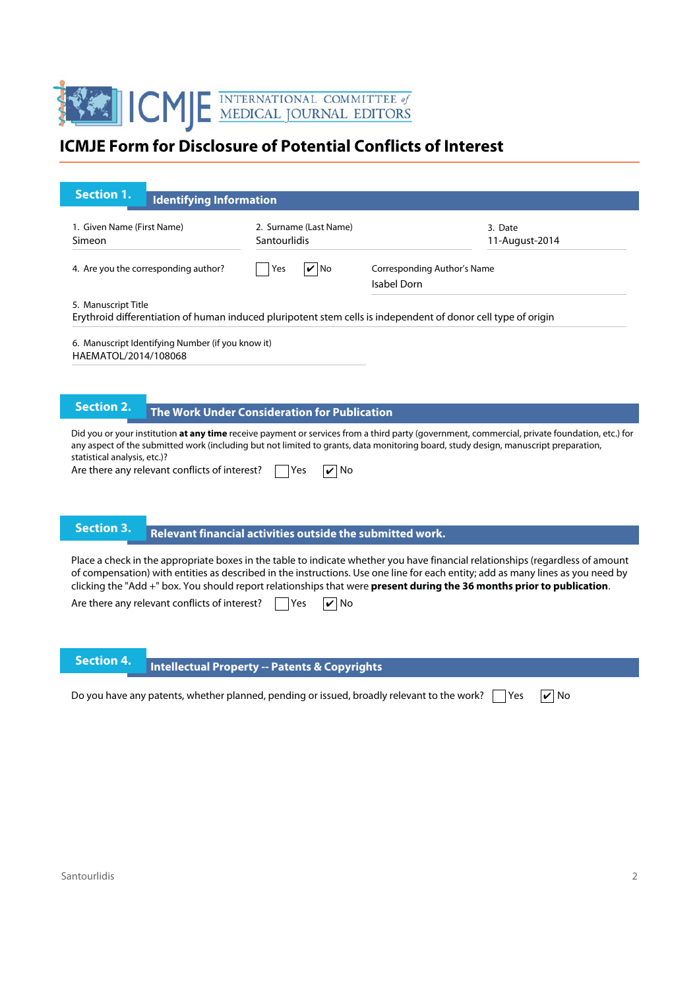

| <b>Section 1.</b>                                                                                                                                                                                                                                                                                                                                                                                                                                                         | <b>Identifying Information</b> |                                                           |                                                                                                                      |  |  |  |
|---------------------------------------------------------------------------------------------------------------------------------------------------------------------------------------------------------------------------------------------------------------------------------------------------------------------------------------------------------------------------------------------------------------------------------------------------------------------------|--------------------------------|-----------------------------------------------------------|----------------------------------------------------------------------------------------------------------------------|--|--|--|
| 1. Given Name (First Name)<br>Simeon                                                                                                                                                                                                                                                                                                                                                                                                                                      |                                | 2. Surname (Last Name)<br>Santourlidis                    | 3. Date<br>11-August-2014                                                                                            |  |  |  |
| 4. Are you the corresponding author?                                                                                                                                                                                                                                                                                                                                                                                                                                      |                                | $\mathbf{v}$ No<br>Yes                                    | Corresponding Author's Name<br>Isabel Dorn                                                                           |  |  |  |
| 5. Manuscript Title<br>Erythroid differentiation of human induced pluripotent stem cells is independent of donor cell type of origin                                                                                                                                                                                                                                                                                                                                      |                                |                                                           |                                                                                                                      |  |  |  |
| 6. Manuscript Identifying Number (if you know it)<br>HAEMATOL/2014/108068                                                                                                                                                                                                                                                                                                                                                                                                 |                                |                                                           |                                                                                                                      |  |  |  |
|                                                                                                                                                                                                                                                                                                                                                                                                                                                                           |                                |                                                           |                                                                                                                      |  |  |  |
| <b>Section 2.</b>                                                                                                                                                                                                                                                                                                                                                                                                                                                         |                                | The Work Under Consideration for Publication              |                                                                                                                      |  |  |  |
| Did you or your institution at any time receive payment or services from a third party (government, commercial, private foundation, etc.) for<br>any aspect of the submitted work (including but not limited to grants, data monitoring board, study design, manuscript preparation,<br>statistical analysis, etc.)?<br>Are there any relevant conflicts of interest?<br>Yes<br>No                                                                                        |                                |                                                           |                                                                                                                      |  |  |  |
|                                                                                                                                                                                                                                                                                                                                                                                                                                                                           |                                |                                                           |                                                                                                                      |  |  |  |
| <b>Section 3.</b>                                                                                                                                                                                                                                                                                                                                                                                                                                                         |                                | Relevant financial activities outside the submitted work. |                                                                                                                      |  |  |  |
| Place a check in the appropriate boxes in the table to indicate whether you have financial relationships (regardless of amount<br>of compensation) with entities as described in the instructions. Use one line for each entity; add as many lines as you need by<br>clicking the "Add +" box. You should report relationships that were present during the 36 months prior to publication.<br>Are there any relevant conflicts of interest?<br>$\checkmark$<br>No<br>Yes |                                |                                                           |                                                                                                                      |  |  |  |
|                                                                                                                                                                                                                                                                                                                                                                                                                                                                           |                                |                                                           |                                                                                                                      |  |  |  |
| <b>Section 4.</b>                                                                                                                                                                                                                                                                                                                                                                                                                                                         |                                | <b>Intellectual Property -- Patents &amp; Copyrights</b>  |                                                                                                                      |  |  |  |
|                                                                                                                                                                                                                                                                                                                                                                                                                                                                           |                                |                                                           | Do you have any patents, whether planned, pending or issued, broadly relevant to the work?<br>$\mathbf{v}$ No<br>Yes |  |  |  |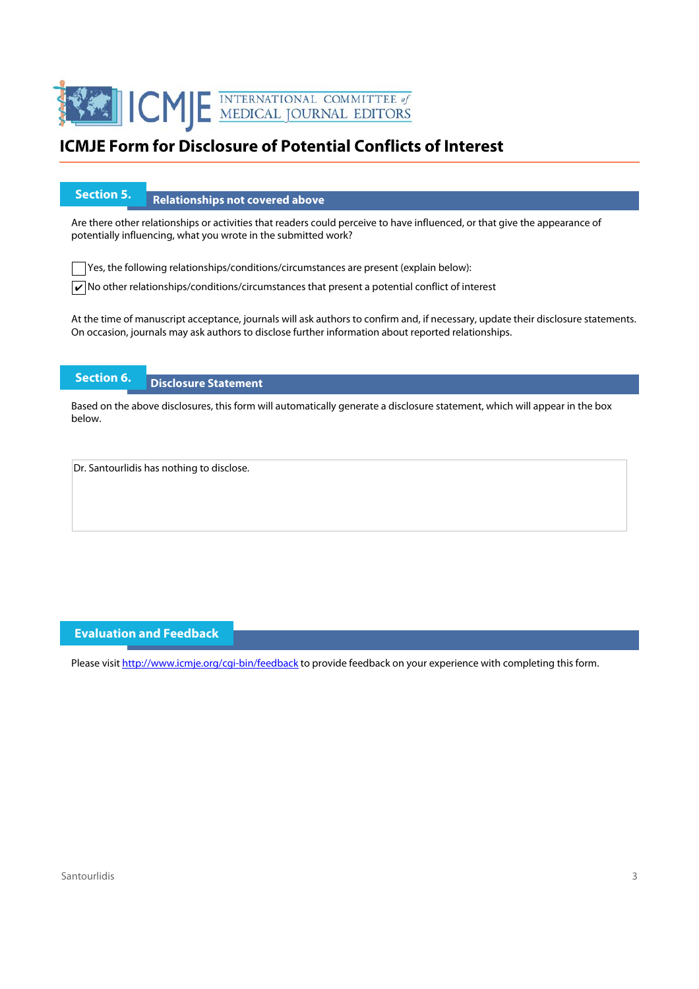

## **Section 5.** Relationships not covered above

Are there other relationships or activities that readers could perceive to have influenced, or that give the appearance of potentially influencing, what you wrote in the submitted work?

 $\Box$  Yes, the following relationships/conditions/circumstances are present (explain below):

 $\boxed{\mathbf{v}}$  No other relationships/conditions/circumstances that present a potential conflict of interest

At the time of manuscript acceptance, journals will ask authors to confirm and, if necessary, update their disclosure statements. On occasion, journals may ask authors to disclose further information about reported relationships.

## **Disclosure Statement Section 6.**

Based on the above disclosures, this form will automatically generate a disclosure statement, which will appear in the box below.

Dr. Santourlidis has nothing to disclose.

### **Evaluation and Feedback**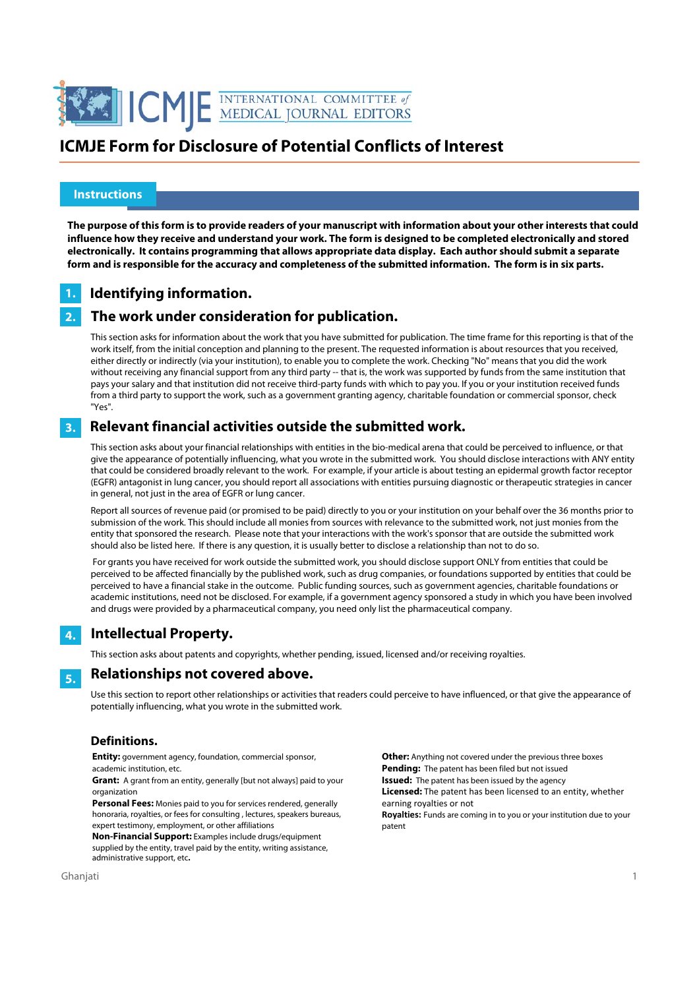

### **Instructions**

**2.**

**The purpose of this form is to provide readers of your manuscript with information about your other interests that could influence how they receive and understand your work. The form is designed to be completed electronically and stored electronically. It contains programming that allows appropriate data display. Each author should submit a separate form and is responsible for the accuracy and completeness of the submitted information. The form is in six parts.** 

#### **Identifying information. 1.**

### **The work under consideration for publication.**

This section asks for information about the work that you have submitted for publication. The time frame for this reporting is that of the work itself, from the initial conception and planning to the present. The requested information is about resources that you received, either directly or indirectly (via your institution), to enable you to complete the work. Checking "No" means that you did the work without receiving any financial support from any third party -- that is, the work was supported by funds from the same institution that pays your salary and that institution did not receive third-party funds with which to pay you. If you or your institution received funds from a third party to support the work, such as a government granting agency, charitable foundation or commercial sponsor, check "Yes".

#### **Relevant financial activities outside the submitted work. 3.**

This section asks about your financial relationships with entities in the bio-medical arena that could be perceived to influence, or that give the appearance of potentially influencing, what you wrote in the submitted work. You should disclose interactions with ANY entity that could be considered broadly relevant to the work. For example, if your article is about testing an epidermal growth factor receptor (EGFR) antagonist in lung cancer, you should report all associations with entities pursuing diagnostic or therapeutic strategies in cancer in general, not just in the area of EGFR or lung cancer.

Report all sources of revenue paid (or promised to be paid) directly to you or your institution on your behalf over the 36 months prior to submission of the work. This should include all monies from sources with relevance to the submitted work, not just monies from the entity that sponsored the research. Please note that your interactions with the work's sponsor that are outside the submitted work should also be listed here. If there is any question, it is usually better to disclose a relationship than not to do so.

 For grants you have received for work outside the submitted work, you should disclose support ONLY from entities that could be perceived to be affected financially by the published work, such as drug companies, or foundations supported by entities that could be perceived to have a financial stake in the outcome. Public funding sources, such as government agencies, charitable foundations or academic institutions, need not be disclosed. For example, if a government agency sponsored a study in which you have been involved and drugs were provided by a pharmaceutical company, you need only list the pharmaceutical company.

### **Intellectual Property.**

This section asks about patents and copyrights, whether pending, issued, licensed and/or receiving royalties.

### **Relationships not covered above.**

Use this section to report other relationships or activities that readers could perceive to have influenced, or that give the appearance of potentially influencing, what you wrote in the submitted work.

### **Definitions.**

**Entity:** government agency, foundation, commercial sponsor, academic institution, etc.

**Grant:** A grant from an entity, generally [but not always] paid to your organization

**Personal Fees:** Monies paid to you for services rendered, generally honoraria, royalties, or fees for consulting , lectures, speakers bureaus, expert testimony, employment, or other affiliations

**Non-Financial Support:** Examples include drugs/equipment supplied by the entity, travel paid by the entity, writing assistance, administrative support, etc**.**

**Other:** Anything not covered under the previous three boxes **Pending:** The patent has been filed but not issued **Issued:** The patent has been issued by the agency **Licensed:** The patent has been licensed to an entity, whether earning royalties or not **Royalties:** Funds are coming in to you or your institution due to your patent

Ghanjati 1

**4.**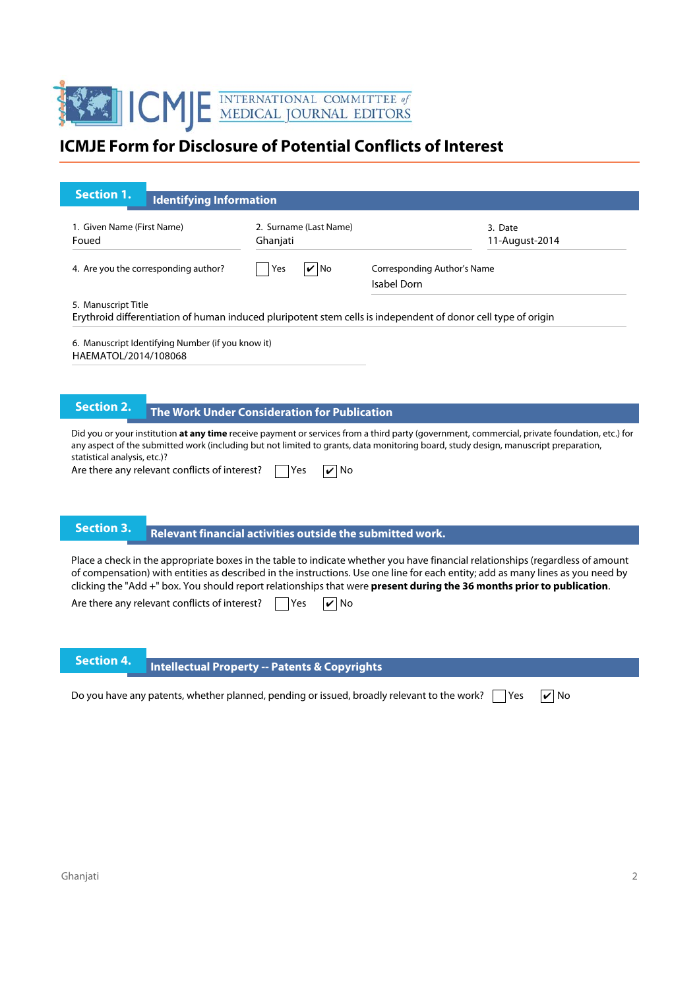

| <b>Section 1.</b>                                                                                                                                                                                                                                                                                                                                                                           | <b>Identifying Information</b>                           |                                    |                                                                                                                                                                                                                                                                                      |  |  |  |  |
|---------------------------------------------------------------------------------------------------------------------------------------------------------------------------------------------------------------------------------------------------------------------------------------------------------------------------------------------------------------------------------------------|----------------------------------------------------------|------------------------------------|--------------------------------------------------------------------------------------------------------------------------------------------------------------------------------------------------------------------------------------------------------------------------------------|--|--|--|--|
| 1. Given Name (First Name)<br>Foued                                                                                                                                                                                                                                                                                                                                                         |                                                          | 2. Surname (Last Name)<br>Ghanjati | 3. Date<br>11-August-2014                                                                                                                                                                                                                                                            |  |  |  |  |
|                                                                                                                                                                                                                                                                                                                                                                                             | 4. Are you the corresponding author?                     | $\mathbf{v}$ No<br>Yes             | Corresponding Author's Name<br>Isabel Dorn                                                                                                                                                                                                                                           |  |  |  |  |
| 5. Manuscript Title<br>Erythroid differentiation of human induced pluripotent stem cells is independent of donor cell type of origin                                                                                                                                                                                                                                                        |                                                          |                                    |                                                                                                                                                                                                                                                                                      |  |  |  |  |
| 6. Manuscript Identifying Number (if you know it)<br>HAEMATOL/2014/108068                                                                                                                                                                                                                                                                                                                   |                                                          |                                    |                                                                                                                                                                                                                                                                                      |  |  |  |  |
|                                                                                                                                                                                                                                                                                                                                                                                             |                                                          |                                    |                                                                                                                                                                                                                                                                                      |  |  |  |  |
| <b>Section 2.</b>                                                                                                                                                                                                                                                                                                                                                                           | The Work Under Consideration for Publication             |                                    |                                                                                                                                                                                                                                                                                      |  |  |  |  |
| statistical analysis, etc.)?                                                                                                                                                                                                                                                                                                                                                                |                                                          |                                    | Did you or your institution at any time receive payment or services from a third party (government, commercial, private foundation, etc.) for<br>any aspect of the submitted work (including but not limited to grants, data monitoring board, study design, manuscript preparation, |  |  |  |  |
|                                                                                                                                                                                                                                                                                                                                                                                             | Are there any relevant conflicts of interest?            | Yes                                | $\mathbf{v}$ No                                                                                                                                                                                                                                                                      |  |  |  |  |
|                                                                                                                                                                                                                                                                                                                                                                                             |                                                          |                                    |                                                                                                                                                                                                                                                                                      |  |  |  |  |
| <b>Section 3.</b>                                                                                                                                                                                                                                                                                                                                                                           |                                                          |                                    | Relevant financial activities outside the submitted work.                                                                                                                                                                                                                            |  |  |  |  |
| Place a check in the appropriate boxes in the table to indicate whether you have financial relationships (regardless of amount<br>of compensation) with entities as described in the instructions. Use one line for each entity; add as many lines as you need by<br>clicking the "Add +" box. You should report relationships that were present during the 36 months prior to publication. |                                                          |                                    |                                                                                                                                                                                                                                                                                      |  |  |  |  |
|                                                                                                                                                                                                                                                                                                                                                                                             | Are there any relevant conflicts of interest?            | Yes<br>$\boldsymbol{\nu}$          | l No                                                                                                                                                                                                                                                                                 |  |  |  |  |
|                                                                                                                                                                                                                                                                                                                                                                                             |                                                          |                                    |                                                                                                                                                                                                                                                                                      |  |  |  |  |
| <b>Section 4.</b>                                                                                                                                                                                                                                                                                                                                                                           | <b>Intellectual Property -- Patents &amp; Copyrights</b> |                                    |                                                                                                                                                                                                                                                                                      |  |  |  |  |
|                                                                                                                                                                                                                                                                                                                                                                                             |                                                          |                                    | Do you have any patents, whether planned, pending or issued, broadly relevant to the work?<br>$\mathbf{v}$ No<br>Yes                                                                                                                                                                 |  |  |  |  |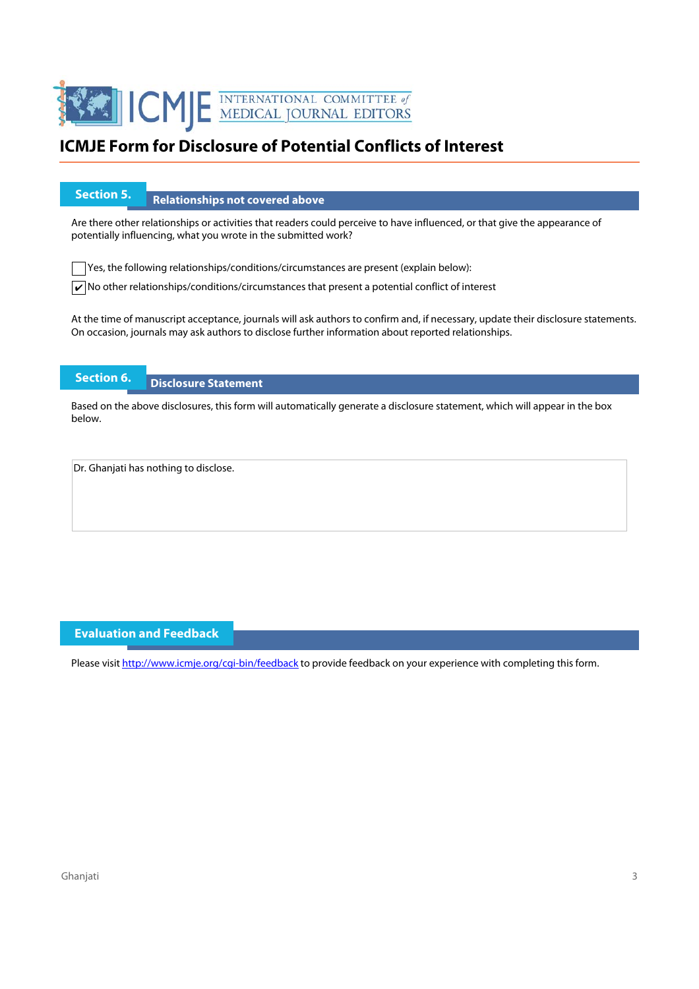

## **Section 5.** Relationships not covered above

Are there other relationships or activities that readers could perceive to have influenced, or that give the appearance of potentially influencing, what you wrote in the submitted work?

 $\Box$  Yes, the following relationships/conditions/circumstances are present (explain below):

 $\boxed{\mathbf{v}}$  No other relationships/conditions/circumstances that present a potential conflict of interest

At the time of manuscript acceptance, journals will ask authors to confirm and, if necessary, update their disclosure statements. On occasion, journals may ask authors to disclose further information about reported relationships.

## **Disclosure Statement Section 6.**

Based on the above disclosures, this form will automatically generate a disclosure statement, which will appear in the box below.

Dr. Ghanjati has nothing to disclose.

### **Evaluation and Feedback**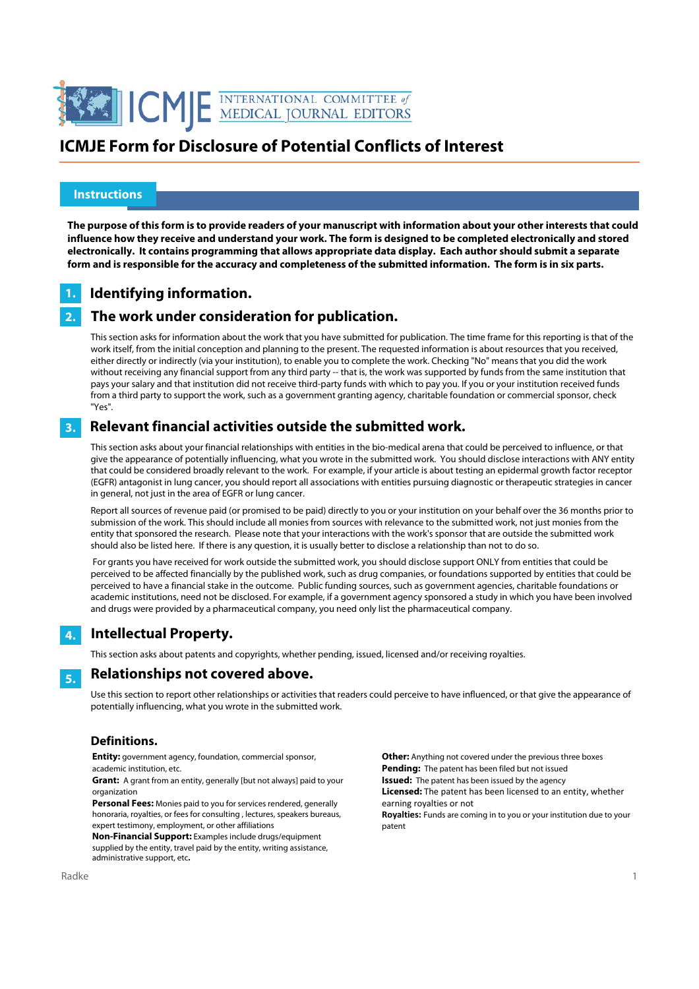

### **Instructions**

**2.**

**The purpose of this form is to provide readers of your manuscript with information about your other interests that could influence how they receive and understand your work. The form is designed to be completed electronically and stored electronically. It contains programming that allows appropriate data display. Each author should submit a separate form and is responsible for the accuracy and completeness of the submitted information. The form is in six parts.** 

#### **Identifying information. 1.**

### **The work under consideration for publication.**

This section asks for information about the work that you have submitted for publication. The time frame for this reporting is that of the work itself, from the initial conception and planning to the present. The requested information is about resources that you received, either directly or indirectly (via your institution), to enable you to complete the work. Checking "No" means that you did the work without receiving any financial support from any third party -- that is, the work was supported by funds from the same institution that pays your salary and that institution did not receive third-party funds with which to pay you. If you or your institution received funds from a third party to support the work, such as a government granting agency, charitable foundation or commercial sponsor, check "Yes".

#### **Relevant financial activities outside the submitted work. 3.**

This section asks about your financial relationships with entities in the bio-medical arena that could be perceived to influence, or that give the appearance of potentially influencing, what you wrote in the submitted work. You should disclose interactions with ANY entity that could be considered broadly relevant to the work. For example, if your article is about testing an epidermal growth factor receptor (EGFR) antagonist in lung cancer, you should report all associations with entities pursuing diagnostic or therapeutic strategies in cancer in general, not just in the area of EGFR or lung cancer.

Report all sources of revenue paid (or promised to be paid) directly to you or your institution on your behalf over the 36 months prior to submission of the work. This should include all monies from sources with relevance to the submitted work, not just monies from the entity that sponsored the research. Please note that your interactions with the work's sponsor that are outside the submitted work should also be listed here. If there is any question, it is usually better to disclose a relationship than not to do so.

 For grants you have received for work outside the submitted work, you should disclose support ONLY from entities that could be perceived to be affected financially by the published work, such as drug companies, or foundations supported by entities that could be perceived to have a financial stake in the outcome. Public funding sources, such as government agencies, charitable foundations or academic institutions, need not be disclosed. For example, if a government agency sponsored a study in which you have been involved and drugs were provided by a pharmaceutical company, you need only list the pharmaceutical company.

### **Intellectual Property.**

This section asks about patents and copyrights, whether pending, issued, licensed and/or receiving royalties.

### **Relationships not covered above.**

Use this section to report other relationships or activities that readers could perceive to have influenced, or that give the appearance of potentially influencing, what you wrote in the submitted work.

### **Definitions.**

**Entity:** government agency, foundation, commercial sponsor, academic institution, etc.

**Grant:** A grant from an entity, generally [but not always] paid to your organization

**Personal Fees:** Monies paid to you for services rendered, generally honoraria, royalties, or fees for consulting , lectures, speakers bureaus, expert testimony, employment, or other affiliations

**Non-Financial Support:** Examples include drugs/equipment supplied by the entity, travel paid by the entity, writing assistance, administrative support, etc**.**

**Other:** Anything not covered under the previous three boxes **Pending:** The patent has been filed but not issued **Issued:** The patent has been issued by the agency **Licensed:** The patent has been licensed to an entity, whether earning royalties or not **Royalties:** Funds are coming in to you or your institution due to your patent

Radke to the control of the control of the control of the control of the control of the control of the control of the control of the control of the control of the control of the control of the control of the control of the

**4.**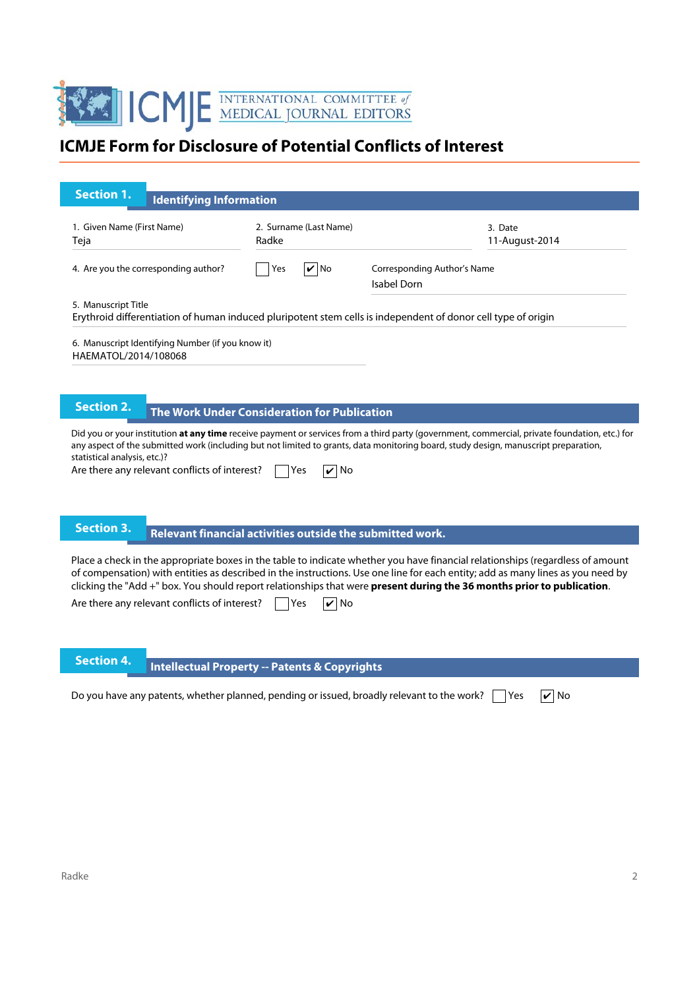

| <b>Section 1.</b>                                                                                                                                                                                                                                                                                                                                                                                                                                                                                                             | <b>Identifying Information</b>                           |          |                                                                                            |                           |  |  |  |
|-------------------------------------------------------------------------------------------------------------------------------------------------------------------------------------------------------------------------------------------------------------------------------------------------------------------------------------------------------------------------------------------------------------------------------------------------------------------------------------------------------------------------------|----------------------------------------------------------|----------|--------------------------------------------------------------------------------------------|---------------------------|--|--|--|
| 1. Given Name (First Name)<br>2. Surname (Last Name)<br>Radke<br>Teja                                                                                                                                                                                                                                                                                                                                                                                                                                                         |                                                          |          |                                                                                            | 3. Date<br>11-August-2014 |  |  |  |
| 4. Are you the corresponding author?                                                                                                                                                                                                                                                                                                                                                                                                                                                                                          | Yes                                                      | $\nu$ No | Corresponding Author's Name<br><b>Isabel Dorn</b>                                          |                           |  |  |  |
| 5. Manuscript Title<br>Erythroid differentiation of human induced pluripotent stem cells is independent of donor cell type of origin                                                                                                                                                                                                                                                                                                                                                                                          |                                                          |          |                                                                                            |                           |  |  |  |
| 6. Manuscript Identifying Number (if you know it)<br>HAEMATOL/2014/108068                                                                                                                                                                                                                                                                                                                                                                                                                                                     |                                                          |          |                                                                                            |                           |  |  |  |
|                                                                                                                                                                                                                                                                                                                                                                                                                                                                                                                               |                                                          |          |                                                                                            |                           |  |  |  |
| <b>Section 2.</b>                                                                                                                                                                                                                                                                                                                                                                                                                                                                                                             | The Work Under Consideration for Publication             |          |                                                                                            |                           |  |  |  |
| Did you or your institution at any time receive payment or services from a third party (government, commercial, private foundation, etc.) for<br>any aspect of the submitted work (including but not limited to grants, data monitoring board, study design, manuscript preparation,<br>statistical analysis, etc.)?<br>Are there any relevant conflicts of interest?<br>$\mathbf{v}$ No<br>Yes                                                                                                                               |                                                          |          |                                                                                            |                           |  |  |  |
| <b>Section 3.</b>                                                                                                                                                                                                                                                                                                                                                                                                                                                                                                             |                                                          |          |                                                                                            |                           |  |  |  |
| Relevant financial activities outside the submitted work.<br>Place a check in the appropriate boxes in the table to indicate whether you have financial relationships (regardless of amount<br>of compensation) with entities as described in the instructions. Use one line for each entity; add as many lines as you need by<br>clicking the "Add +" box. You should report relationships that were present during the 36 months prior to publication.<br>Are there any relevant conflicts of interest?<br>l No<br>V<br>Yes |                                                          |          |                                                                                            |                           |  |  |  |
| <b>Section 4.</b>                                                                                                                                                                                                                                                                                                                                                                                                                                                                                                             | <b>Intellectual Property -- Patents &amp; Copyrights</b> |          |                                                                                            |                           |  |  |  |
|                                                                                                                                                                                                                                                                                                                                                                                                                                                                                                                               |                                                          |          | Do you have any patents, whether planned, pending or issued, broadly relevant to the work? | Yes<br>$\mathbf{v}$ No    |  |  |  |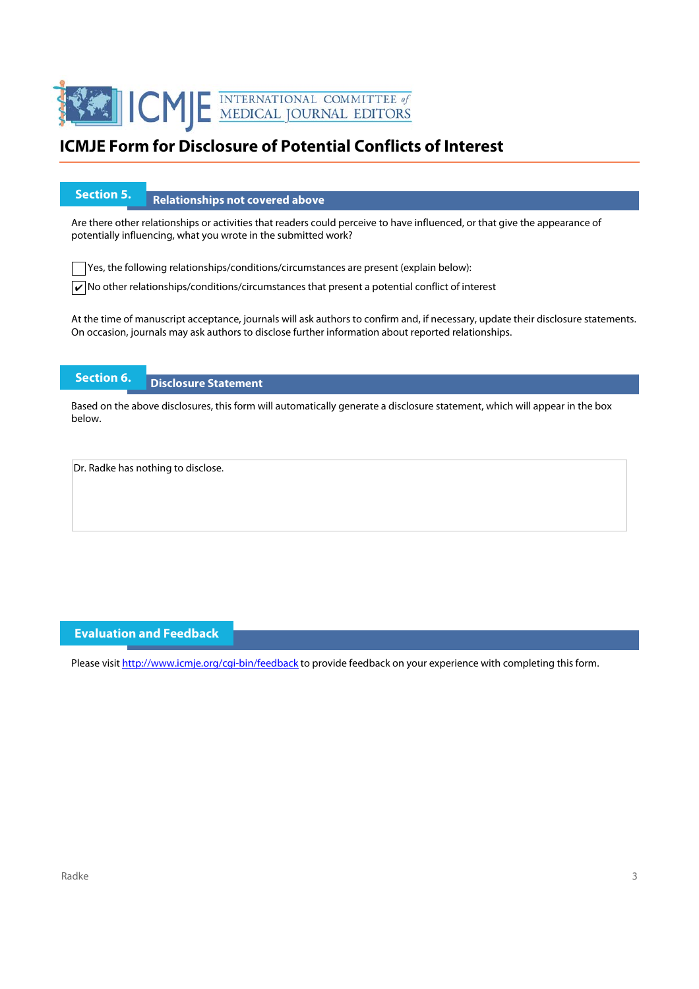

## **Section 5.** Relationships not covered above

Are there other relationships or activities that readers could perceive to have influenced, or that give the appearance of potentially influencing, what you wrote in the submitted work?

 $\Box$  Yes, the following relationships/conditions/circumstances are present (explain below):

 $\boxed{\mathbf{v}}$  No other relationships/conditions/circumstances that present a potential conflict of interest

At the time of manuscript acceptance, journals will ask authors to confirm and, if necessary, update their disclosure statements. On occasion, journals may ask authors to disclose further information about reported relationships.

## **Disclosure Statement Section 6.**

Based on the above disclosures, this form will automatically generate a disclosure statement, which will appear in the box below.

Dr. Radke has nothing to disclose.

### **Evaluation and Feedback**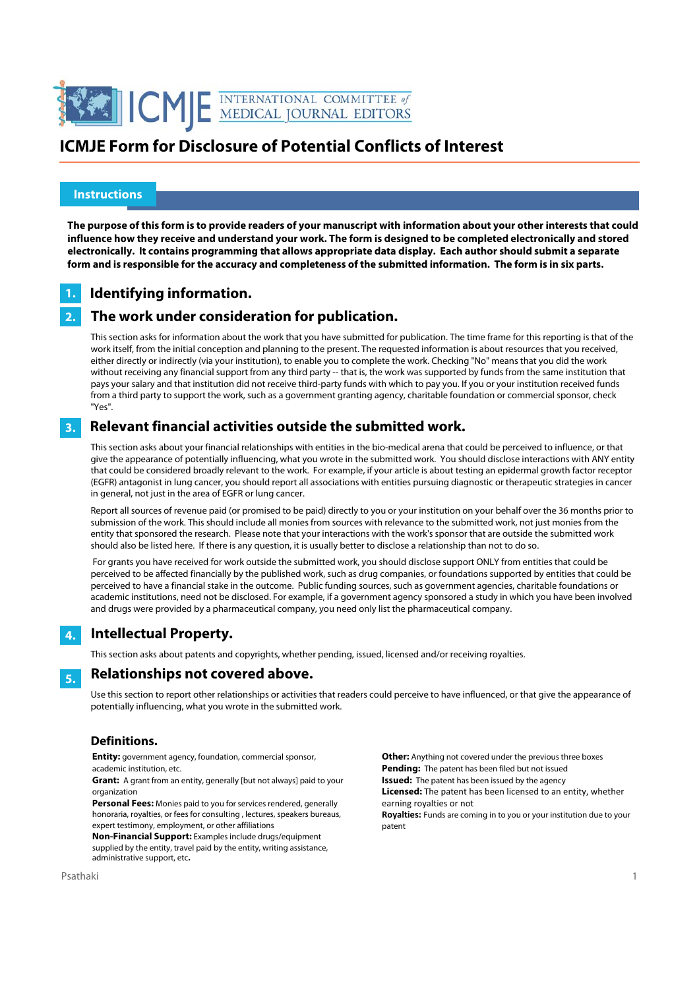

### **Instructions**

**2.**

**The purpose of this form is to provide readers of your manuscript with information about your other interests that could influence how they receive and understand your work. The form is designed to be completed electronically and stored electronically. It contains programming that allows appropriate data display. Each author should submit a separate form and is responsible for the accuracy and completeness of the submitted information. The form is in six parts.** 

#### **Identifying information. 1.**

### **The work under consideration for publication.**

This section asks for information about the work that you have submitted for publication. The time frame for this reporting is that of the work itself, from the initial conception and planning to the present. The requested information is about resources that you received, either directly or indirectly (via your institution), to enable you to complete the work. Checking "No" means that you did the work without receiving any financial support from any third party -- that is, the work was supported by funds from the same institution that pays your salary and that institution did not receive third-party funds with which to pay you. If you or your institution received funds from a third party to support the work, such as a government granting agency, charitable foundation or commercial sponsor, check "Yes".

#### **Relevant financial activities outside the submitted work. 3.**

This section asks about your financial relationships with entities in the bio-medical arena that could be perceived to influence, or that give the appearance of potentially influencing, what you wrote in the submitted work. You should disclose interactions with ANY entity that could be considered broadly relevant to the work. For example, if your article is about testing an epidermal growth factor receptor (EGFR) antagonist in lung cancer, you should report all associations with entities pursuing diagnostic or therapeutic strategies in cancer in general, not just in the area of EGFR or lung cancer.

Report all sources of revenue paid (or promised to be paid) directly to you or your institution on your behalf over the 36 months prior to submission of the work. This should include all monies from sources with relevance to the submitted work, not just monies from the entity that sponsored the research. Please note that your interactions with the work's sponsor that are outside the submitted work should also be listed here. If there is any question, it is usually better to disclose a relationship than not to do so.

 For grants you have received for work outside the submitted work, you should disclose support ONLY from entities that could be perceived to be affected financially by the published work, such as drug companies, or foundations supported by entities that could be perceived to have a financial stake in the outcome. Public funding sources, such as government agencies, charitable foundations or academic institutions, need not be disclosed. For example, if a government agency sponsored a study in which you have been involved and drugs were provided by a pharmaceutical company, you need only list the pharmaceutical company.

### **Intellectual Property.**

This section asks about patents and copyrights, whether pending, issued, licensed and/or receiving royalties.

### **Relationships not covered above.**

Use this section to report other relationships or activities that readers could perceive to have influenced, or that give the appearance of potentially influencing, what you wrote in the submitted work.

### **Definitions.**

**Entity:** government agency, foundation, commercial sponsor, academic institution, etc.

**Grant:** A grant from an entity, generally [but not always] paid to your organization

**Personal Fees:** Monies paid to you for services rendered, generally honoraria, royalties, or fees for consulting , lectures, speakers bureaus, expert testimony, employment, or other affiliations

**Non-Financial Support:** Examples include drugs/equipment supplied by the entity, travel paid by the entity, writing assistance, administrative support, etc**.**

**Other:** Anything not covered under the previous three boxes **Pending:** The patent has been filed but not issued **Issued:** The patent has been issued by the agency **Licensed:** The patent has been licensed to an entity, whether earning royalties or not **Royalties:** Funds are coming in to you or your institution due to your patent

Psathaki 1

**4.**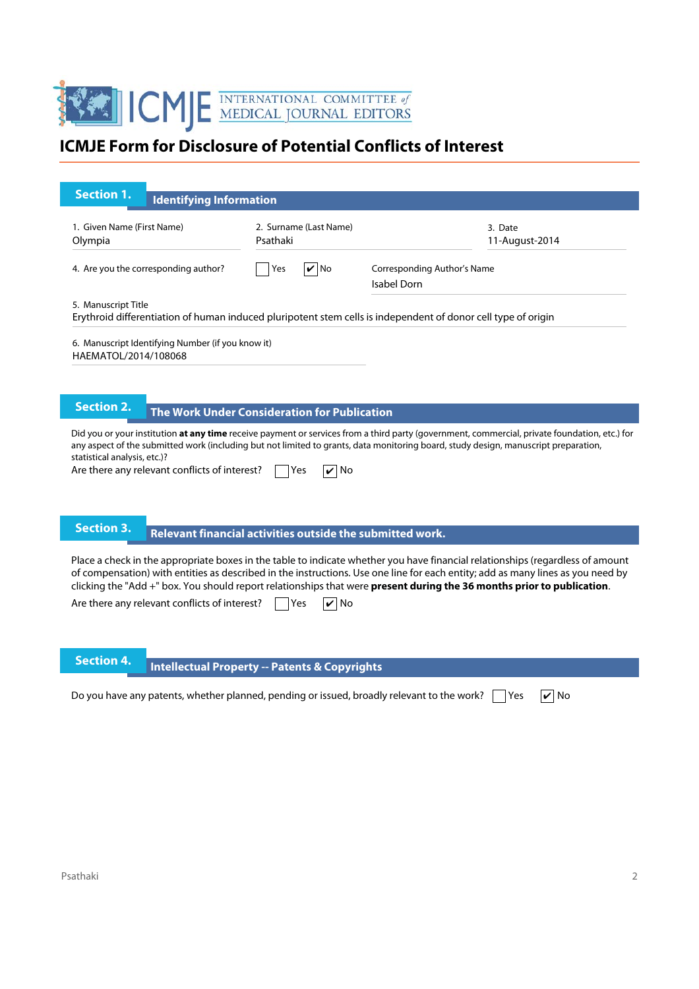

| <b>Section 1.</b>                                                                                                                                                                                                                                                                                                                                                                           | <b>Identifying Information</b>                            |                                    |                            |                                                                                            |                                                                                                                                                                                                                                                                                      |  |
|---------------------------------------------------------------------------------------------------------------------------------------------------------------------------------------------------------------------------------------------------------------------------------------------------------------------------------------------------------------------------------------------|-----------------------------------------------------------|------------------------------------|----------------------------|--------------------------------------------------------------------------------------------|--------------------------------------------------------------------------------------------------------------------------------------------------------------------------------------------------------------------------------------------------------------------------------------|--|
| 1. Given Name (First Name)<br>Olympia                                                                                                                                                                                                                                                                                                                                                       |                                                           | 2. Surname (Last Name)<br>Psathaki |                            |                                                                                            | 3. Date<br>11-August-2014                                                                                                                                                                                                                                                            |  |
|                                                                                                                                                                                                                                                                                                                                                                                             | 4. Are you the corresponding author?                      | Yes                                | $\mathbf{v}$ No            | Corresponding Author's Name<br>Isabel Dorn                                                 |                                                                                                                                                                                                                                                                                      |  |
| 5. Manuscript Title<br>Erythroid differentiation of human induced pluripotent stem cells is independent of donor cell type of origin                                                                                                                                                                                                                                                        |                                                           |                                    |                            |                                                                                            |                                                                                                                                                                                                                                                                                      |  |
| 6. Manuscript Identifying Number (if you know it)<br>HAEMATOL/2014/108068                                                                                                                                                                                                                                                                                                                   |                                                           |                                    |                            |                                                                                            |                                                                                                                                                                                                                                                                                      |  |
|                                                                                                                                                                                                                                                                                                                                                                                             |                                                           |                                    |                            |                                                                                            |                                                                                                                                                                                                                                                                                      |  |
| <b>Section 2.</b>                                                                                                                                                                                                                                                                                                                                                                           | The Work Under Consideration for Publication              |                                    |                            |                                                                                            |                                                                                                                                                                                                                                                                                      |  |
| statistical analysis, etc.)?                                                                                                                                                                                                                                                                                                                                                                |                                                           |                                    |                            |                                                                                            | Did you or your institution at any time receive payment or services from a third party (government, commercial, private foundation, etc.) for<br>any aspect of the submitted work (including but not limited to grants, data monitoring board, study design, manuscript preparation, |  |
|                                                                                                                                                                                                                                                                                                                                                                                             | Are there any relevant conflicts of interest?             | Yes                                | $\mathbf{v}$ No            |                                                                                            |                                                                                                                                                                                                                                                                                      |  |
|                                                                                                                                                                                                                                                                                                                                                                                             |                                                           |                                    |                            |                                                                                            |                                                                                                                                                                                                                                                                                      |  |
| <b>Section 3.</b>                                                                                                                                                                                                                                                                                                                                                                           | Relevant financial activities outside the submitted work. |                                    |                            |                                                                                            |                                                                                                                                                                                                                                                                                      |  |
| Place a check in the appropriate boxes in the table to indicate whether you have financial relationships (regardless of amount<br>of compensation) with entities as described in the instructions. Use one line for each entity; add as many lines as you need by<br>clicking the "Add +" box. You should report relationships that were present during the 36 months prior to publication. |                                                           |                                    |                            |                                                                                            |                                                                                                                                                                                                                                                                                      |  |
|                                                                                                                                                                                                                                                                                                                                                                                             | Are there any relevant conflicts of interest?             | Yes                                | $\boldsymbol{\nu}$<br>l No |                                                                                            |                                                                                                                                                                                                                                                                                      |  |
|                                                                                                                                                                                                                                                                                                                                                                                             |                                                           |                                    |                            |                                                                                            |                                                                                                                                                                                                                                                                                      |  |
| <b>Section 4.</b>                                                                                                                                                                                                                                                                                                                                                                           | <b>Intellectual Property -- Patents &amp; Copyrights</b>  |                                    |                            |                                                                                            |                                                                                                                                                                                                                                                                                      |  |
|                                                                                                                                                                                                                                                                                                                                                                                             |                                                           |                                    |                            | Do you have any patents, whether planned, pending or issued, broadly relevant to the work? | $\mathbf{v}$ No<br>Yes                                                                                                                                                                                                                                                               |  |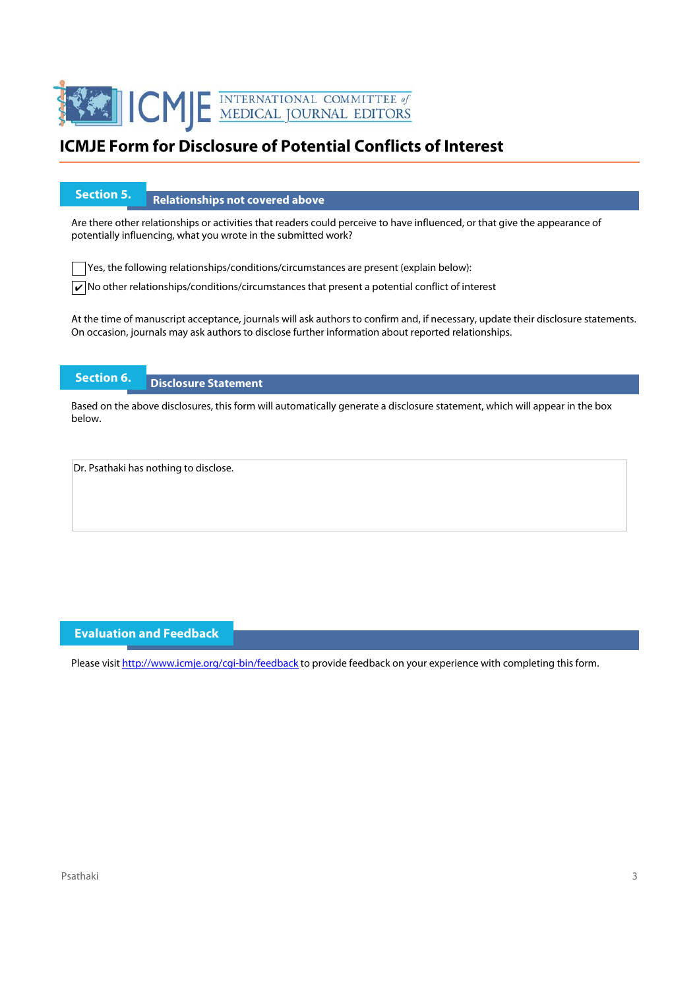

## **Section 5.** Relationships not covered above

Are there other relationships or activities that readers could perceive to have influenced, or that give the appearance of potentially influencing, what you wrote in the submitted work?

 $\Box$  Yes, the following relationships/conditions/circumstances are present (explain below):

 $\boxed{\mathbf{v}}$  No other relationships/conditions/circumstances that present a potential conflict of interest

At the time of manuscript acceptance, journals will ask authors to confirm and, if necessary, update their disclosure statements. On occasion, journals may ask authors to disclose further information about reported relationships.

## **Disclosure Statement Section 6.**

Based on the above disclosures, this form will automatically generate a disclosure statement, which will appear in the box below.

Dr. Psathaki has nothing to disclose.

### **Evaluation and Feedback**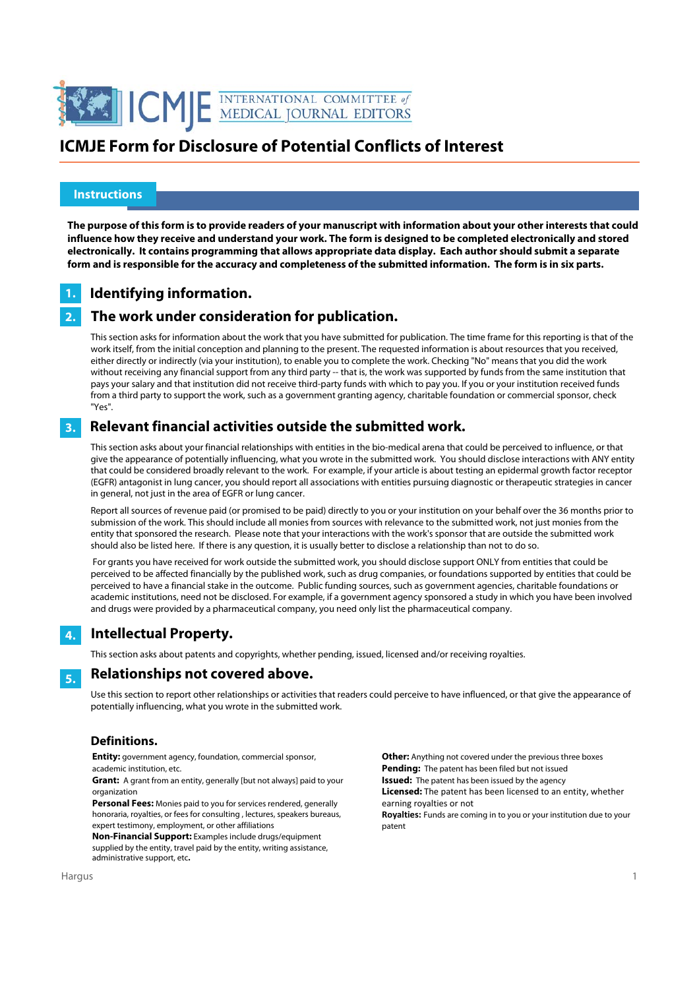

### **Instructions**

**2.**

**The purpose of this form is to provide readers of your manuscript with information about your other interests that could influence how they receive and understand your work. The form is designed to be completed electronically and stored electronically. It contains programming that allows appropriate data display. Each author should submit a separate form and is responsible for the accuracy and completeness of the submitted information. The form is in six parts.** 

#### **Identifying information. 1.**

### **The work under consideration for publication.**

This section asks for information about the work that you have submitted for publication. The time frame for this reporting is that of the work itself, from the initial conception and planning to the present. The requested information is about resources that you received, either directly or indirectly (via your institution), to enable you to complete the work. Checking "No" means that you did the work without receiving any financial support from any third party -- that is, the work was supported by funds from the same institution that pays your salary and that institution did not receive third-party funds with which to pay you. If you or your institution received funds from a third party to support the work, such as a government granting agency, charitable foundation or commercial sponsor, check "Yes".

#### **Relevant financial activities outside the submitted work. 3.**

This section asks about your financial relationships with entities in the bio-medical arena that could be perceived to influence, or that give the appearance of potentially influencing, what you wrote in the submitted work. You should disclose interactions with ANY entity that could be considered broadly relevant to the work. For example, if your article is about testing an epidermal growth factor receptor (EGFR) antagonist in lung cancer, you should report all associations with entities pursuing diagnostic or therapeutic strategies in cancer in general, not just in the area of EGFR or lung cancer.

Report all sources of revenue paid (or promised to be paid) directly to you or your institution on your behalf over the 36 months prior to submission of the work. This should include all monies from sources with relevance to the submitted work, not just monies from the entity that sponsored the research. Please note that your interactions with the work's sponsor that are outside the submitted work should also be listed here. If there is any question, it is usually better to disclose a relationship than not to do so.

 For grants you have received for work outside the submitted work, you should disclose support ONLY from entities that could be perceived to be affected financially by the published work, such as drug companies, or foundations supported by entities that could be perceived to have a financial stake in the outcome. Public funding sources, such as government agencies, charitable foundations or academic institutions, need not be disclosed. For example, if a government agency sponsored a study in which you have been involved and drugs were provided by a pharmaceutical company, you need only list the pharmaceutical company.

### **Intellectual Property.**

This section asks about patents and copyrights, whether pending, issued, licensed and/or receiving royalties.

### **Relationships not covered above.**

Use this section to report other relationships or activities that readers could perceive to have influenced, or that give the appearance of potentially influencing, what you wrote in the submitted work.

### **Definitions.**

**Entity:** government agency, foundation, commercial sponsor, academic institution, etc.

**Grant:** A grant from an entity, generally [but not always] paid to your organization

**Personal Fees:** Monies paid to you for services rendered, generally honoraria, royalties, or fees for consulting , lectures, speakers bureaus, expert testimony, employment, or other affiliations

**Non-Financial Support:** Examples include drugs/equipment supplied by the entity, travel paid by the entity, writing assistance, administrative support, etc**.**

**Other:** Anything not covered under the previous three boxes **Pending:** The patent has been filed but not issued **Issued:** The patent has been issued by the agency **Licensed:** The patent has been licensed to an entity, whether earning royalties or not **Royalties:** Funds are coming in to you or your institution due to your patent

Hargus 1

**4.**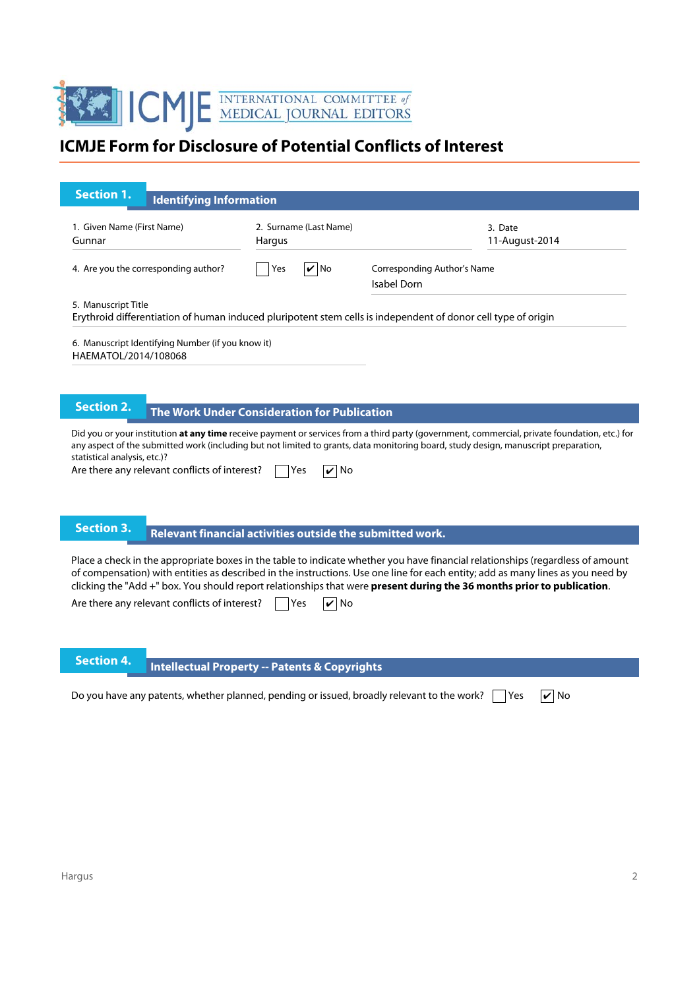

| <b>Section 1.</b>                                                                                                                                                                                                                                                                                                                                                                                                                                                | <b>Identifying Information</b>       |                                                           |                                                                                            |                           |  |  |
|------------------------------------------------------------------------------------------------------------------------------------------------------------------------------------------------------------------------------------------------------------------------------------------------------------------------------------------------------------------------------------------------------------------------------------------------------------------|--------------------------------------|-----------------------------------------------------------|--------------------------------------------------------------------------------------------|---------------------------|--|--|
| 1. Given Name (First Name)<br>Gunnar                                                                                                                                                                                                                                                                                                                                                                                                                             |                                      | 2. Surname (Last Name)<br>Hargus                          |                                                                                            | 3. Date<br>11-August-2014 |  |  |
|                                                                                                                                                                                                                                                                                                                                                                                                                                                                  | 4. Are you the corresponding author? | $\mathbf{v}$ No<br>Yes                                    | Corresponding Author's Name<br><b>Isabel Dorn</b>                                          |                           |  |  |
| 5. Manuscript Title<br>Erythroid differentiation of human induced pluripotent stem cells is independent of donor cell type of origin                                                                                                                                                                                                                                                                                                                             |                                      |                                                           |                                                                                            |                           |  |  |
| 6. Manuscript Identifying Number (if you know it)<br>HAEMATOL/2014/108068                                                                                                                                                                                                                                                                                                                                                                                        |                                      |                                                           |                                                                                            |                           |  |  |
|                                                                                                                                                                                                                                                                                                                                                                                                                                                                  |                                      |                                                           |                                                                                            |                           |  |  |
| <b>Section 2.</b>                                                                                                                                                                                                                                                                                                                                                                                                                                                |                                      | <b>The Work Under Consideration for Publication</b>       |                                                                                            |                           |  |  |
| Did you or your institution at any time receive payment or services from a third party (government, commercial, private foundation, etc.) for<br>any aspect of the submitted work (including but not limited to grants, data monitoring board, study design, manuscript preparation,<br>statistical analysis, etc.)?<br>Are there any relevant conflicts of interest?<br>Yes<br>$\nu$ No                                                                         |                                      |                                                           |                                                                                            |                           |  |  |
|                                                                                                                                                                                                                                                                                                                                                                                                                                                                  |                                      |                                                           |                                                                                            |                           |  |  |
| <b>Section 3.</b>                                                                                                                                                                                                                                                                                                                                                                                                                                                |                                      | Relevant financial activities outside the submitted work. |                                                                                            |                           |  |  |
| Place a check in the appropriate boxes in the table to indicate whether you have financial relationships (regardless of amount<br>of compensation) with entities as described in the instructions. Use one line for each entity; add as many lines as you need by<br>clicking the "Add +" box. You should report relationships that were present during the 36 months prior to publication.<br>Are there any relevant conflicts of interest?<br>l No<br>Yes<br>✓ |                                      |                                                           |                                                                                            |                           |  |  |
|                                                                                                                                                                                                                                                                                                                                                                                                                                                                  |                                      |                                                           |                                                                                            |                           |  |  |
| <b>Section 4.</b>                                                                                                                                                                                                                                                                                                                                                                                                                                                |                                      | <b>Intellectual Property -- Patents &amp; Copyrights</b>  |                                                                                            |                           |  |  |
|                                                                                                                                                                                                                                                                                                                                                                                                                                                                  |                                      |                                                           | Do you have any patents, whether planned, pending or issued, broadly relevant to the work? | Yes<br>$\mathbf{v}$ No    |  |  |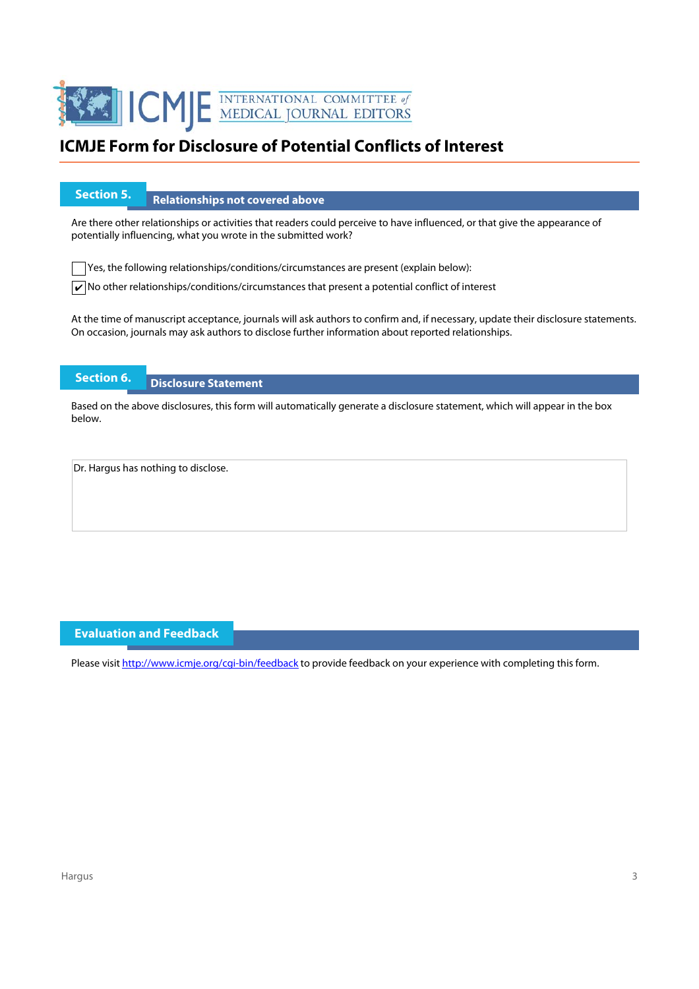

## **Section 5.** Relationships not covered above

Are there other relationships or activities that readers could perceive to have influenced, or that give the appearance of potentially influencing, what you wrote in the submitted work?

 $\Box$  Yes, the following relationships/conditions/circumstances are present (explain below):

 $\boxed{\mathbf{v}}$  No other relationships/conditions/circumstances that present a potential conflict of interest

At the time of manuscript acceptance, journals will ask authors to confirm and, if necessary, update their disclosure statements. On occasion, journals may ask authors to disclose further information about reported relationships.

## **Disclosure Statement Section 6.**

Based on the above disclosures, this form will automatically generate a disclosure statement, which will appear in the box below.

Dr. Hargus has nothing to disclose.

### **Evaluation and Feedback**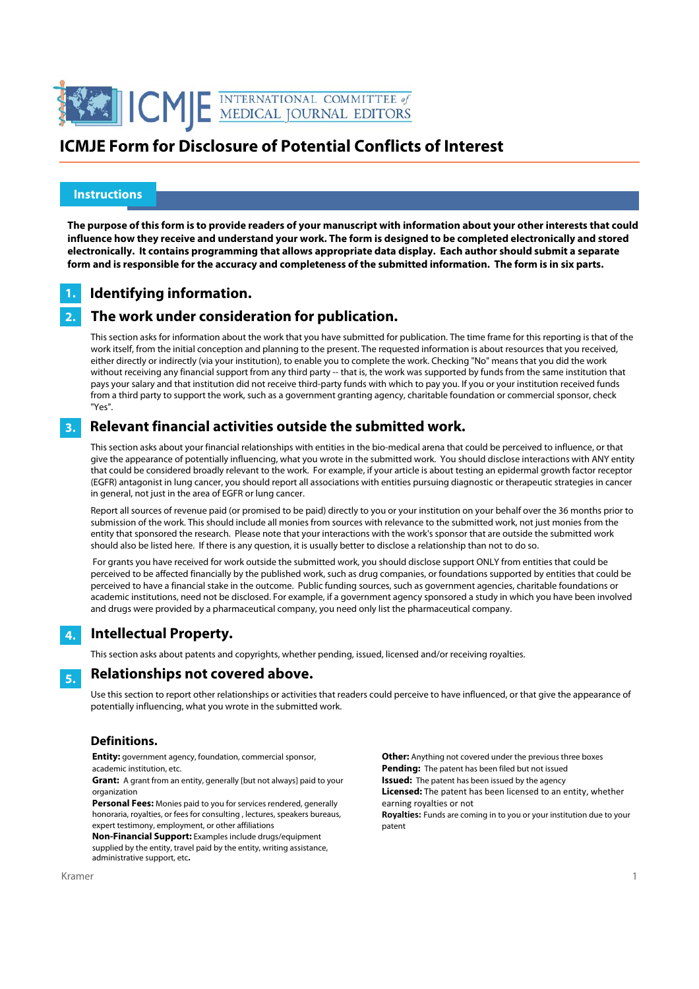

### **Instructions**

**2.**

**The purpose of this form is to provide readers of your manuscript with information about your other interests that could influence how they receive and understand your work. The form is designed to be completed electronically and stored electronically. It contains programming that allows appropriate data display. Each author should submit a separate form and is responsible for the accuracy and completeness of the submitted information. The form is in six parts.** 

#### **Identifying information. 1.**

### **The work under consideration for publication.**

This section asks for information about the work that you have submitted for publication. The time frame for this reporting is that of the work itself, from the initial conception and planning to the present. The requested information is about resources that you received, either directly or indirectly (via your institution), to enable you to complete the work. Checking "No" means that you did the work without receiving any financial support from any third party -- that is, the work was supported by funds from the same institution that pays your salary and that institution did not receive third-party funds with which to pay you. If you or your institution received funds from a third party to support the work, such as a government granting agency, charitable foundation or commercial sponsor, check "Yes".

#### **Relevant financial activities outside the submitted work. 3.**

This section asks about your financial relationships with entities in the bio-medical arena that could be perceived to influence, or that give the appearance of potentially influencing, what you wrote in the submitted work. You should disclose interactions with ANY entity that could be considered broadly relevant to the work. For example, if your article is about testing an epidermal growth factor receptor (EGFR) antagonist in lung cancer, you should report all associations with entities pursuing diagnostic or therapeutic strategies in cancer in general, not just in the area of EGFR or lung cancer.

Report all sources of revenue paid (or promised to be paid) directly to you or your institution on your behalf over the 36 months prior to submission of the work. This should include all monies from sources with relevance to the submitted work, not just monies from the entity that sponsored the research. Please note that your interactions with the work's sponsor that are outside the submitted work should also be listed here. If there is any question, it is usually better to disclose a relationship than not to do so.

 For grants you have received for work outside the submitted work, you should disclose support ONLY from entities that could be perceived to be affected financially by the published work, such as drug companies, or foundations supported by entities that could be perceived to have a financial stake in the outcome. Public funding sources, such as government agencies, charitable foundations or academic institutions, need not be disclosed. For example, if a government agency sponsored a study in which you have been involved and drugs were provided by a pharmaceutical company, you need only list the pharmaceutical company.

### **Intellectual Property.**

This section asks about patents and copyrights, whether pending, issued, licensed and/or receiving royalties.

### **Relationships not covered above.**

Use this section to report other relationships or activities that readers could perceive to have influenced, or that give the appearance of potentially influencing, what you wrote in the submitted work.

### **Definitions.**

**Entity:** government agency, foundation, commercial sponsor, academic institution, etc.

**Grant:** A grant from an entity, generally [but not always] paid to your organization

**Personal Fees:** Monies paid to you for services rendered, generally honoraria, royalties, or fees for consulting , lectures, speakers bureaus, expert testimony, employment, or other affiliations

**Non-Financial Support:** Examples include drugs/equipment supplied by the entity, travel paid by the entity, writing assistance, administrative support, etc**.**

**Other:** Anything not covered under the previous three boxes **Pending:** The patent has been filed but not issued **Issued:** The patent has been issued by the agency **Licensed:** The patent has been licensed to an entity, whether earning royalties or not **Royalties:** Funds are coming in to you or your institution due to your patent

kramer til 1996 og stofningen i 1997 og stofningen i 1997 og stofningen i 1998 og stofningen i 1998 og stofningen

**4.**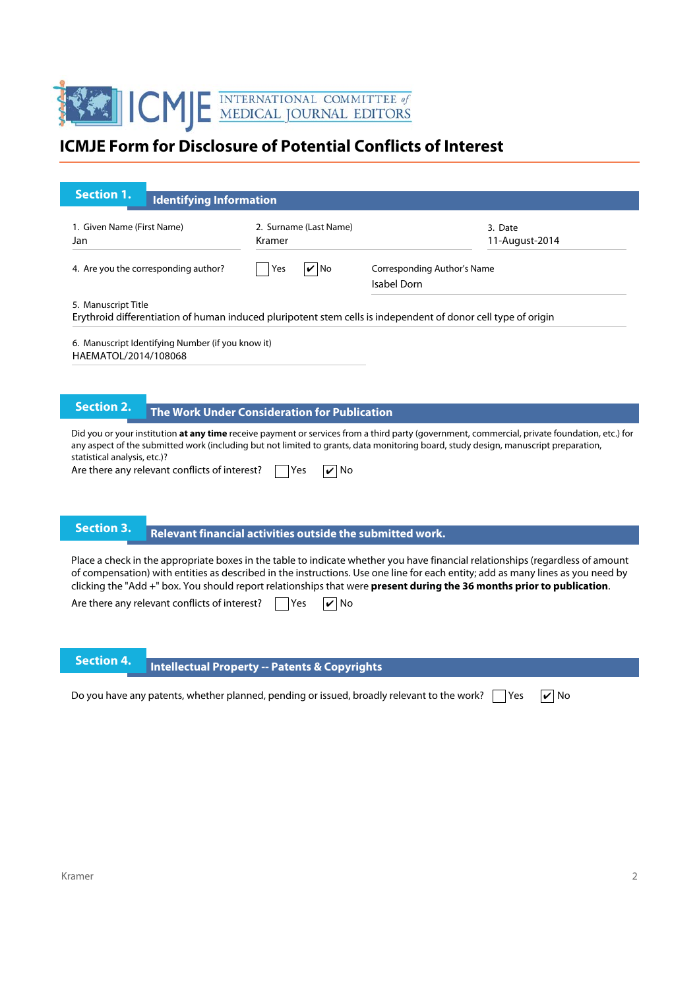

| <b>Section 1.</b>                                                                                                                                                                                                                                                                                                                                                                                                                                                | <b>Identifying Information</b>                |                                                           |                                                                                                                                     |                                                                                                                                               |  |
|------------------------------------------------------------------------------------------------------------------------------------------------------------------------------------------------------------------------------------------------------------------------------------------------------------------------------------------------------------------------------------------------------------------------------------------------------------------|-----------------------------------------------|-----------------------------------------------------------|-------------------------------------------------------------------------------------------------------------------------------------|-----------------------------------------------------------------------------------------------------------------------------------------------|--|
| 1. Given Name (First Name)<br>Jan                                                                                                                                                                                                                                                                                                                                                                                                                                |                                               | 2. Surname (Last Name)<br>Kramer                          |                                                                                                                                     | 3. Date<br>11-August-2014                                                                                                                     |  |
|                                                                                                                                                                                                                                                                                                                                                                                                                                                                  | 4. Are you the corresponding author?          | $ v $ No<br>Yes                                           | Corresponding Author's Name<br>Isabel Dorn                                                                                          |                                                                                                                                               |  |
| 5. Manuscript Title<br>Erythroid differentiation of human induced pluripotent stem cells is independent of donor cell type of origin                                                                                                                                                                                                                                                                                                                             |                                               |                                                           |                                                                                                                                     |                                                                                                                                               |  |
| 6. Manuscript Identifying Number (if you know it)<br>HAEMATOL/2014/108068                                                                                                                                                                                                                                                                                                                                                                                        |                                               |                                                           |                                                                                                                                     |                                                                                                                                               |  |
|                                                                                                                                                                                                                                                                                                                                                                                                                                                                  |                                               |                                                           |                                                                                                                                     |                                                                                                                                               |  |
| <b>Section 2.</b>                                                                                                                                                                                                                                                                                                                                                                                                                                                |                                               | The Work Under Consideration for Publication              |                                                                                                                                     |                                                                                                                                               |  |
| statistical analysis, etc.)?                                                                                                                                                                                                                                                                                                                                                                                                                                     | Are there any relevant conflicts of interest? | No<br>Yes<br>$\boldsymbol{\nu}$                           | any aspect of the submitted work (including but not limited to grants, data monitoring board, study design, manuscript preparation, | Did you or your institution at any time receive payment or services from a third party (government, commercial, private foundation, etc.) for |  |
|                                                                                                                                                                                                                                                                                                                                                                                                                                                                  |                                               |                                                           |                                                                                                                                     |                                                                                                                                               |  |
| <b>Section 3.</b>                                                                                                                                                                                                                                                                                                                                                                                                                                                |                                               | Relevant financial activities outside the submitted work. |                                                                                                                                     |                                                                                                                                               |  |
| Place a check in the appropriate boxes in the table to indicate whether you have financial relationships (regardless of amount<br>of compensation) with entities as described in the instructions. Use one line for each entity; add as many lines as you need by<br>clicking the "Add +" box. You should report relationships that were present during the 36 months prior to publication.<br>Are there any relevant conflicts of interest?<br>l No<br>Yes<br>✓ |                                               |                                                           |                                                                                                                                     |                                                                                                                                               |  |
|                                                                                                                                                                                                                                                                                                                                                                                                                                                                  |                                               |                                                           |                                                                                                                                     |                                                                                                                                               |  |
| <b>Section 4.</b>                                                                                                                                                                                                                                                                                                                                                                                                                                                |                                               | <b>Intellectual Property -- Patents &amp; Copyrights</b>  |                                                                                                                                     |                                                                                                                                               |  |
|                                                                                                                                                                                                                                                                                                                                                                                                                                                                  |                                               |                                                           | Do you have any patents, whether planned, pending or issued, broadly relevant to the work?                                          | $\mathbf{v}$ No<br>Yes                                                                                                                        |  |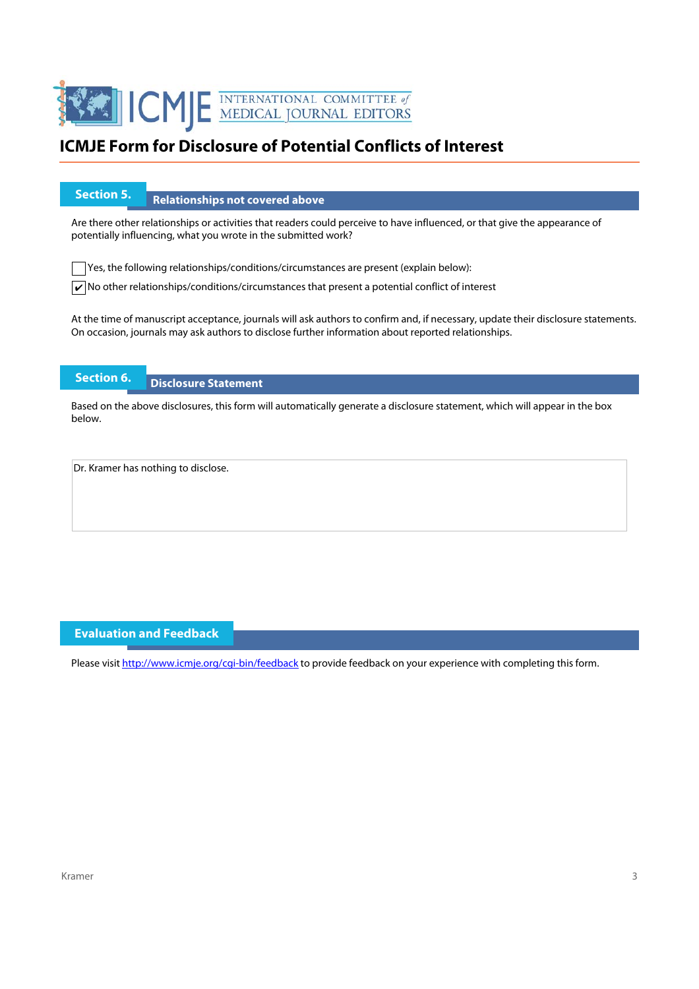

## **Section 5.** Relationships not covered above

Are there other relationships or activities that readers could perceive to have influenced, or that give the appearance of potentially influencing, what you wrote in the submitted work?

 $\Box$  Yes, the following relationships/conditions/circumstances are present (explain below):

 $\boxed{\mathbf{v}}$  No other relationships/conditions/circumstances that present a potential conflict of interest

At the time of manuscript acceptance, journals will ask authors to confirm and, if necessary, update their disclosure statements. On occasion, journals may ask authors to disclose further information about reported relationships.

## **Disclosure Statement Section 6.**

Based on the above disclosures, this form will automatically generate a disclosure statement, which will appear in the box below.

Dr. Kramer has nothing to disclose.

### **Evaluation and Feedback**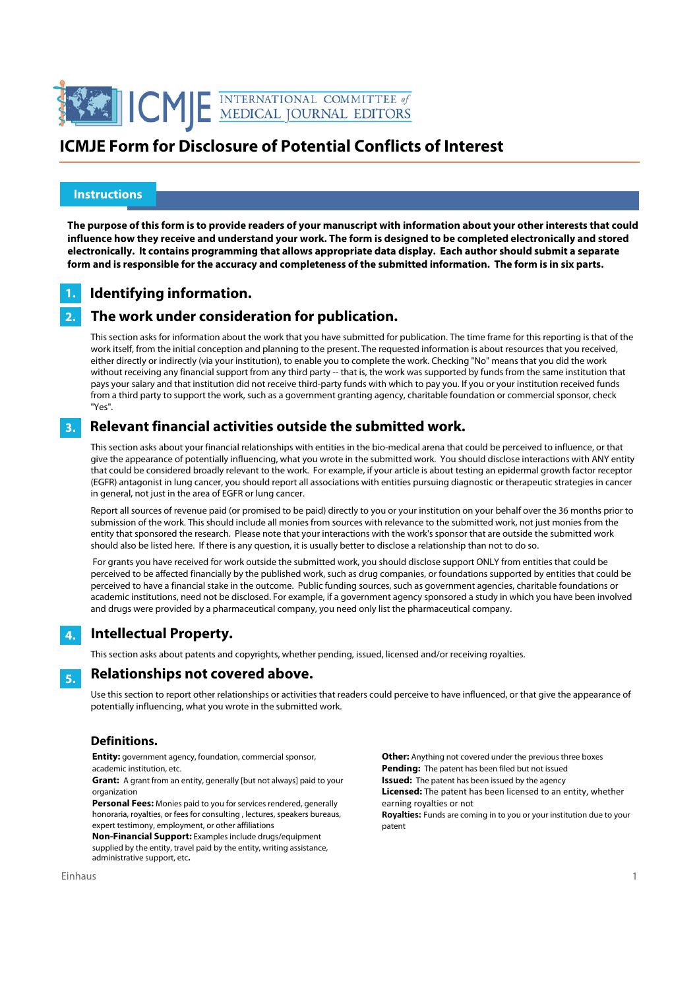

### **Instructions**

**2.**

**The purpose of this form is to provide readers of your manuscript with information about your other interests that could influence how they receive and understand your work. The form is designed to be completed electronically and stored electronically. It contains programming that allows appropriate data display. Each author should submit a separate form and is responsible for the accuracy and completeness of the submitted information. The form is in six parts.** 

#### **Identifying information. 1.**

### **The work under consideration for publication.**

This section asks for information about the work that you have submitted for publication. The time frame for this reporting is that of the work itself, from the initial conception and planning to the present. The requested information is about resources that you received, either directly or indirectly (via your institution), to enable you to complete the work. Checking "No" means that you did the work without receiving any financial support from any third party -- that is, the work was supported by funds from the same institution that pays your salary and that institution did not receive third-party funds with which to pay you. If you or your institution received funds from a third party to support the work, such as a government granting agency, charitable foundation or commercial sponsor, check "Yes".

#### **Relevant financial activities outside the submitted work. 3.**

This section asks about your financial relationships with entities in the bio-medical arena that could be perceived to influence, or that give the appearance of potentially influencing, what you wrote in the submitted work. You should disclose interactions with ANY entity that could be considered broadly relevant to the work. For example, if your article is about testing an epidermal growth factor receptor (EGFR) antagonist in lung cancer, you should report all associations with entities pursuing diagnostic or therapeutic strategies in cancer in general, not just in the area of EGFR or lung cancer.

Report all sources of revenue paid (or promised to be paid) directly to you or your institution on your behalf over the 36 months prior to submission of the work. This should include all monies from sources with relevance to the submitted work, not just monies from the entity that sponsored the research. Please note that your interactions with the work's sponsor that are outside the submitted work should also be listed here. If there is any question, it is usually better to disclose a relationship than not to do so.

 For grants you have received for work outside the submitted work, you should disclose support ONLY from entities that could be perceived to be affected financially by the published work, such as drug companies, or foundations supported by entities that could be perceived to have a financial stake in the outcome. Public funding sources, such as government agencies, charitable foundations or academic institutions, need not be disclosed. For example, if a government agency sponsored a study in which you have been involved and drugs were provided by a pharmaceutical company, you need only list the pharmaceutical company.

### **Intellectual Property.**

This section asks about patents and copyrights, whether pending, issued, licensed and/or receiving royalties.

### **Relationships not covered above.**

Use this section to report other relationships or activities that readers could perceive to have influenced, or that give the appearance of potentially influencing, what you wrote in the submitted work.

### **Definitions.**

**Entity:** government agency, foundation, commercial sponsor, academic institution, etc.

**Grant:** A grant from an entity, generally [but not always] paid to your organization

**Personal Fees:** Monies paid to you for services rendered, generally honoraria, royalties, or fees for consulting , lectures, speakers bureaus, expert testimony, employment, or other affiliations

**Non-Financial Support:** Examples include drugs/equipment supplied by the entity, travel paid by the entity, writing assistance, administrative support, etc**.**

**Other:** Anything not covered under the previous three boxes **Pending:** The patent has been filed but not issued **Issued:** The patent has been issued by the agency **Licensed:** The patent has been licensed to an entity, whether earning royalties or not **Royalties:** Funds are coming in to you or your institution due to your patent

Einhaus 1

**4.**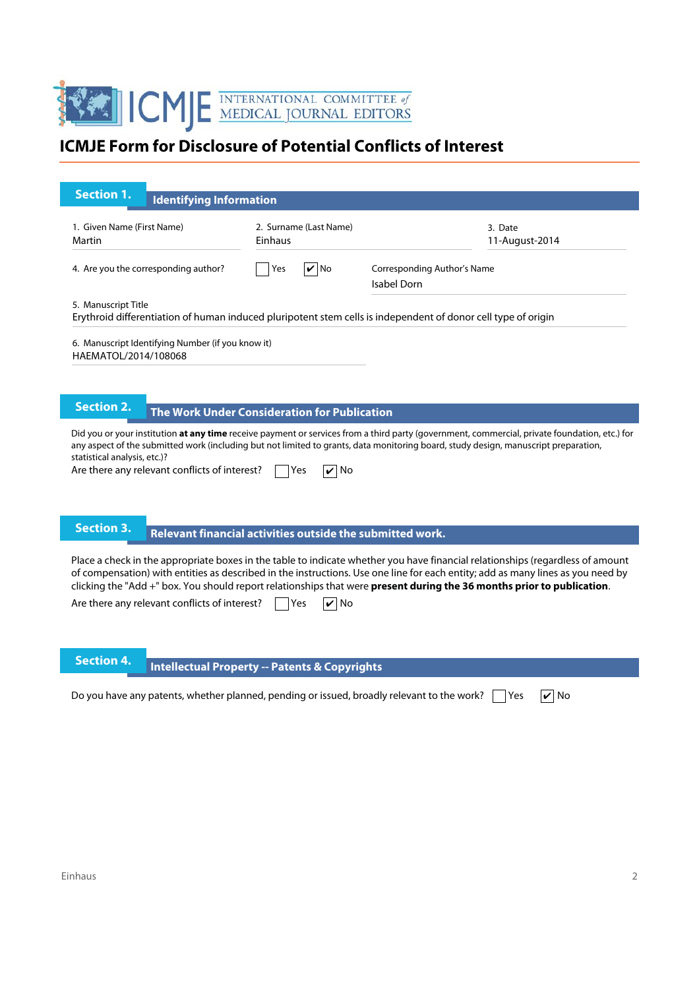

| <b>Section 1.</b>                                                                                                                                                                                                                                                                                                                                                                                                                                                | <b>Identifying Information</b>       |                                                           |                                                                                                                      |  |  |  |
|------------------------------------------------------------------------------------------------------------------------------------------------------------------------------------------------------------------------------------------------------------------------------------------------------------------------------------------------------------------------------------------------------------------------------------------------------------------|--------------------------------------|-----------------------------------------------------------|----------------------------------------------------------------------------------------------------------------------|--|--|--|
|                                                                                                                                                                                                                                                                                                                                                                                                                                                                  |                                      |                                                           |                                                                                                                      |  |  |  |
| 1. Given Name (First Name)<br>Martin                                                                                                                                                                                                                                                                                                                                                                                                                             |                                      | 2. Surname (Last Name)<br>Einhaus                         | 3. Date<br>11-August-2014                                                                                            |  |  |  |
|                                                                                                                                                                                                                                                                                                                                                                                                                                                                  | 4. Are you the corresponding author? | $\nu$  No<br>Yes                                          | Corresponding Author's Name<br><b>Isabel Dorn</b>                                                                    |  |  |  |
| 5. Manuscript Title<br>Erythroid differentiation of human induced pluripotent stem cells is independent of donor cell type of origin                                                                                                                                                                                                                                                                                                                             |                                      |                                                           |                                                                                                                      |  |  |  |
| 6. Manuscript Identifying Number (if you know it)<br>HAEMATOL/2014/108068                                                                                                                                                                                                                                                                                                                                                                                        |                                      |                                                           |                                                                                                                      |  |  |  |
|                                                                                                                                                                                                                                                                                                                                                                                                                                                                  |                                      |                                                           |                                                                                                                      |  |  |  |
| <b>Section 2.</b>                                                                                                                                                                                                                                                                                                                                                                                                                                                |                                      | The Work Under Consideration for Publication              |                                                                                                                      |  |  |  |
| Did you or your institution at any time receive payment or services from a third party (government, commercial, private foundation, etc.) for<br>any aspect of the submitted work (including but not limited to grants, data monitoring board, study design, manuscript preparation,<br>statistical analysis, etc.)?<br>Are there any relevant conflicts of interest?<br>$\mathbf{v}$ No<br>Yes                                                                  |                                      |                                                           |                                                                                                                      |  |  |  |
|                                                                                                                                                                                                                                                                                                                                                                                                                                                                  |                                      |                                                           |                                                                                                                      |  |  |  |
| <b>Section 3.</b>                                                                                                                                                                                                                                                                                                                                                                                                                                                |                                      | Relevant financial activities outside the submitted work. |                                                                                                                      |  |  |  |
| Place a check in the appropriate boxes in the table to indicate whether you have financial relationships (regardless of amount<br>of compensation) with entities as described in the instructions. Use one line for each entity; add as many lines as you need by<br>clicking the "Add +" box. You should report relationships that were present during the 36 months prior to publication.<br>Are there any relevant conflicts of interest?<br>✓<br>  No<br>Yes |                                      |                                                           |                                                                                                                      |  |  |  |
|                                                                                                                                                                                                                                                                                                                                                                                                                                                                  |                                      |                                                           |                                                                                                                      |  |  |  |
| <b>Section 4.</b>                                                                                                                                                                                                                                                                                                                                                                                                                                                |                                      | <b>Intellectual Property -- Patents &amp; Copyrights</b>  |                                                                                                                      |  |  |  |
|                                                                                                                                                                                                                                                                                                                                                                                                                                                                  |                                      |                                                           | Do you have any patents, whether planned, pending or issued, broadly relevant to the work?<br>Yes<br>$\mathbf{v}$ No |  |  |  |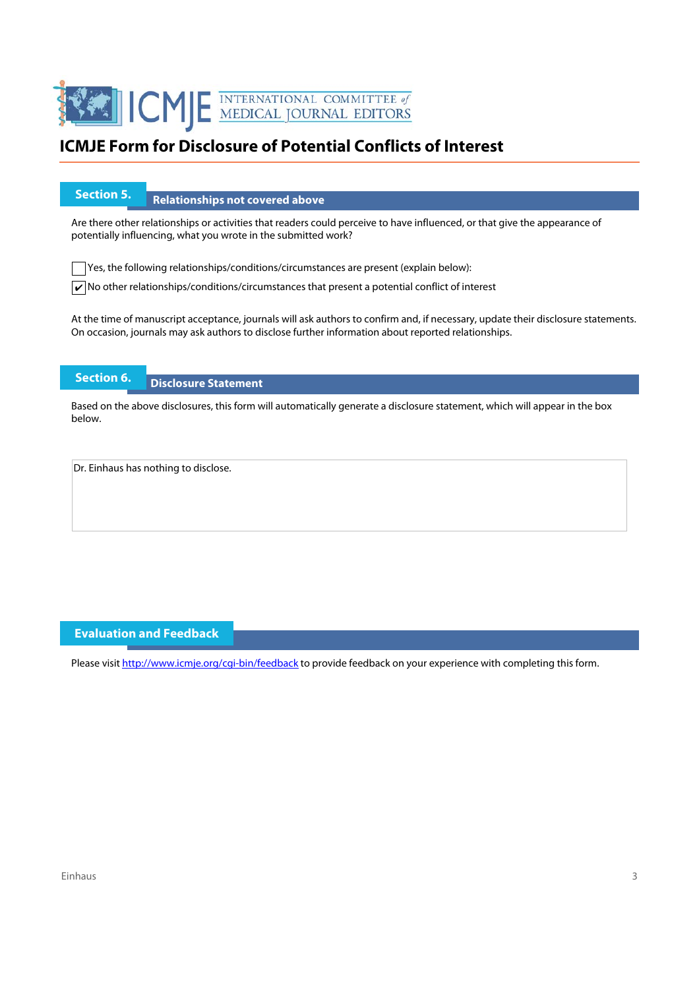

## **Section 5.** Relationships not covered above

Are there other relationships or activities that readers could perceive to have influenced, or that give the appearance of potentially influencing, what you wrote in the submitted work?

 $\Box$  Yes, the following relationships/conditions/circumstances are present (explain below):

 $\boxed{\mathbf{v}}$  No other relationships/conditions/circumstances that present a potential conflict of interest

At the time of manuscript acceptance, journals will ask authors to confirm and, if necessary, update their disclosure statements. On occasion, journals may ask authors to disclose further information about reported relationships.

## **Disclosure Statement Section 6.**

Based on the above disclosures, this form will automatically generate a disclosure statement, which will appear in the box below.

Dr. Einhaus has nothing to disclose.

### **Evaluation and Feedback**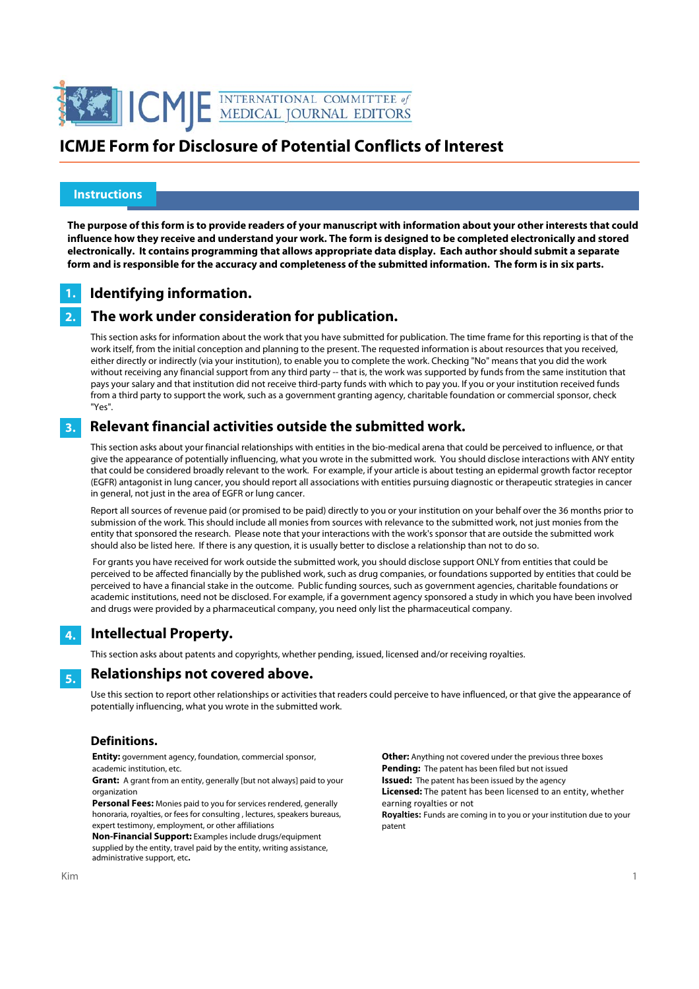

### **Instructions**

**2.**

**The purpose of this form is to provide readers of your manuscript with information about your other interests that could influence how they receive and understand your work. The form is designed to be completed electronically and stored electronically. It contains programming that allows appropriate data display. Each author should submit a separate form and is responsible for the accuracy and completeness of the submitted information. The form is in six parts.** 

#### **Identifying information. 1.**

### **The work under consideration for publication.**

This section asks for information about the work that you have submitted for publication. The time frame for this reporting is that of the work itself, from the initial conception and planning to the present. The requested information is about resources that you received, either directly or indirectly (via your institution), to enable you to complete the work. Checking "No" means that you did the work without receiving any financial support from any third party -- that is, the work was supported by funds from the same institution that pays your salary and that institution did not receive third-party funds with which to pay you. If you or your institution received funds from a third party to support the work, such as a government granting agency, charitable foundation or commercial sponsor, check "Yes".

#### **Relevant financial activities outside the submitted work. 3.**

This section asks about your financial relationships with entities in the bio-medical arena that could be perceived to influence, or that give the appearance of potentially influencing, what you wrote in the submitted work. You should disclose interactions with ANY entity that could be considered broadly relevant to the work. For example, if your article is about testing an epidermal growth factor receptor (EGFR) antagonist in lung cancer, you should report all associations with entities pursuing diagnostic or therapeutic strategies in cancer in general, not just in the area of EGFR or lung cancer.

Report all sources of revenue paid (or promised to be paid) directly to you or your institution on your behalf over the 36 months prior to submission of the work. This should include all monies from sources with relevance to the submitted work, not just monies from the entity that sponsored the research. Please note that your interactions with the work's sponsor that are outside the submitted work should also be listed here. If there is any question, it is usually better to disclose a relationship than not to do so.

 For grants you have received for work outside the submitted work, you should disclose support ONLY from entities that could be perceived to be affected financially by the published work, such as drug companies, or foundations supported by entities that could be perceived to have a financial stake in the outcome. Public funding sources, such as government agencies, charitable foundations or academic institutions, need not be disclosed. For example, if a government agency sponsored a study in which you have been involved and drugs were provided by a pharmaceutical company, you need only list the pharmaceutical company.

### **Intellectual Property.**

This section asks about patents and copyrights, whether pending, issued, licensed and/or receiving royalties.

### **Relationships not covered above.**

Use this section to report other relationships or activities that readers could perceive to have influenced, or that give the appearance of potentially influencing, what you wrote in the submitted work.

### **Definitions.**

**Entity:** government agency, foundation, commercial sponsor, academic institution, etc.

**Grant:** A grant from an entity, generally [but not always] paid to your organization

**Personal Fees:** Monies paid to you for services rendered, generally honoraria, royalties, or fees for consulting , lectures, speakers bureaus, expert testimony, employment, or other affiliations

**Non-Financial Support:** Examples include drugs/equipment supplied by the entity, travel paid by the entity, writing assistance, administrative support, etc**.**

**Other:** Anything not covered under the previous three boxes **Pending:** The patent has been filed but not issued **Issued:** The patent has been issued by the agency **Licensed:** The patent has been licensed to an entity, whether earning royalties or not **Royalties:** Funds are coming in to you or your institution due to your patent

**4.**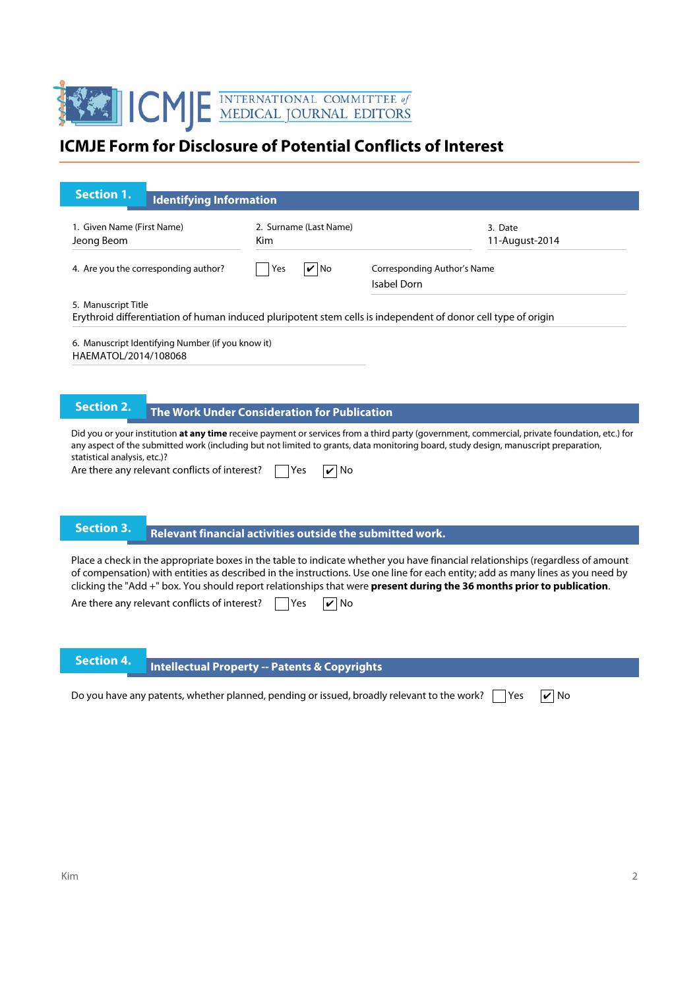

| <b>Section 1.</b>                                                                                                                                                                                                                                                                                                                                                                                                                                                | <b>Identifying Information</b>       |                                                           |                                                                                            |                           |  |  |  |
|------------------------------------------------------------------------------------------------------------------------------------------------------------------------------------------------------------------------------------------------------------------------------------------------------------------------------------------------------------------------------------------------------------------------------------------------------------------|--------------------------------------|-----------------------------------------------------------|--------------------------------------------------------------------------------------------|---------------------------|--|--|--|
| 1. Given Name (First Name)<br>Jeong Beom                                                                                                                                                                                                                                                                                                                                                                                                                         |                                      | 2. Surname (Last Name)<br>Kim                             |                                                                                            | 3. Date<br>11-August-2014 |  |  |  |
|                                                                                                                                                                                                                                                                                                                                                                                                                                                                  | 4. Are you the corresponding author? | $\mathbf{v}$ No<br>Yes                                    | Corresponding Author's Name<br><b>Isabel Dorn</b>                                          |                           |  |  |  |
| 5. Manuscript Title<br>Erythroid differentiation of human induced pluripotent stem cells is independent of donor cell type of origin                                                                                                                                                                                                                                                                                                                             |                                      |                                                           |                                                                                            |                           |  |  |  |
| 6. Manuscript Identifying Number (if you know it)<br>HAEMATOL/2014/108068                                                                                                                                                                                                                                                                                                                                                                                        |                                      |                                                           |                                                                                            |                           |  |  |  |
|                                                                                                                                                                                                                                                                                                                                                                                                                                                                  |                                      |                                                           |                                                                                            |                           |  |  |  |
| <b>Section 2.</b>                                                                                                                                                                                                                                                                                                                                                                                                                                                |                                      | <b>The Work Under Consideration for Publication</b>       |                                                                                            |                           |  |  |  |
| Did you or your institution at any time receive payment or services from a third party (government, commercial, private foundation, etc.) for<br>any aspect of the submitted work (including but not limited to grants, data monitoring board, study design, manuscript preparation,<br>statistical analysis, etc.)?<br>Are there any relevant conflicts of interest?<br>Yes<br>$\nu$ No                                                                         |                                      |                                                           |                                                                                            |                           |  |  |  |
|                                                                                                                                                                                                                                                                                                                                                                                                                                                                  |                                      |                                                           |                                                                                            |                           |  |  |  |
| <b>Section 3.</b>                                                                                                                                                                                                                                                                                                                                                                                                                                                |                                      | Relevant financial activities outside the submitted work. |                                                                                            |                           |  |  |  |
| Place a check in the appropriate boxes in the table to indicate whether you have financial relationships (regardless of amount<br>of compensation) with entities as described in the instructions. Use one line for each entity; add as many lines as you need by<br>clicking the "Add +" box. You should report relationships that were present during the 36 months prior to publication.<br>Are there any relevant conflicts of interest?<br>l No<br>Yes<br>✓ |                                      |                                                           |                                                                                            |                           |  |  |  |
|                                                                                                                                                                                                                                                                                                                                                                                                                                                                  |                                      |                                                           |                                                                                            |                           |  |  |  |
| <b>Section 4.</b>                                                                                                                                                                                                                                                                                                                                                                                                                                                |                                      | <b>Intellectual Property -- Patents &amp; Copyrights</b>  |                                                                                            |                           |  |  |  |
|                                                                                                                                                                                                                                                                                                                                                                                                                                                                  |                                      |                                                           | Do you have any patents, whether planned, pending or issued, broadly relevant to the work? | Yes<br>$\mathbf{v}$ No    |  |  |  |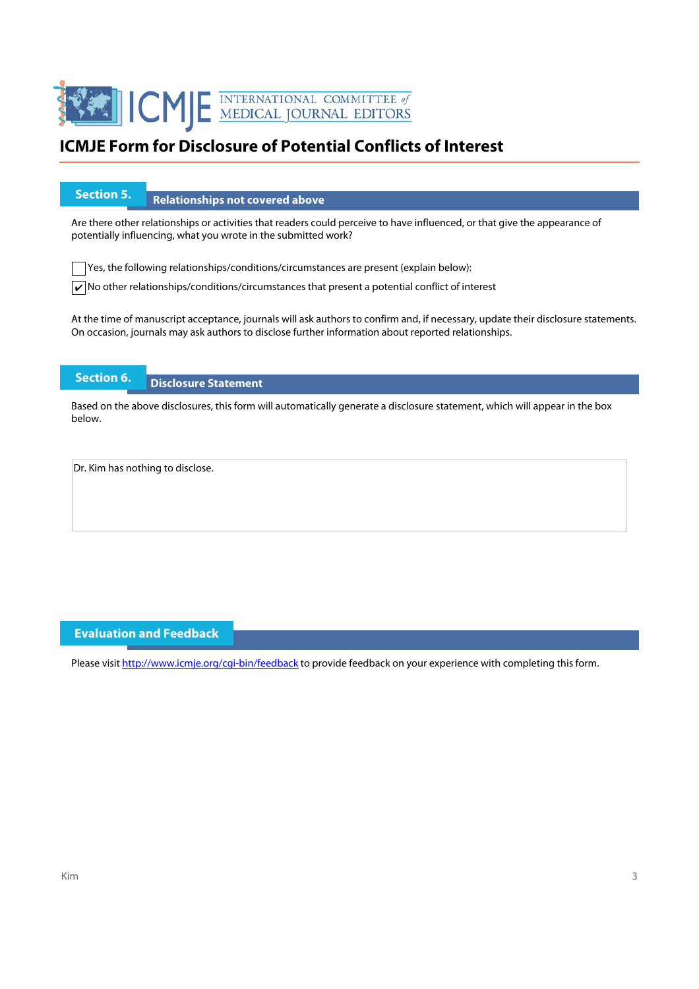

## **Section 5.** Relationships not covered above

Are there other relationships or activities that readers could perceive to have influenced, or that give the appearance of potentially influencing, what you wrote in the submitted work?

 $\Box$  Yes, the following relationships/conditions/circumstances are present (explain below):

 $\boxed{\mathbf{v}}$  No other relationships/conditions/circumstances that present a potential conflict of interest

At the time of manuscript acceptance, journals will ask authors to confirm and, if necessary, update their disclosure statements. On occasion, journals may ask authors to disclose further information about reported relationships.

## **Disclosure Statement Section 6.**

Based on the above disclosures, this form will automatically generate a disclosure statement, which will appear in the box below.

Dr. Kim has nothing to disclose.

### **Evaluation and Feedback**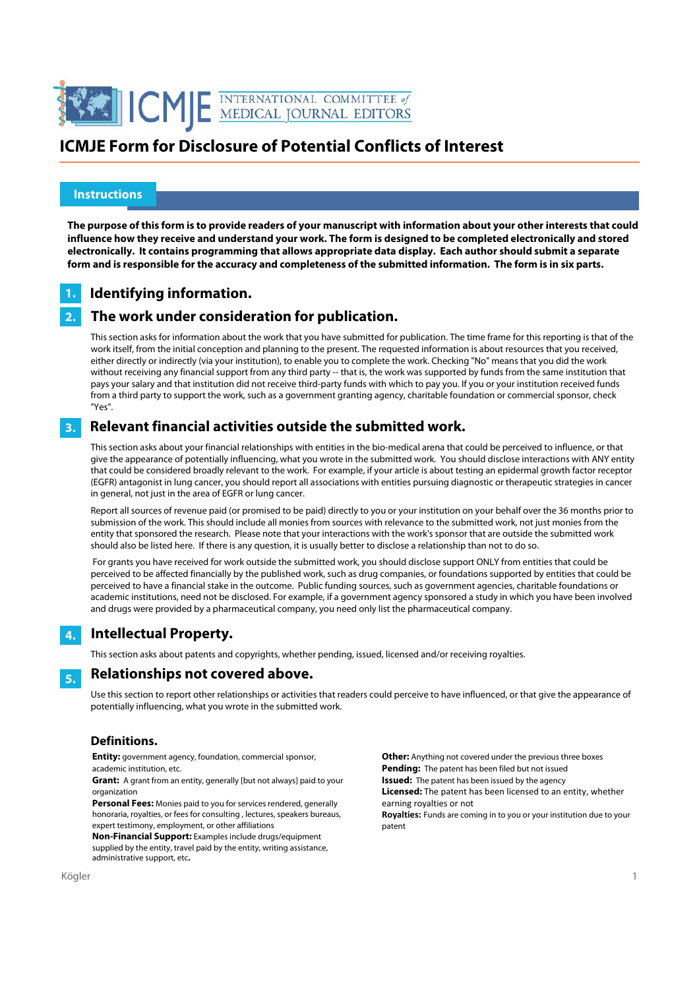

### **Instructions**

**2.**

**The purpose of this form is to provide readers of your manuscript with information about your other interests that could influence how they receive and understand your work. The form is designed to be completed electronically and stored electronically. It contains programming that allows appropriate data display. Each author should submit a separate form and is responsible for the accuracy and completeness of the submitted information. The form is in six parts.** 

#### **Identifying information. 1.**

### **The work under consideration for publication.**

This section asks for information about the work that you have submitted for publication. The time frame for this reporting is that of the work itself, from the initial conception and planning to the present. The requested information is about resources that you received, either directly or indirectly (via your institution), to enable you to complete the work. Checking "No" means that you did the work without receiving any financial support from any third party -- that is, the work was supported by funds from the same institution that pays your salary and that institution did not receive third-party funds with which to pay you. If you or your institution received funds from a third party to support the work, such as a government granting agency, charitable foundation or commercial sponsor, check "Yes".

#### **Relevant financial activities outside the submitted work. 3.**

This section asks about your financial relationships with entities in the bio-medical arena that could be perceived to influence, or that give the appearance of potentially influencing, what you wrote in the submitted work. You should disclose interactions with ANY entity that could be considered broadly relevant to the work. For example, if your article is about testing an epidermal growth factor receptor (EGFR) antagonist in lung cancer, you should report all associations with entities pursuing diagnostic or therapeutic strategies in cancer in general, not just in the area of EGFR or lung cancer.

Report all sources of revenue paid (or promised to be paid) directly to you or your institution on your behalf over the 36 months prior to submission of the work. This should include all monies from sources with relevance to the submitted work, not just monies from the entity that sponsored the research. Please note that your interactions with the work's sponsor that are outside the submitted work should also be listed here. If there is any question, it is usually better to disclose a relationship than not to do so.

 For grants you have received for work outside the submitted work, you should disclose support ONLY from entities that could be perceived to be affected financially by the published work, such as drug companies, or foundations supported by entities that could be perceived to have a financial stake in the outcome. Public funding sources, such as government agencies, charitable foundations or academic institutions, need not be disclosed. For example, if a government agency sponsored a study in which you have been involved and drugs were provided by a pharmaceutical company, you need only list the pharmaceutical company.

### **Intellectual Property.**

This section asks about patents and copyrights, whether pending, issued, licensed and/or receiving royalties.

### **Relationships not covered above.**

Use this section to report other relationships or activities that readers could perceive to have influenced, or that give the appearance of potentially influencing, what you wrote in the submitted work.

### **Definitions.**

**Entity:** government agency, foundation, commercial sponsor, academic institution, etc.

**Grant:** A grant from an entity, generally [but not always] paid to your organization

**Personal Fees:** Monies paid to you for services rendered, generally honoraria, royalties, or fees for consulting , lectures, speakers bureaus, expert testimony, employment, or other affiliations

**Non-Financial Support:** Examples include drugs/equipment supplied by the entity, travel paid by the entity, writing assistance, administrative support, etc**.**

**Other:** Anything not covered under the previous three boxes **Pending:** The patent has been filed but not issued **Issued:** The patent has been issued by the agency **Licensed:** The patent has been licensed to an entity, whether earning royalties or not **Royalties:** Funds are coming in to you or your institution due to your patent

Kögler 1986 besteckt av den statsmannsnamns og stofnade i 1987 besteckt av den statsmannsnamns og stofnade i 1

**4.**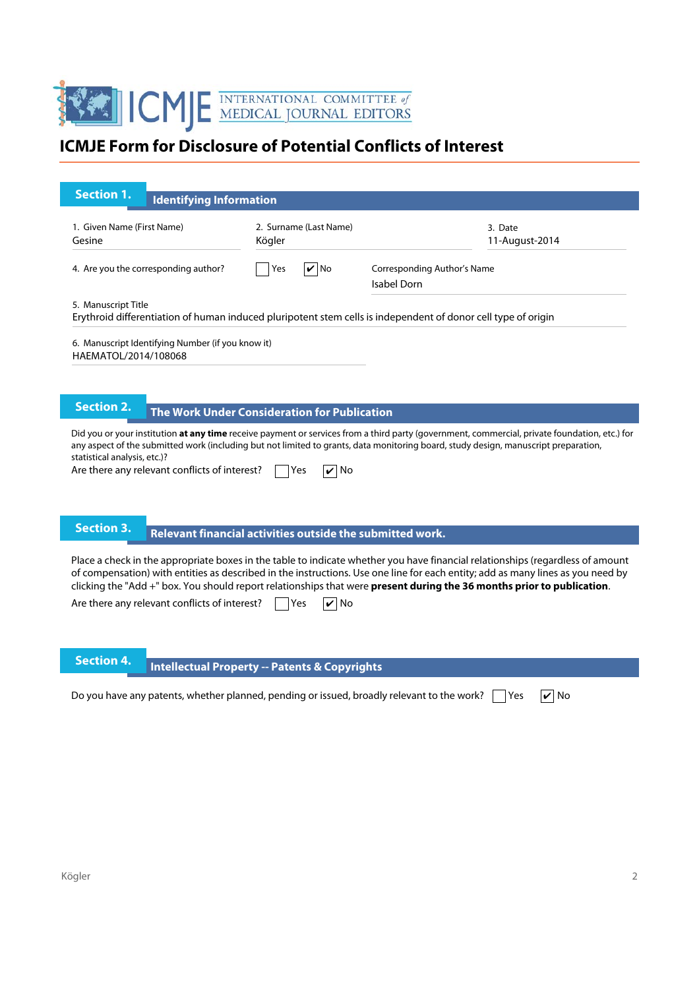

| <b>Section 1.</b>                                                                                                                                                                                                                                                                                                                                                                                                                                                      | <b>Identifying Information</b>                                                                                                       |                                                           |                                                                                            |                           |  |  |  |
|------------------------------------------------------------------------------------------------------------------------------------------------------------------------------------------------------------------------------------------------------------------------------------------------------------------------------------------------------------------------------------------------------------------------------------------------------------------------|--------------------------------------------------------------------------------------------------------------------------------------|-----------------------------------------------------------|--------------------------------------------------------------------------------------------|---------------------------|--|--|--|
| 1. Given Name (First Name)<br>Gesine                                                                                                                                                                                                                                                                                                                                                                                                                                   |                                                                                                                                      | 2. Surname (Last Name)<br>Kögler                          |                                                                                            | 3. Date<br>11-August-2014 |  |  |  |
| 4. Are you the corresponding author?                                                                                                                                                                                                                                                                                                                                                                                                                                   |                                                                                                                                      | $\mathbf{v}$ No<br>Yes                                    | Corresponding Author's Name<br><b>Isabel Dorn</b>                                          |                           |  |  |  |
|                                                                                                                                                                                                                                                                                                                                                                                                                                                                        | 5. Manuscript Title<br>Erythroid differentiation of human induced pluripotent stem cells is independent of donor cell type of origin |                                                           |                                                                                            |                           |  |  |  |
| HAEMATOL/2014/108068                                                                                                                                                                                                                                                                                                                                                                                                                                                   | 6. Manuscript Identifying Number (if you know it)                                                                                    |                                                           |                                                                                            |                           |  |  |  |
|                                                                                                                                                                                                                                                                                                                                                                                                                                                                        |                                                                                                                                      |                                                           |                                                                                            |                           |  |  |  |
| <b>Section 2.</b>                                                                                                                                                                                                                                                                                                                                                                                                                                                      | The Work Under Consideration for Publication                                                                                         |                                                           |                                                                                            |                           |  |  |  |
| Did you or your institution at any time receive payment or services from a third party (government, commercial, private foundation, etc.) for<br>any aspect of the submitted work (including but not limited to grants, data monitoring board, study design, manuscript preparation,<br>statistical analysis, etc.)?<br>Are there any relevant conflicts of interest?<br>  No<br>Yes<br>$\boldsymbol{\nu}$                                                             |                                                                                                                                      |                                                           |                                                                                            |                           |  |  |  |
| <b>Section 3.</b>                                                                                                                                                                                                                                                                                                                                                                                                                                                      |                                                                                                                                      |                                                           |                                                                                            |                           |  |  |  |
|                                                                                                                                                                                                                                                                                                                                                                                                                                                                        |                                                                                                                                      | Relevant financial activities outside the submitted work. |                                                                                            |                           |  |  |  |
| Place a check in the appropriate boxes in the table to indicate whether you have financial relationships (regardless of amount<br>of compensation) with entities as described in the instructions. Use one line for each entity; add as many lines as you need by<br>clicking the "Add +" box. You should report relationships that were present during the 36 months prior to publication.<br>Are there any relevant conflicts of interest?<br>$\mathbf{v}$ No<br>Yes |                                                                                                                                      |                                                           |                                                                                            |                           |  |  |  |
|                                                                                                                                                                                                                                                                                                                                                                                                                                                                        |                                                                                                                                      |                                                           |                                                                                            |                           |  |  |  |
| <b>Section 4.</b>                                                                                                                                                                                                                                                                                                                                                                                                                                                      |                                                                                                                                      | <b>Intellectual Property -- Patents &amp; Copyrights</b>  |                                                                                            |                           |  |  |  |
|                                                                                                                                                                                                                                                                                                                                                                                                                                                                        |                                                                                                                                      |                                                           | Do you have any patents, whether planned, pending or issued, broadly relevant to the work? | $\mathbf{v}$ No<br>Yes    |  |  |  |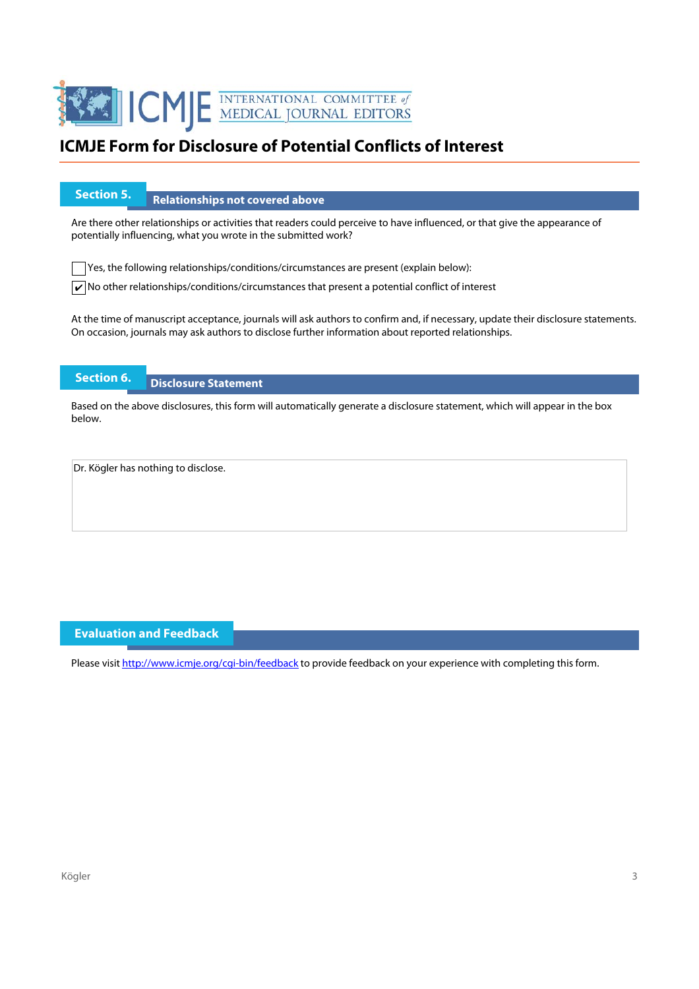

## **Section 5.** Relationships not covered above

Are there other relationships or activities that readers could perceive to have influenced, or that give the appearance of potentially influencing, what you wrote in the submitted work?

 $\Box$  Yes, the following relationships/conditions/circumstances are present (explain below):

 $\boxed{\mathbf{v}}$  No other relationships/conditions/circumstances that present a potential conflict of interest

At the time of manuscript acceptance, journals will ask authors to confirm and, if necessary, update their disclosure statements. On occasion, journals may ask authors to disclose further information about reported relationships.

## **Disclosure Statement Section 6.**

Based on the above disclosures, this form will automatically generate a disclosure statement, which will appear in the box below.

Dr. Kögler has nothing to disclose.

### **Evaluation and Feedback**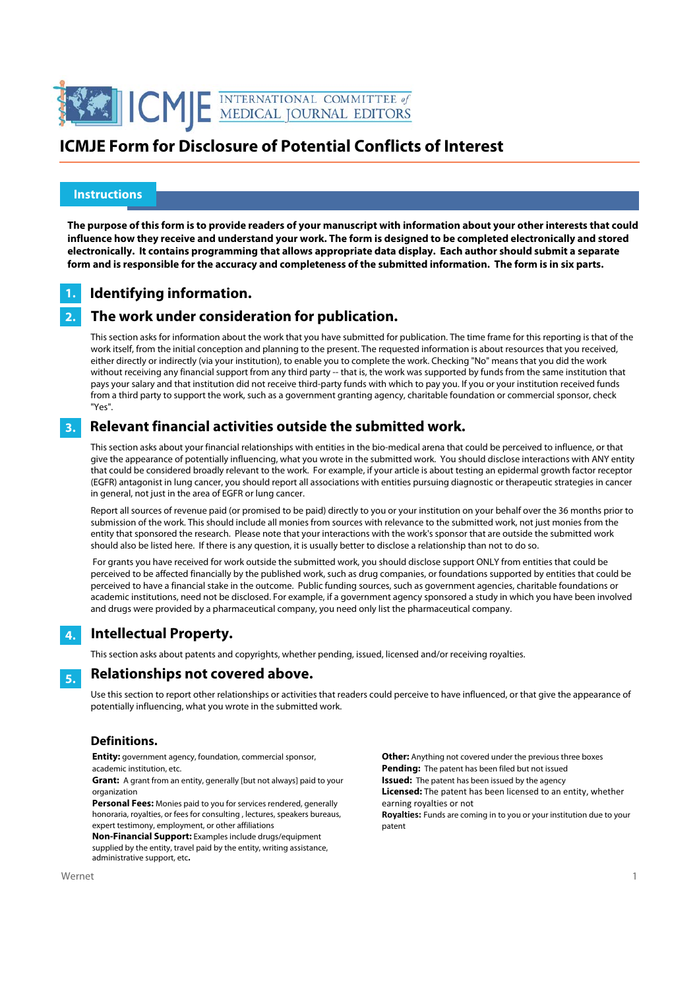

### **Instructions**

**2.**

**The purpose of this form is to provide readers of your manuscript with information about your other interests that could influence how they receive and understand your work. The form is designed to be completed electronically and stored electronically. It contains programming that allows appropriate data display. Each author should submit a separate form and is responsible for the accuracy and completeness of the submitted information. The form is in six parts.** 

#### **Identifying information. 1.**

### **The work under consideration for publication.**

This section asks for information about the work that you have submitted for publication. The time frame for this reporting is that of the work itself, from the initial conception and planning to the present. The requested information is about resources that you received, either directly or indirectly (via your institution), to enable you to complete the work. Checking "No" means that you did the work without receiving any financial support from any third party -- that is, the work was supported by funds from the same institution that pays your salary and that institution did not receive third-party funds with which to pay you. If you or your institution received funds from a third party to support the work, such as a government granting agency, charitable foundation or commercial sponsor, check "Yes".

#### **Relevant financial activities outside the submitted work. 3.**

This section asks about your financial relationships with entities in the bio-medical arena that could be perceived to influence, or that give the appearance of potentially influencing, what you wrote in the submitted work. You should disclose interactions with ANY entity that could be considered broadly relevant to the work. For example, if your article is about testing an epidermal growth factor receptor (EGFR) antagonist in lung cancer, you should report all associations with entities pursuing diagnostic or therapeutic strategies in cancer in general, not just in the area of EGFR or lung cancer.

Report all sources of revenue paid (or promised to be paid) directly to you or your institution on your behalf over the 36 months prior to submission of the work. This should include all monies from sources with relevance to the submitted work, not just monies from the entity that sponsored the research. Please note that your interactions with the work's sponsor that are outside the submitted work should also be listed here. If there is any question, it is usually better to disclose a relationship than not to do so.

 For grants you have received for work outside the submitted work, you should disclose support ONLY from entities that could be perceived to be affected financially by the published work, such as drug companies, or foundations supported by entities that could be perceived to have a financial stake in the outcome. Public funding sources, such as government agencies, charitable foundations or academic institutions, need not be disclosed. For example, if a government agency sponsored a study in which you have been involved and drugs were provided by a pharmaceutical company, you need only list the pharmaceutical company.

### **Intellectual Property.**

This section asks about patents and copyrights, whether pending, issued, licensed and/or receiving royalties.

### **Relationships not covered above.**

Use this section to report other relationships or activities that readers could perceive to have influenced, or that give the appearance of potentially influencing, what you wrote in the submitted work.

### **Definitions.**

**Entity:** government agency, foundation, commercial sponsor, academic institution, etc.

**Grant:** A grant from an entity, generally [but not always] paid to your organization

**Personal Fees:** Monies paid to you for services rendered, generally honoraria, royalties, or fees for consulting , lectures, speakers bureaus, expert testimony, employment, or other affiliations

**Non-Financial Support:** Examples include drugs/equipment supplied by the entity, travel paid by the entity, writing assistance, administrative support, etc**.**

**Other:** Anything not covered under the previous three boxes **Pending:** The patent has been filed but not issued **Issued:** The patent has been issued by the agency **Licensed:** The patent has been licensed to an entity, whether earning royalties or not **Royalties:** Funds are coming in to you or your institution due to your patent

wernet the contract of the contract of the contract of the contract of the contract of the contract of the contract of the contract of the contract of the contract of the contract of the contract of the contract of the con

**4.**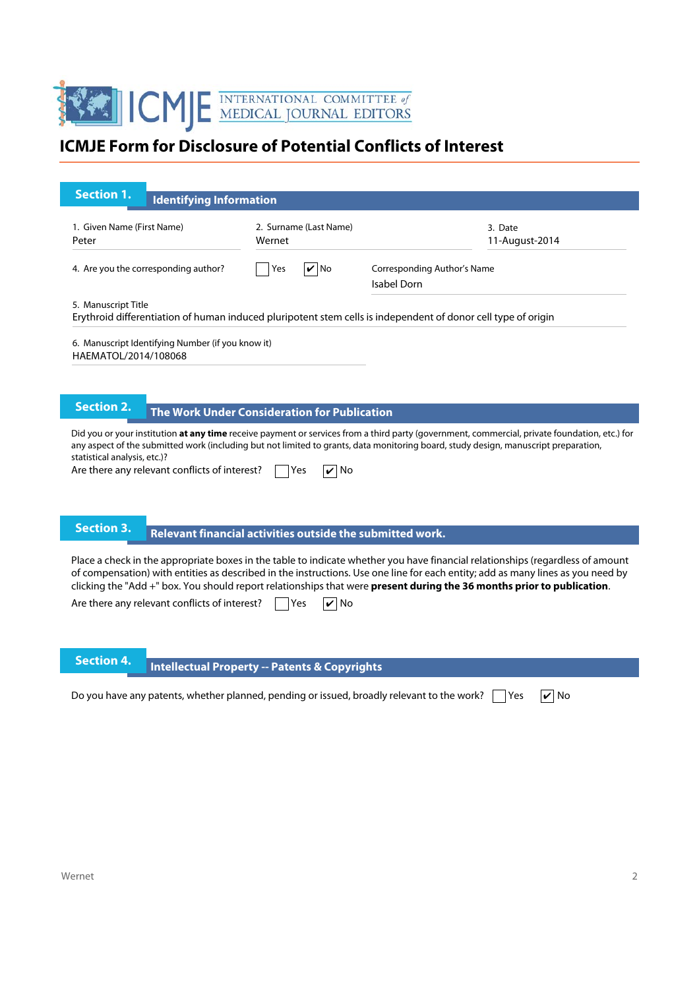

| <b>Section 1.</b>                                                                                                                                                                                                                                                                                                                                                                                                                            | <b>Identifying Information</b>                            |                                  |                                          |                                                                                                               |                           |  |  |
|----------------------------------------------------------------------------------------------------------------------------------------------------------------------------------------------------------------------------------------------------------------------------------------------------------------------------------------------------------------------------------------------------------------------------------------------|-----------------------------------------------------------|----------------------------------|------------------------------------------|---------------------------------------------------------------------------------------------------------------|---------------------------|--|--|
|                                                                                                                                                                                                                                                                                                                                                                                                                                              |                                                           |                                  |                                          |                                                                                                               |                           |  |  |
| 1. Given Name (First Name)<br>Peter                                                                                                                                                                                                                                                                                                                                                                                                          |                                                           | 2. Surname (Last Name)<br>Wernet |                                          |                                                                                                               | 3. Date<br>11-August-2014 |  |  |
|                                                                                                                                                                                                                                                                                                                                                                                                                                              |                                                           | Yes                              | Corresponding Author's Name<br>$\nu$  No |                                                                                                               |                           |  |  |
| 4. Are you the corresponding author?                                                                                                                                                                                                                                                                                                                                                                                                         |                                                           |                                  |                                          | Isabel Dorn                                                                                                   |                           |  |  |
| 5. Manuscript Title                                                                                                                                                                                                                                                                                                                                                                                                                          |                                                           |                                  |                                          | Erythroid differentiation of human induced pluripotent stem cells is independent of donor cell type of origin |                           |  |  |
| 6. Manuscript Identifying Number (if you know it)<br>HAEMATOL/2014/108068                                                                                                                                                                                                                                                                                                                                                                    |                                                           |                                  |                                          |                                                                                                               |                           |  |  |
|                                                                                                                                                                                                                                                                                                                                                                                                                                              |                                                           |                                  |                                          |                                                                                                               |                           |  |  |
| <b>Section 2.</b><br>The Work Under Consideration for Publication                                                                                                                                                                                                                                                                                                                                                                            |                                                           |                                  |                                          |                                                                                                               |                           |  |  |
| Did you or your institution at any time receive payment or services from a third party (government, commercial, private foundation, etc.) for<br>any aspect of the submitted work (including but not limited to grants, data monitoring board, study design, manuscript preparation,<br>statistical analysis, etc.)?                                                                                                                         |                                                           |                                  |                                          |                                                                                                               |                           |  |  |
| Are there any relevant conflicts of interest?<br>$\mathbf{v}$ No<br>Yes                                                                                                                                                                                                                                                                                                                                                                      |                                                           |                                  |                                          |                                                                                                               |                           |  |  |
|                                                                                                                                                                                                                                                                                                                                                                                                                                              |                                                           |                                  |                                          |                                                                                                               |                           |  |  |
| <b>Section 3.</b>                                                                                                                                                                                                                                                                                                                                                                                                                            | Relevant financial activities outside the submitted work. |                                  |                                          |                                                                                                               |                           |  |  |
| Place a check in the appropriate boxes in the table to indicate whether you have financial relationships (regardless of amount<br>of compensation) with entities as described in the instructions. Use one line for each entity; add as many lines as you need by<br>clicking the "Add +" box. You should report relationships that were present during the 36 months prior to publication.<br>Are there any relevant conflicts of interest? |                                                           |                                  |                                          |                                                                                                               |                           |  |  |
|                                                                                                                                                                                                                                                                                                                                                                                                                                              |                                                           | Yes                              | $\boldsymbol{\nu}$<br>l No               |                                                                                                               |                           |  |  |
|                                                                                                                                                                                                                                                                                                                                                                                                                                              |                                                           |                                  |                                          |                                                                                                               |                           |  |  |
| <b>Section 4.</b>                                                                                                                                                                                                                                                                                                                                                                                                                            | <b>Intellectual Property -- Patents &amp; Copyrights</b>  |                                  |                                          |                                                                                                               |                           |  |  |
| Do you have any patents, whether planned, pending or issued, broadly relevant to the work?<br>$\mathbf{v}$ No<br>Yes                                                                                                                                                                                                                                                                                                                         |                                                           |                                  |                                          |                                                                                                               |                           |  |  |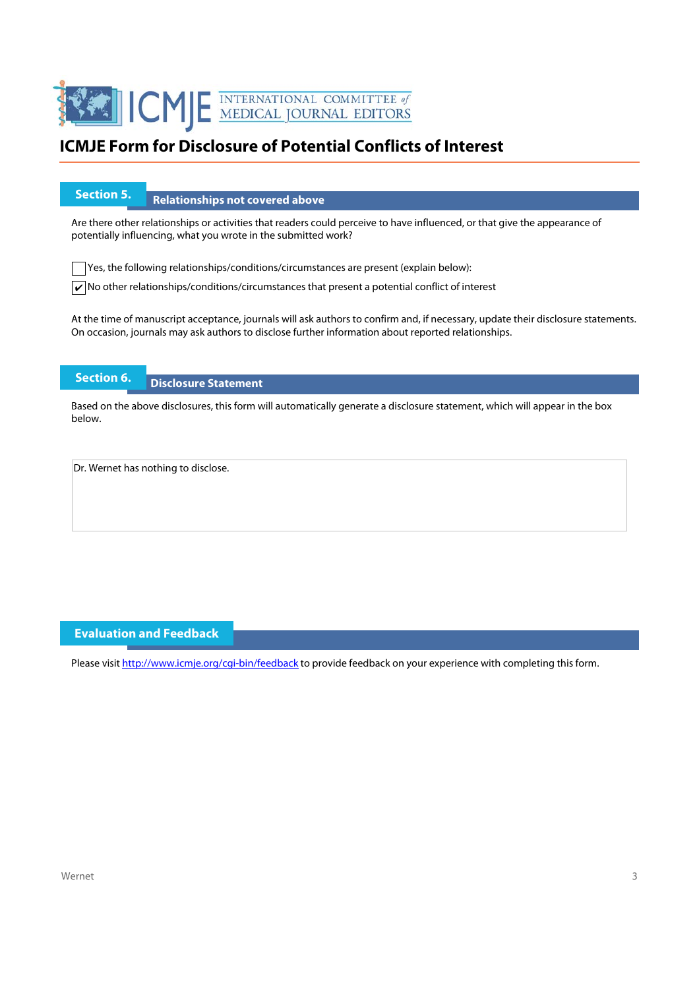

## **Section 5.** Relationships not covered above

Are there other relationships or activities that readers could perceive to have influenced, or that give the appearance of potentially influencing, what you wrote in the submitted work?

 $\Box$  Yes, the following relationships/conditions/circumstances are present (explain below):

 $\boxed{\mathbf{v}}$  No other relationships/conditions/circumstances that present a potential conflict of interest

At the time of manuscript acceptance, journals will ask authors to confirm and, if necessary, update their disclosure statements. On occasion, journals may ask authors to disclose further information about reported relationships.

## **Disclosure Statement Section 6.**

Based on the above disclosures, this form will automatically generate a disclosure statement, which will appear in the box below.

Dr. Wernet has nothing to disclose.

### **Evaluation and Feedback**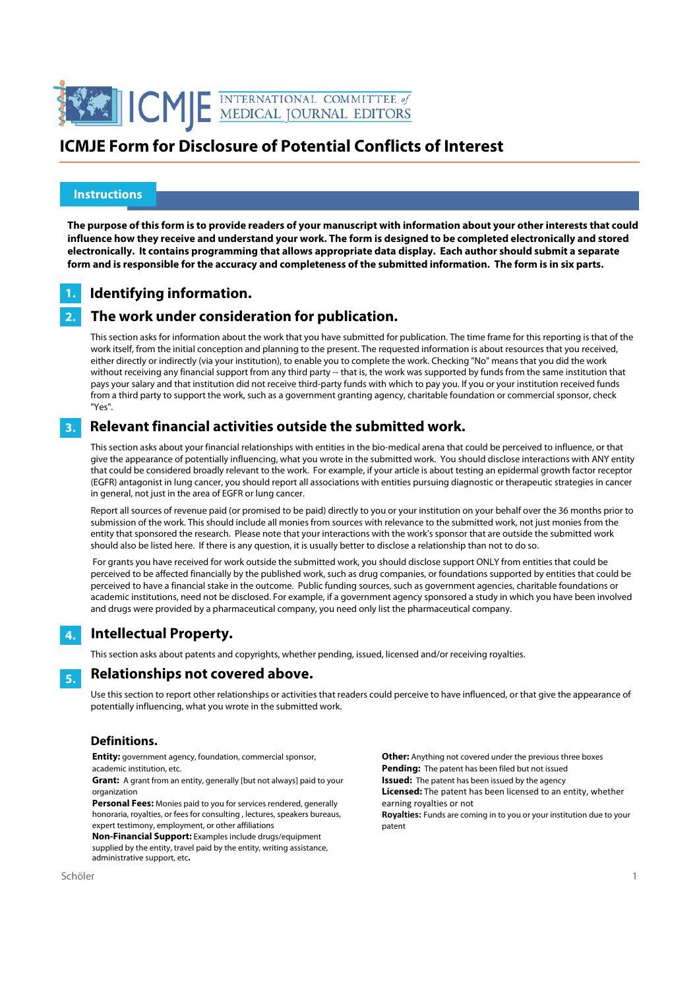

### **Instructions**

**2.**

**The purpose of this form is to provide readers of your manuscript with information about your other interests that could influence how they receive and understand your work. The form is designed to be completed electronically and stored electronically. It contains programming that allows appropriate data display. Each author should submit a separate form and is responsible for the accuracy and completeness of the submitted information. The form is in six parts.** 

#### **Identifying information. 1.**

### **The work under consideration for publication.**

This section asks for information about the work that you have submitted for publication. The time frame for this reporting is that of the work itself, from the initial conception and planning to the present. The requested information is about resources that you received, either directly or indirectly (via your institution), to enable you to complete the work. Checking "No" means that you did the work without receiving any financial support from any third party -- that is, the work was supported by funds from the same institution that pays your salary and that institution did not receive third-party funds with which to pay you. If you or your institution received funds from a third party to support the work, such as a government granting agency, charitable foundation or commercial sponsor, check "Yes".

#### **Relevant financial activities outside the submitted work. 3.**

This section asks about your financial relationships with entities in the bio-medical arena that could be perceived to influence, or that give the appearance of potentially influencing, what you wrote in the submitted work. You should disclose interactions with ANY entity that could be considered broadly relevant to the work. For example, if your article is about testing an epidermal growth factor receptor (EGFR) antagonist in lung cancer, you should report all associations with entities pursuing diagnostic or therapeutic strategies in cancer in general, not just in the area of EGFR or lung cancer.

Report all sources of revenue paid (or promised to be paid) directly to you or your institution on your behalf over the 36 months prior to submission of the work. This should include all monies from sources with relevance to the submitted work, not just monies from the entity that sponsored the research. Please note that your interactions with the work's sponsor that are outside the submitted work should also be listed here. If there is any question, it is usually better to disclose a relationship than not to do so.

 For grants you have received for work outside the submitted work, you should disclose support ONLY from entities that could be perceived to be affected financially by the published work, such as drug companies, or foundations supported by entities that could be perceived to have a financial stake in the outcome. Public funding sources, such as government agencies, charitable foundations or academic institutions, need not be disclosed. For example, if a government agency sponsored a study in which you have been involved and drugs were provided by a pharmaceutical company, you need only list the pharmaceutical company.

### **Intellectual Property.**

This section asks about patents and copyrights, whether pending, issued, licensed and/or receiving royalties.

### **Relationships not covered above.**

Use this section to report other relationships or activities that readers could perceive to have influenced, or that give the appearance of potentially influencing, what you wrote in the submitted work.

### **Definitions.**

**Entity:** government agency, foundation, commercial sponsor, academic institution, etc.

**Grant:** A grant from an entity, generally [but not always] paid to your organization

**Personal Fees:** Monies paid to you for services rendered, generally honoraria, royalties, or fees for consulting , lectures, speakers bureaus, expert testimony, employment, or other affiliations

**Non-Financial Support:** Examples include drugs/equipment supplied by the entity, travel paid by the entity, writing assistance, administrative support, etc**.**

**Other:** Anything not covered under the previous three boxes **Pending:** The patent has been filed but not issued **Issued:** The patent has been issued by the agency **Licensed:** The patent has been licensed to an entity, whether earning royalties or not **Royalties:** Funds are coming in to you or your institution due to your patent

Schöler 1986 – Solomon i Schöler 1986 – Schöler 1986 – Schöler 1986 – Schöler 1986 – 1987 – 1988 – 1988 – 1988

**4.**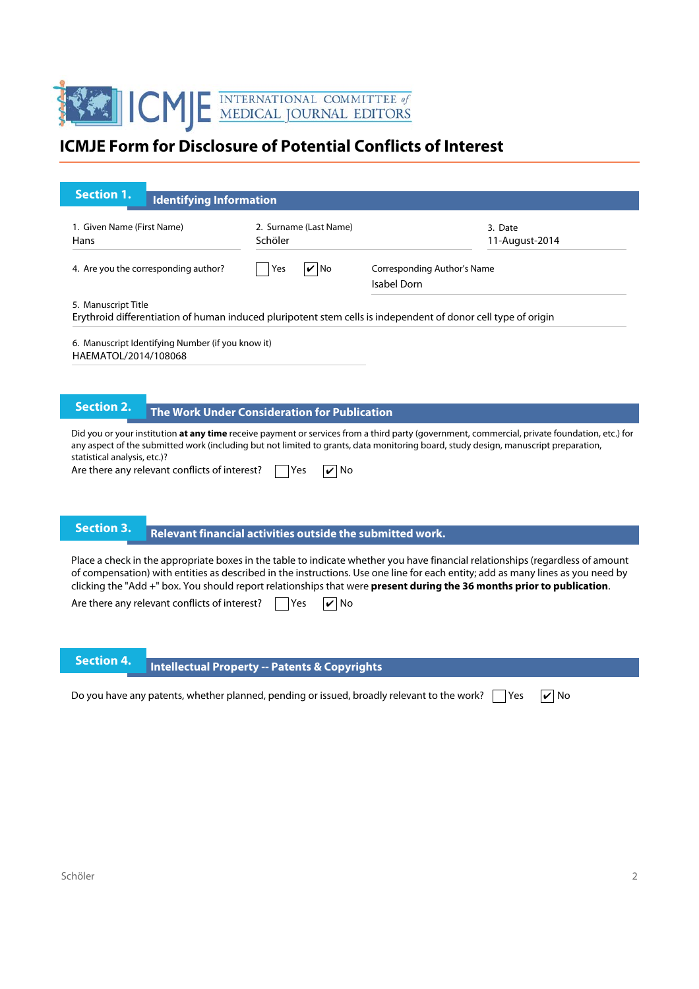

| <b>Section 1.</b>                                                                                                                                                                                                                                                                                                                                                                                                                                                                 | <b>Identifying Information</b>                            |                                   |  |                                                                                                               |                           |  |  |
|-----------------------------------------------------------------------------------------------------------------------------------------------------------------------------------------------------------------------------------------------------------------------------------------------------------------------------------------------------------------------------------------------------------------------------------------------------------------------------------|-----------------------------------------------------------|-----------------------------------|--|---------------------------------------------------------------------------------------------------------------|---------------------------|--|--|
|                                                                                                                                                                                                                                                                                                                                                                                                                                                                                   |                                                           |                                   |  |                                                                                                               |                           |  |  |
| 1. Given Name (First Name)<br>Hans                                                                                                                                                                                                                                                                                                                                                                                                                                                |                                                           | 2. Surname (Last Name)<br>Schöler |  |                                                                                                               | 3. Date<br>11-August-2014 |  |  |
| 4. Are you the corresponding author?                                                                                                                                                                                                                                                                                                                                                                                                                                              |                                                           | Yes<br>$\nu$  No<br>Isabel Dorn   |  | Corresponding Author's Name                                                                                   |                           |  |  |
| 5. Manuscript Title                                                                                                                                                                                                                                                                                                                                                                                                                                                               |                                                           |                                   |  | Erythroid differentiation of human induced pluripotent stem cells is independent of donor cell type of origin |                           |  |  |
| HAEMATOL/2014/108068                                                                                                                                                                                                                                                                                                                                                                                                                                                              | 6. Manuscript Identifying Number (if you know it)         |                                   |  |                                                                                                               |                           |  |  |
|                                                                                                                                                                                                                                                                                                                                                                                                                                                                                   |                                                           |                                   |  |                                                                                                               |                           |  |  |
| <b>Section 2.</b><br>The Work Under Consideration for Publication                                                                                                                                                                                                                                                                                                                                                                                                                 |                                                           |                                   |  |                                                                                                               |                           |  |  |
| Did you or your institution at any time receive payment or services from a third party (government, commercial, private foundation, etc.) for<br>any aspect of the submitted work (including but not limited to grants, data monitoring board, study design, manuscript preparation,<br>statistical analysis, etc.)?<br>Are there any relevant conflicts of interest?<br>$\mathbf{v}$ No<br>Yes                                                                                   |                                                           |                                   |  |                                                                                                               |                           |  |  |
|                                                                                                                                                                                                                                                                                                                                                                                                                                                                                   |                                                           |                                   |  |                                                                                                               |                           |  |  |
| <b>Section 3.</b>                                                                                                                                                                                                                                                                                                                                                                                                                                                                 | Relevant financial activities outside the submitted work. |                                   |  |                                                                                                               |                           |  |  |
| Place a check in the appropriate boxes in the table to indicate whether you have financial relationships (regardless of amount<br>of compensation) with entities as described in the instructions. Use one line for each entity; add as many lines as you need by<br>clicking the "Add +" box. You should report relationships that were present during the 36 months prior to publication.<br>Are there any relevant conflicts of interest?<br>Yes<br>$\boldsymbol{\nu}$<br>l No |                                                           |                                   |  |                                                                                                               |                           |  |  |
| <b>Section 4.</b>                                                                                                                                                                                                                                                                                                                                                                                                                                                                 | <b>Intellectual Property -- Patents &amp; Copyrights</b>  |                                   |  |                                                                                                               |                           |  |  |
| Do you have any patents, whether planned, pending or issued, broadly relevant to the work?<br>$\mathbf{v}$ No<br>Yes                                                                                                                                                                                                                                                                                                                                                              |                                                           |                                   |  |                                                                                                               |                           |  |  |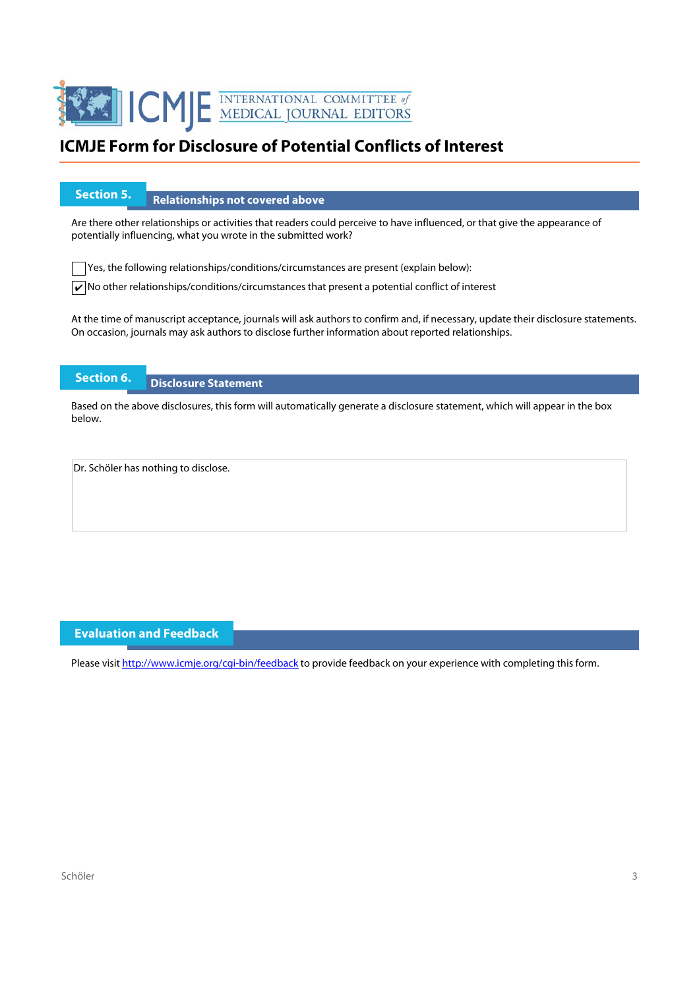

## **Section 5.** Relationships not covered above

Are there other relationships or activities that readers could perceive to have influenced, or that give the appearance of potentially influencing, what you wrote in the submitted work?

 $\Box$  Yes, the following relationships/conditions/circumstances are present (explain below):

 $\boxed{\mathbf{v}}$  No other relationships/conditions/circumstances that present a potential conflict of interest

At the time of manuscript acceptance, journals will ask authors to confirm and, if necessary, update their disclosure statements. On occasion, journals may ask authors to disclose further information about reported relationships.

## **Disclosure Statement Section 6.**

Based on the above disclosures, this form will automatically generate a disclosure statement, which will appear in the box below.

Dr. Schöler has nothing to disclose.

### **Evaluation and Feedback**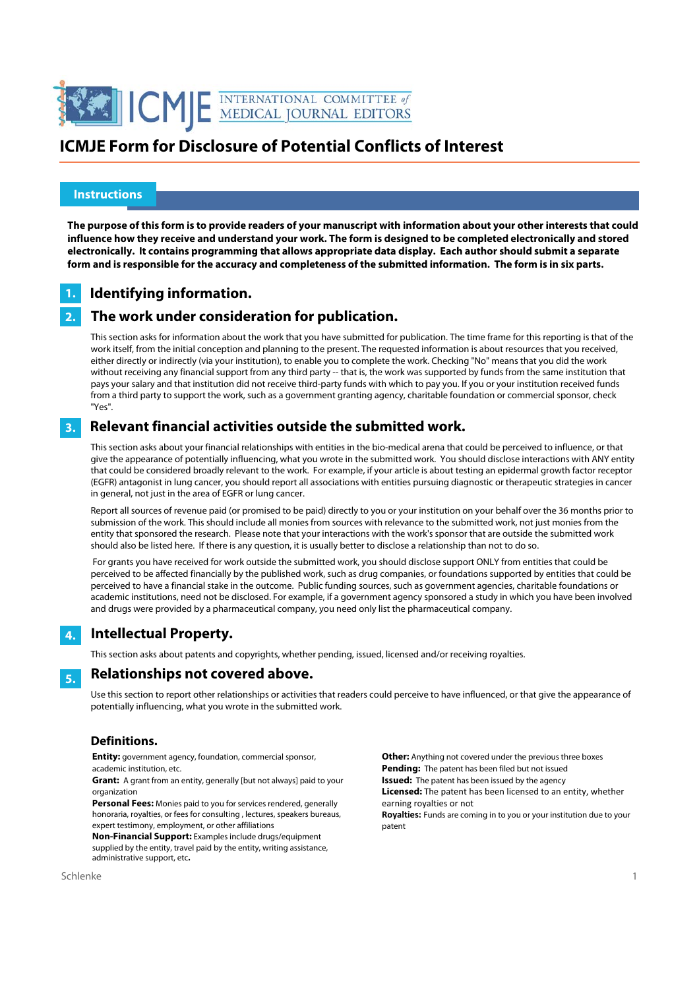

### **Instructions**

**2.**

**The purpose of this form is to provide readers of your manuscript with information about your other interests that could influence how they receive and understand your work. The form is designed to be completed electronically and stored electronically. It contains programming that allows appropriate data display. Each author should submit a separate form and is responsible for the accuracy and completeness of the submitted information. The form is in six parts.** 

#### **Identifying information. 1.**

### **The work under consideration for publication.**

This section asks for information about the work that you have submitted for publication. The time frame for this reporting is that of the work itself, from the initial conception and planning to the present. The requested information is about resources that you received, either directly or indirectly (via your institution), to enable you to complete the work. Checking "No" means that you did the work without receiving any financial support from any third party -- that is, the work was supported by funds from the same institution that pays your salary and that institution did not receive third-party funds with which to pay you. If you or your institution received funds from a third party to support the work, such as a government granting agency, charitable foundation or commercial sponsor, check "Yes".

#### **Relevant financial activities outside the submitted work. 3.**

This section asks about your financial relationships with entities in the bio-medical arena that could be perceived to influence, or that give the appearance of potentially influencing, what you wrote in the submitted work. You should disclose interactions with ANY entity that could be considered broadly relevant to the work. For example, if your article is about testing an epidermal growth factor receptor (EGFR) antagonist in lung cancer, you should report all associations with entities pursuing diagnostic or therapeutic strategies in cancer in general, not just in the area of EGFR or lung cancer.

Report all sources of revenue paid (or promised to be paid) directly to you or your institution on your behalf over the 36 months prior to submission of the work. This should include all monies from sources with relevance to the submitted work, not just monies from the entity that sponsored the research. Please note that your interactions with the work's sponsor that are outside the submitted work should also be listed here. If there is any question, it is usually better to disclose a relationship than not to do so.

 For grants you have received for work outside the submitted work, you should disclose support ONLY from entities that could be perceived to be affected financially by the published work, such as drug companies, or foundations supported by entities that could be perceived to have a financial stake in the outcome. Public funding sources, such as government agencies, charitable foundations or academic institutions, need not be disclosed. For example, if a government agency sponsored a study in which you have been involved and drugs were provided by a pharmaceutical company, you need only list the pharmaceutical company.

### **Intellectual Property.**

This section asks about patents and copyrights, whether pending, issued, licensed and/or receiving royalties.

### **Relationships not covered above.**

Use this section to report other relationships or activities that readers could perceive to have influenced, or that give the appearance of potentially influencing, what you wrote in the submitted work.

### **Definitions.**

**Entity:** government agency, foundation, commercial sponsor, academic institution, etc.

**Grant:** A grant from an entity, generally [but not always] paid to your organization

**Personal Fees:** Monies paid to you for services rendered, generally honoraria, royalties, or fees for consulting , lectures, speakers bureaus, expert testimony, employment, or other affiliations

**Non-Financial Support:** Examples include drugs/equipment supplied by the entity, travel paid by the entity, writing assistance, administrative support, etc**.**

**Other:** Anything not covered under the previous three boxes **Pending:** The patent has been filed but not issued **Issued:** The patent has been issued by the agency **Licensed:** The patent has been licensed to an entity, whether earning royalties or not **Royalties:** Funds are coming in to you or your institution due to your patent

Schlenke 1

**4.**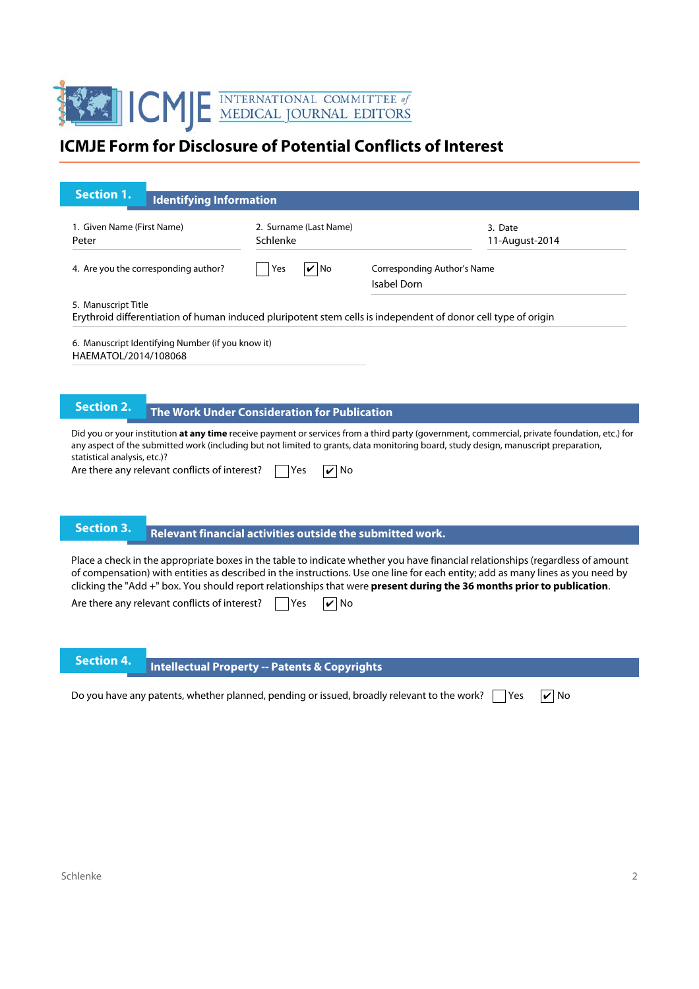

| <b>Section 1.</b>                                                                                                                                                                                                                                                                                                                                                                                                                                                                 | <b>Identifying Information</b>                                                                                                       |                                                                             |  |                           |  |  |  |
|-----------------------------------------------------------------------------------------------------------------------------------------------------------------------------------------------------------------------------------------------------------------------------------------------------------------------------------------------------------------------------------------------------------------------------------------------------------------------------------|--------------------------------------------------------------------------------------------------------------------------------------|-----------------------------------------------------------------------------|--|---------------------------|--|--|--|
| 1. Given Name (First Name)<br>Peter                                                                                                                                                                                                                                                                                                                                                                                                                                               |                                                                                                                                      | 2. Surname (Last Name)<br>Schlenke                                          |  | 3. Date<br>11-August-2014 |  |  |  |
| 4. Are you the corresponding author?                                                                                                                                                                                                                                                                                                                                                                                                                                              |                                                                                                                                      | Corresponding Author's Name<br>Yes<br>$\mathbf{v}$ No<br><b>Isabel Dorn</b> |  |                           |  |  |  |
|                                                                                                                                                                                                                                                                                                                                                                                                                                                                                   | 5. Manuscript Title<br>Erythroid differentiation of human induced pluripotent stem cells is independent of donor cell type of origin |                                                                             |  |                           |  |  |  |
|                                                                                                                                                                                                                                                                                                                                                                                                                                                                                   | 6. Manuscript Identifying Number (if you know it)<br>HAEMATOL/2014/108068                                                            |                                                                             |  |                           |  |  |  |
|                                                                                                                                                                                                                                                                                                                                                                                                                                                                                   |                                                                                                                                      |                                                                             |  |                           |  |  |  |
| <b>Section 2.</b><br>The Work Under Consideration for Publication                                                                                                                                                                                                                                                                                                                                                                                                                 |                                                                                                                                      |                                                                             |  |                           |  |  |  |
| Did you or your institution at any time receive payment or services from a third party (government, commercial, private foundation, etc.) for<br>any aspect of the submitted work (including but not limited to grants, data monitoring board, study design, manuscript preparation,<br>statistical analysis, etc.)?<br>Are there any relevant conflicts of interest?<br>Yes<br>$\boldsymbol{\nu}$<br>  No                                                                        |                                                                                                                                      |                                                                             |  |                           |  |  |  |
|                                                                                                                                                                                                                                                                                                                                                                                                                                                                                   |                                                                                                                                      |                                                                             |  |                           |  |  |  |
| <b>Section 3.</b>                                                                                                                                                                                                                                                                                                                                                                                                                                                                 |                                                                                                                                      | Relevant financial activities outside the submitted work.                   |  |                           |  |  |  |
| Place a check in the appropriate boxes in the table to indicate whether you have financial relationships (regardless of amount<br>of compensation) with entities as described in the instructions. Use one line for each entity; add as many lines as you need by<br>clicking the "Add +" box. You should report relationships that were present during the 36 months prior to publication.<br>Are there any relevant conflicts of interest?<br>  No<br>$\boldsymbol{\nu}$<br>Yes |                                                                                                                                      |                                                                             |  |                           |  |  |  |
|                                                                                                                                                                                                                                                                                                                                                                                                                                                                                   |                                                                                                                                      |                                                                             |  |                           |  |  |  |
| <b>Section 4.</b>                                                                                                                                                                                                                                                                                                                                                                                                                                                                 |                                                                                                                                      | <b>Intellectual Property -- Patents &amp; Copyrights</b>                    |  |                           |  |  |  |
| Do you have any patents, whether planned, pending or issued, broadly relevant to the work?<br>Yes<br>$\mathbf{v}$ No                                                                                                                                                                                                                                                                                                                                                              |                                                                                                                                      |                                                                             |  |                           |  |  |  |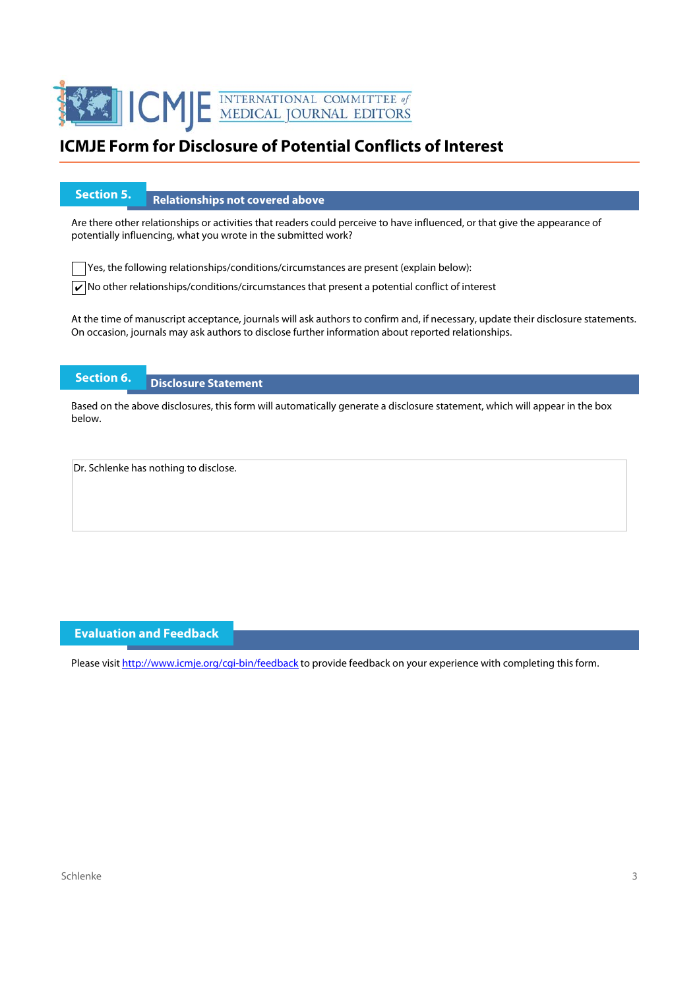

## **Section 5.** Relationships not covered above

Are there other relationships or activities that readers could perceive to have influenced, or that give the appearance of potentially influencing, what you wrote in the submitted work?

 $\Box$  Yes, the following relationships/conditions/circumstances are present (explain below):

 $\boxed{\mathbf{v}}$  No other relationships/conditions/circumstances that present a potential conflict of interest

At the time of manuscript acceptance, journals will ask authors to confirm and, if necessary, update their disclosure statements. On occasion, journals may ask authors to disclose further information about reported relationships.

## **Disclosure Statement Section 6.**

Based on the above disclosures, this form will automatically generate a disclosure statement, which will appear in the box below.

Dr. Schlenke has nothing to disclose.

### **Evaluation and Feedback**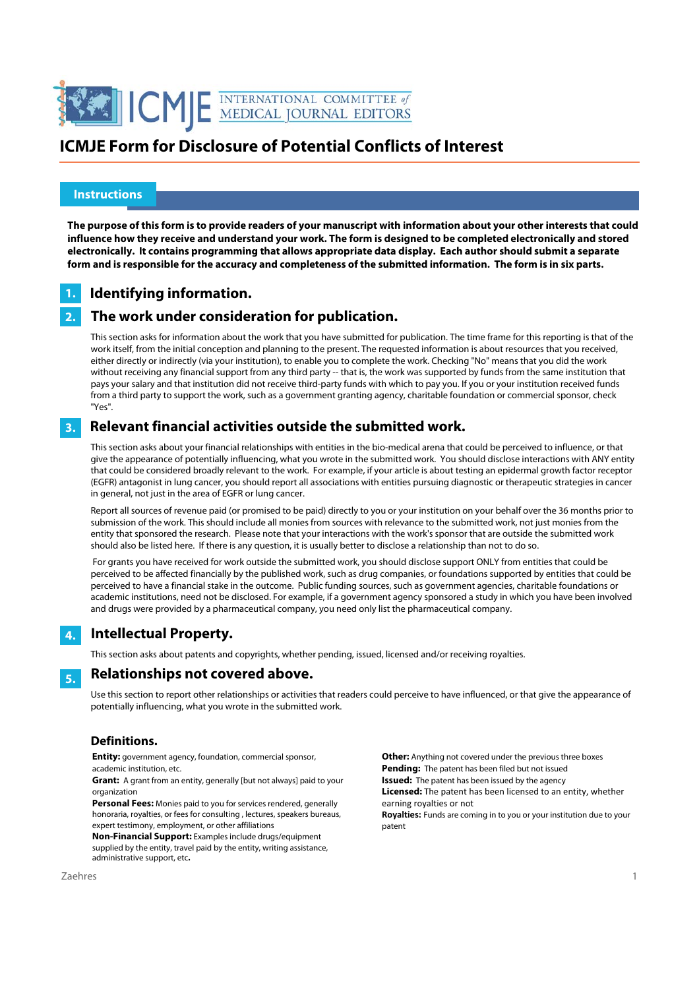

### **Instructions**

**2.**

**The purpose of this form is to provide readers of your manuscript with information about your other interests that could influence how they receive and understand your work. The form is designed to be completed electronically and stored electronically. It contains programming that allows appropriate data display. Each author should submit a separate form and is responsible for the accuracy and completeness of the submitted information. The form is in six parts.** 

#### **Identifying information. 1.**

### **The work under consideration for publication.**

This section asks for information about the work that you have submitted for publication. The time frame for this reporting is that of the work itself, from the initial conception and planning to the present. The requested information is about resources that you received, either directly or indirectly (via your institution), to enable you to complete the work. Checking "No" means that you did the work without receiving any financial support from any third party -- that is, the work was supported by funds from the same institution that pays your salary and that institution did not receive third-party funds with which to pay you. If you or your institution received funds from a third party to support the work, such as a government granting agency, charitable foundation or commercial sponsor, check "Yes".

#### **Relevant financial activities outside the submitted work. 3.**

This section asks about your financial relationships with entities in the bio-medical arena that could be perceived to influence, or that give the appearance of potentially influencing, what you wrote in the submitted work. You should disclose interactions with ANY entity that could be considered broadly relevant to the work. For example, if your article is about testing an epidermal growth factor receptor (EGFR) antagonist in lung cancer, you should report all associations with entities pursuing diagnostic or therapeutic strategies in cancer in general, not just in the area of EGFR or lung cancer.

Report all sources of revenue paid (or promised to be paid) directly to you or your institution on your behalf over the 36 months prior to submission of the work. This should include all monies from sources with relevance to the submitted work, not just monies from the entity that sponsored the research. Please note that your interactions with the work's sponsor that are outside the submitted work should also be listed here. If there is any question, it is usually better to disclose a relationship than not to do so.

 For grants you have received for work outside the submitted work, you should disclose support ONLY from entities that could be perceived to be affected financially by the published work, such as drug companies, or foundations supported by entities that could be perceived to have a financial stake in the outcome. Public funding sources, such as government agencies, charitable foundations or academic institutions, need not be disclosed. For example, if a government agency sponsored a study in which you have been involved and drugs were provided by a pharmaceutical company, you need only list the pharmaceutical company.

### **Intellectual Property.**

This section asks about patents and copyrights, whether pending, issued, licensed and/or receiving royalties.

### **Relationships not covered above.**

Use this section to report other relationships or activities that readers could perceive to have influenced, or that give the appearance of potentially influencing, what you wrote in the submitted work.

### **Definitions.**

**Entity:** government agency, foundation, commercial sponsor, academic institution, etc.

**Grant:** A grant from an entity, generally [but not always] paid to your organization

**Personal Fees:** Monies paid to you for services rendered, generally honoraria, royalties, or fees for consulting , lectures, speakers bureaus, expert testimony, employment, or other affiliations

**Non-Financial Support:** Examples include drugs/equipment supplied by the entity, travel paid by the entity, writing assistance, administrative support, etc**.**

**Other:** Anything not covered under the previous three boxes **Pending:** The patent has been filed but not issued **Issued:** The patent has been issued by the agency **Licensed:** The patent has been licensed to an entity, whether earning royalties or not **Royalties:** Funds are coming in to you or your institution due to your patent

Zaehres 1

**4.**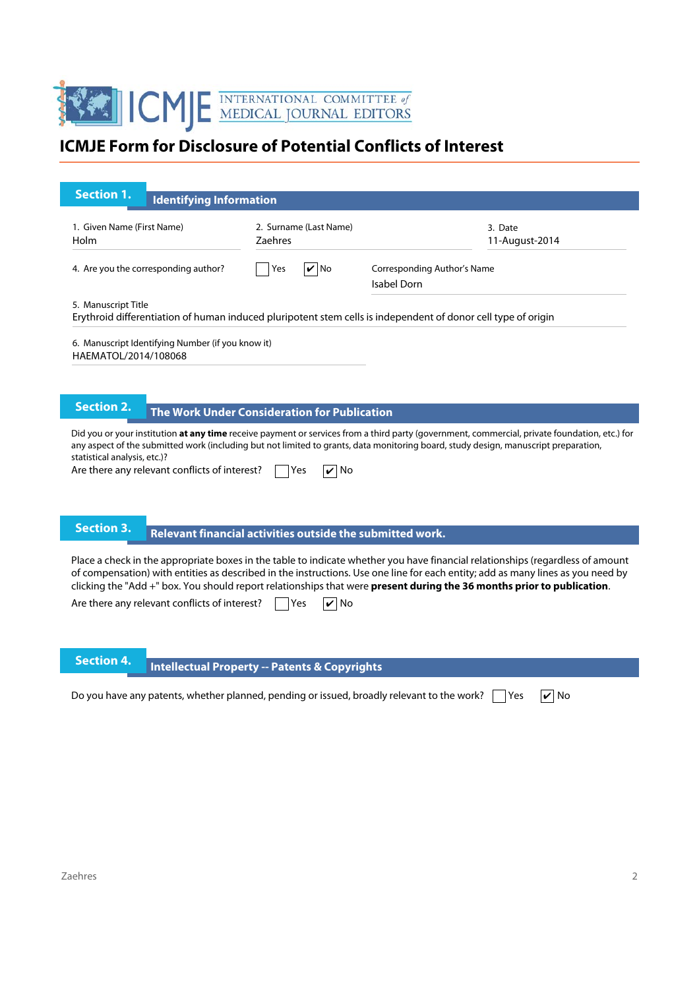

| <b>Section 1.</b>                                                                                                                                                                                                                                                                                                                                                                                                                                                                 | <b>Identifying Information</b>                            |                                   |           |                                                                                                               |                           |  |  |
|-----------------------------------------------------------------------------------------------------------------------------------------------------------------------------------------------------------------------------------------------------------------------------------------------------------------------------------------------------------------------------------------------------------------------------------------------------------------------------------|-----------------------------------------------------------|-----------------------------------|-----------|---------------------------------------------------------------------------------------------------------------|---------------------------|--|--|
|                                                                                                                                                                                                                                                                                                                                                                                                                                                                                   |                                                           |                                   |           |                                                                                                               |                           |  |  |
| 1. Given Name (First Name)<br>Holm                                                                                                                                                                                                                                                                                                                                                                                                                                                |                                                           | 2. Surname (Last Name)<br>Zaehres |           |                                                                                                               | 3. Date<br>11-August-2014 |  |  |
| 4. Are you the corresponding author?                                                                                                                                                                                                                                                                                                                                                                                                                                              |                                                           | Yes                               | $\nu$  No | Corresponding Author's Name<br>Isabel Dorn                                                                    |                           |  |  |
| 5. Manuscript Title                                                                                                                                                                                                                                                                                                                                                                                                                                                               |                                                           |                                   |           | Erythroid differentiation of human induced pluripotent stem cells is independent of donor cell type of origin |                           |  |  |
| 6. Manuscript Identifying Number (if you know it)<br>HAEMATOL/2014/108068                                                                                                                                                                                                                                                                                                                                                                                                         |                                                           |                                   |           |                                                                                                               |                           |  |  |
|                                                                                                                                                                                                                                                                                                                                                                                                                                                                                   |                                                           |                                   |           |                                                                                                               |                           |  |  |
| <b>Section 2.</b><br>The Work Under Consideration for Publication                                                                                                                                                                                                                                                                                                                                                                                                                 |                                                           |                                   |           |                                                                                                               |                           |  |  |
| Did you or your institution at any time receive payment or services from a third party (government, commercial, private foundation, etc.) for<br>any aspect of the submitted work (including but not limited to grants, data monitoring board, study design, manuscript preparation,<br>statistical analysis, etc.)?<br>Are there any relevant conflicts of interest?<br>$\mathbf{v}$ No<br>Yes                                                                                   |                                                           |                                   |           |                                                                                                               |                           |  |  |
| <b>Section 3.</b>                                                                                                                                                                                                                                                                                                                                                                                                                                                                 |                                                           |                                   |           |                                                                                                               |                           |  |  |
|                                                                                                                                                                                                                                                                                                                                                                                                                                                                                   | Relevant financial activities outside the submitted work. |                                   |           |                                                                                                               |                           |  |  |
| Place a check in the appropriate boxes in the table to indicate whether you have financial relationships (regardless of amount<br>of compensation) with entities as described in the instructions. Use one line for each entity; add as many lines as you need by<br>clicking the "Add +" box. You should report relationships that were present during the 36 months prior to publication.<br>Are there any relevant conflicts of interest?<br>Yes<br>$\boldsymbol{\nu}$<br>l No |                                                           |                                   |           |                                                                                                               |                           |  |  |
|                                                                                                                                                                                                                                                                                                                                                                                                                                                                                   |                                                           |                                   |           |                                                                                                               |                           |  |  |
| <b>Section 4.</b>                                                                                                                                                                                                                                                                                                                                                                                                                                                                 | <b>Intellectual Property -- Patents &amp; Copyrights</b>  |                                   |           |                                                                                                               |                           |  |  |
| Do you have any patents, whether planned, pending or issued, broadly relevant to the work?<br>$\mathbf{v}$ No<br>Yes                                                                                                                                                                                                                                                                                                                                                              |                                                           |                                   |           |                                                                                                               |                           |  |  |